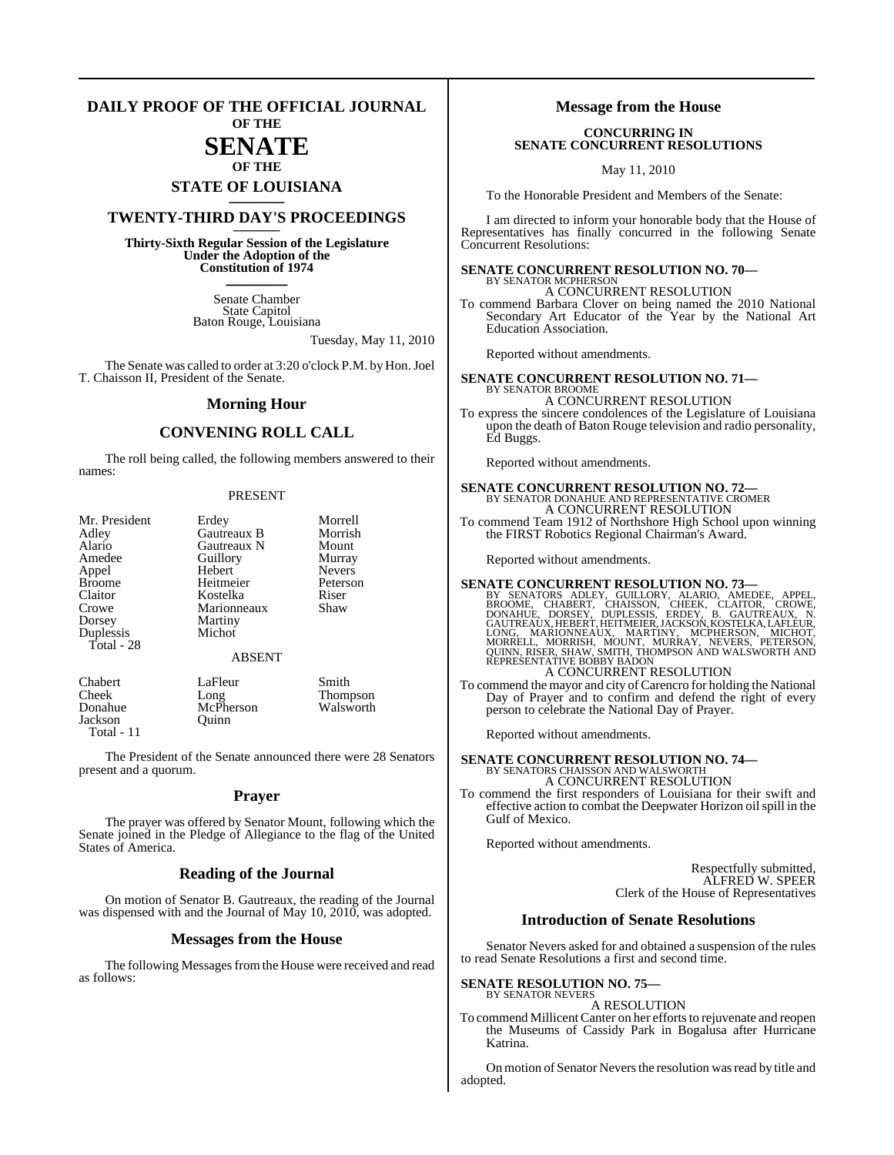#### **DAILY PROOF OF THE OFFICIAL JOURNAL OF THE**

# **SENATE**

### **OF THE STATE OF LOUISIANA \_\_\_\_\_\_\_**

### **TWENTY-THIRD DAY'S PROCEEDINGS \_\_\_\_\_\_\_**

**Thirty-Sixth Regular Session of the Legislature Under the Adoption of the Constitution of 1974 \_\_\_\_\_\_\_**

> Senate Chamber State Capitol Baton Rouge, Louisiana

> > Tuesday, May 11, 2010

The Senate was called to order at 3:20 o'clock P.M. by Hon. Joel T. Chaisson II, President of the Senate.

#### **Morning Hour**

### **CONVENING ROLL CALL**

The roll being called, the following members answered to their names:

#### PRESENT

| Mr. President | Erdey         | Morrell         |
|---------------|---------------|-----------------|
| Adley         | Gautreaux B   | Morrish         |
| Alario        | Gautreaux N   | Mount           |
| Amedee        | Guillory      | Murray          |
| Appel         | Hebert        | <b>Nevers</b>   |
| <b>Broome</b> | Heitmeier     | Peterson        |
| Claitor       | Kostelka      | Riser           |
| Crowe         | Marionneaux   | Shaw            |
| Dorsey        | Martiny       |                 |
| Duplessis     | Michot        |                 |
| Total - 28    |               |                 |
|               | <b>ABSENT</b> |                 |
| Chabert       | LaFleur       | Smith           |
| Cheek         | Long          | <b>Thompson</b> |
| Donahue       | McPherson     | Walsworth       |
| Jackson       | Ouinn         |                 |

Jackson Total - 11

The President of the Senate announced there were 28 Senators present and a quorum.

#### **Prayer**

The prayer was offered by Senator Mount, following which the Senate joined in the Pledge of Allegiance to the flag of the United States of America.

#### **Reading of the Journal**

On motion of Senator B. Gautreaux, the reading of the Journal was dispensed with and the Journal of May 10, 2010, was adopted.

#### **Messages from the House**

The following Messages from the House were received and read as follows:

#### **Message from the House**

#### **CONCURRING IN SENATE CONCURRENT RESOLUTIONS**

May 11, 2010

To the Honorable President and Members of the Senate:

I am directed to inform your honorable body that the House of Representatives has finally concurred in the following Senate Concurrent Resolutions:

#### **SENATE CONCURRENT RESOLUTION NO. 70—** BY SENATOR MCPHERSON

A CONCURRENT RESOLUTION To commend Barbara Clover on being named the 2010 National Secondary Art Educator of the Year by the National Art Education Association.

Reported without amendments.

**SENATE CONCURRENT RESOLUTION NO. 71—** BY SENATOR BROOME A CONCURRENT RESOLUTION To express the sincere condolences of the Legislature of Louisiana

upon the death of Baton Rouge television and radio personality, Ed Buggs.

Reported without amendments.

### **SENATE CONCURRENT RESOLUTION NO. 72—** BY SENATOR DONAHUE AND REPRESENTATIVE CROMER A CONCURRENT RESOLUTION

To commend Team 1912 of Northshore High School upon winning the FIRST Robotics Regional Chairman's Award.

Reported without amendments.

#### **SENATE CONCURRENT RESOLUTION NO. 73—**

BY SENATORS ADLEY, GUILLORY, ALARIO, AMEDEE, APPEL,<br>BROOME, CHABERT, CHAISSON, CHEEK, CLAITOR, CROWE,<br>DONAHUE, DORSEY, DUPLESSIS, ERDEY, B. GAUTREAUX, N.<br>GAUTREAUX,HEBERT,HEITMEER,JACKSON,KOSTELKA,LAFLEUR,<br>LONG, MARIONNEAU

A CONCURRENT RESOLUTION

To commend the mayor and city of Carencro for holding the National Day of Prayer and to confirm and defend the right of every person to celebrate the National Day of Prayer.

Reported without amendments.

### **SENATE CONCURRENT RESOLUTION NO. 74—** BY SENATORS CHAISSON AND WALSWORTH A CONCURRENT RESOLUTION

To commend the first responders of Louisiana for their swift and effective action to combat the Deepwater Horizon oilspill in the Gulf of Mexico.

Reported without amendments.

Respectfully submitted, ALFRED W. SPEER Clerk of the House of Representatives

#### **Introduction of Senate Resolutions**

Senator Nevers asked for and obtained a suspension of the rules to read Senate Resolutions a first and second time.

#### **SENATE RESOLUTION NO. 75—** BY SENATOR NEVERS

A RESOLUTION

To commend Millicent Canter on her efforts to rejuvenate and reopen the Museums of Cassidy Park in Bogalusa after Hurricane Katrina.

On motion of Senator Nevers the resolution was read by title and adopted.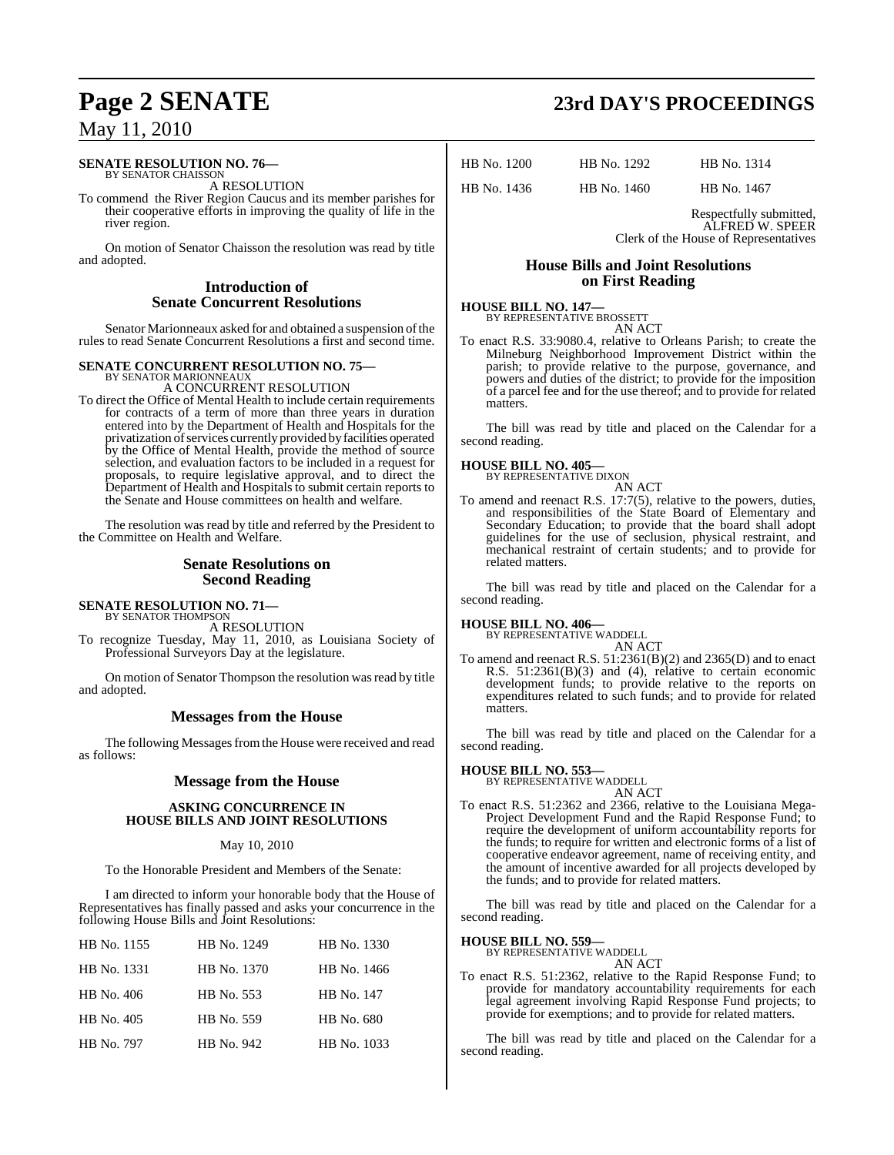#### **SENATE RESOLUTION NO. 76—** BY SENATOR CHAISSON

A RESOLUTION

To commend the River Region Caucus and its member parishes for their cooperative efforts in improving the quality of life in the river region.

On motion of Senator Chaisson the resolution was read by title and adopted.

### **Introduction of Senate Concurrent Resolutions**

Senator Marionneaux asked for and obtained a suspension of the rules to read Senate Concurrent Resolutions a first and second time.

#### **SENATE CONCURRENT RESOLUTION NO. 75—**

BY SENATOR MARIONNEAUX A CONCURRENT RESOLUTION

To direct the Office of Mental Health to include certain requirements for contracts of a term of more than three years in duration entered into by the Department of Health and Hospitals for the privatization of services currently provided by facilities operated by the Office of Mental Health, provide the method of source selection, and evaluation factors to be included in a request for proposals, to require legislative approval, and to direct the Department of Health and Hospitals to submit certain reports to the Senate and House committees on health and welfare.

The resolution was read by title and referred by the President to the Committee on Health and Welfare.

### **Senate Resolutions on Second Reading**

### **SENATE RESOLUTION NO. 71—** BY SENATOR THOMPSON

A RESOLUTION

To recognize Tuesday, May 11, 2010, as Louisiana Society of Professional Surveyors Day at the legislature.

On motion of Senator Thompson the resolution was read by title and adopted.

### **Messages from the House**

The following Messages from the House were received and read as follows:

### **Message from the House**

#### **ASKING CONCURRENCE IN HOUSE BILLS AND JOINT RESOLUTIONS**

#### May 10, 2010

To the Honorable President and Members of the Senate:

I am directed to inform your honorable body that the House of Representatives has finally passed and asks your concurrence in the following House Bills and Joint Resolutions:

| HB No. 1155 | HB No. 1249 | HB No. 1330 |
|-------------|-------------|-------------|
| HB No. 1331 | HB No. 1370 | HB No. 1466 |
| HB No. 406  | HB No. 553  | HB No. 147  |
| HB No. 405  | HB No. 559  | HB No. 680  |
| HB No. 797  | HB No. 942  | HB No. 1033 |

# **Page 2 SENATE 23rd DAY'S PROCEEDINGS**

HB No. 1200 HB No. 1292 HB No. 1314

HB No. 1436 HB No. 1460 HB No. 1467

Respectfully submitted, ALFRED W. SPEER Clerk of the House of Representatives

#### **House Bills and Joint Resolutions on First Reading**

#### **HOUSE BILL NO. 147—** BY REPRESENTATIVE BROSSETT AN ACT

To enact R.S. 33:9080.4, relative to Orleans Parish; to create the Milneburg Neighborhood Improvement District within the parish; to provide relative to the purpose, governance, and powers and duties of the district; to provide for the imposition of a parcel fee and for the use thereof; and to provide for related matters.

The bill was read by title and placed on the Calendar for a second reading.

#### **HOUSE BILL NO. 405—**

BY REPRESENTATIVE DIXON

AN ACT To amend and reenact R.S. 17:7(5), relative to the powers, duties, and responsibilities of the State Board of Elementary and Secondary Education; to provide that the board shall adopt guidelines for the use of seclusion, physical restraint, and mechanical restraint of certain students; and to provide for related matters.

The bill was read by title and placed on the Calendar for a second reading.

**HOUSE BILL NO. 406—** BY REPRESENTATIVE WADDELL AN ACT

To amend and reenact R.S. 51:2361(B)(2) and 2365(D) and to enact R.S. 51:2361(B)(3) and (4), relative to certain economic development funds; to provide relative to the reports on expenditures related to such funds; and to provide for related matters.

The bill was read by title and placed on the Calendar for a second reading.

### **HOUSE BILL NO. 553—**

BY REPRESENTATIVE WADDELL AN ACT

To enact R.S. 51:2362 and 2366, relative to the Louisiana Mega-Project Development Fund and the Rapid Response Fund; to require the development of uniform accountability reports for the funds; to require for written and electronic forms of a list of cooperative endeavor agreement, name of receiving entity, and the amount of incentive awarded for all projects developed by the funds; and to provide for related matters.

The bill was read by title and placed on the Calendar for a second reading.

#### **HOUSE BILL NO. 559—**

BY REPRESENTATIVE WADDELL

AN ACT To enact R.S. 51:2362, relative to the Rapid Response Fund; to provide for mandatory accountability requirements for each legal agreement involving Rapid Response Fund projects; to provide for exemptions; and to provide for related matters.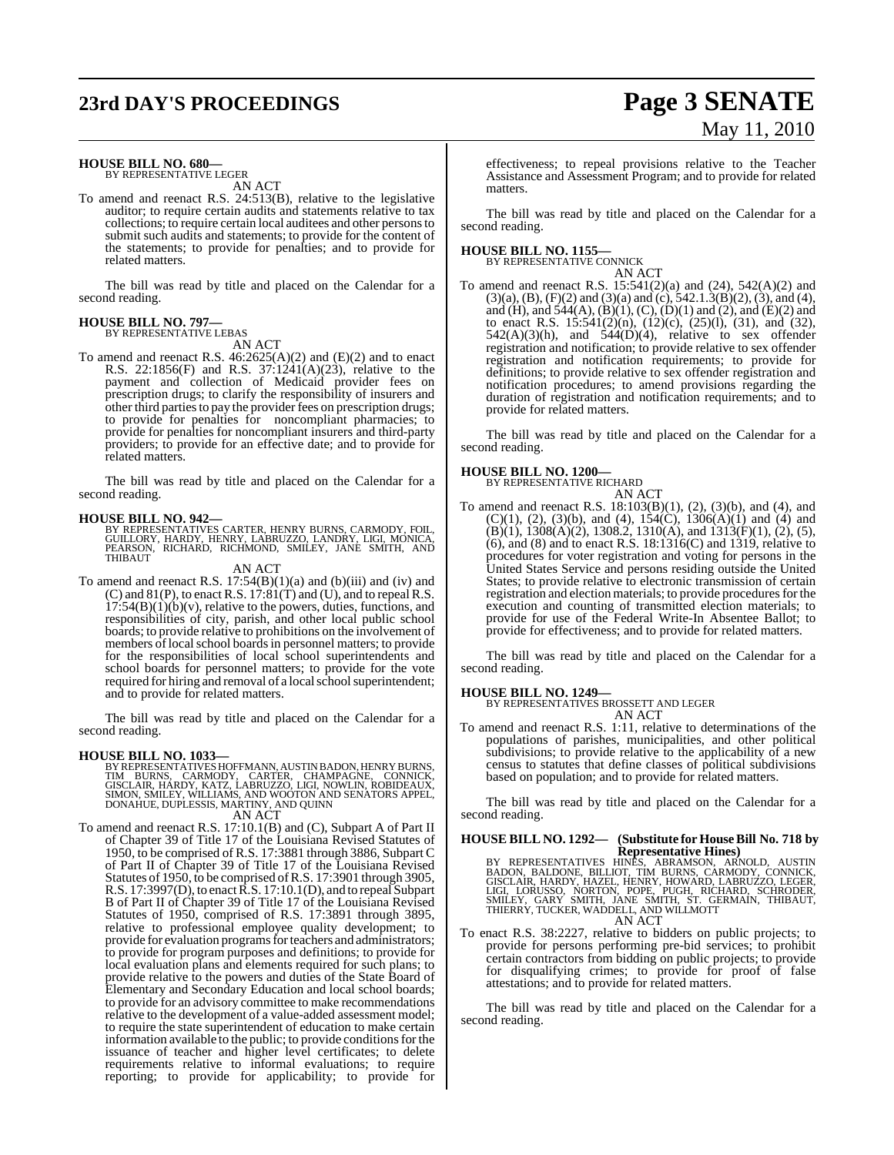# **23rd DAY'S PROCEEDINGS Page 3 SENATE**

#### **HOUSE BILL NO. 680—**

BY REPRESENTATIVE LEGER AN ACT

To amend and reenact R.S. 24:513(B), relative to the legislative auditor; to require certain audits and statements relative to tax collections; to require certain local auditees and other personsto submit such audits and statements; to provide for the content of the statements; to provide for penalties; and to provide for related matters.

The bill was read by title and placed on the Calendar for a second reading.

#### **HOUSE BILL NO. 797—** BY REPRESENTATIVE LEBAS

AN ACT

To amend and reenact R.S. 46:2625(A)(2) and (E)(2) and to enact R.S. 22:1856(F) and R.S. 37:1241(A)(23), relative to the payment and collection of Medicaid provider fees on prescription drugs; to clarify the responsibility of insurers and other third partiesto pay the provider fees on prescription drugs; to provide for penalties for noncompliant pharmacies; to provide for penalties for noncompliant insurers and third-party providers; to provide for an effective date; and to provide for related matters.

The bill was read by title and placed on the Calendar for a second reading.

**HOUSE BILL NO. 942—**<br>BY REPRESENTATIVES CARTER, HENRY BURNS, CARMODY, FOIL, GUILLORY, HARDY, HENRY, LABRUZZO, LANDRY, LIGI, MONICA,<br>PEARSON, RICHARD, RICHMOND, SMILEY, JANE SMITH, AND<br>THIBAUT

#### AN ACT

To amend and reenact R.S.  $17:54(B)(1)(a)$  and (b)(iii) and (iv) and (C) and 81(P), to enact R.S. 17:81(T) and (U), and to repeal R.S.  $17:54(B)(1)(b)(v)$ , relative to the powers, duties, functions, and responsibilities of city, parish, and other local public school boards; to provide relative to prohibitions on the involvement of members of local school boards in personnel matters; to provide for the responsibilities of local school superintendents and school boards for personnel matters; to provide for the vote required for hiring and removal of a local school superintendent; and to provide for related matters.

The bill was read by title and placed on the Calendar for a second reading.

#### **HOUSE BILL NO. 1033—**

BY REPRESENTATIVES HOFFMANN, AUSTIN BADON, HENRY BURNS, TIM BURNS, CARMODY, CARTER, CHAMPAGNE, CONNICK,<br>GISCLAIR,HARDY,KATZ,LABRUZZO,LIGI,NOWLIN,ROBIDEAUX,<br>SIMON,SMILEY,WILLIAMS,AND WOOTON AND SENATORS APPEL,<br>DONAHUE,DUPLESSIS,MARTINY,AND QUINN

AN ACT

To amend and reenact R.S. 17:10.1(B) and (C), Subpart A of Part II of Chapter 39 of Title 17 of the Louisiana Revised Statutes of 1950, to be comprised of R.S. 17:3881 through 3886, Subpart C of Part II of Chapter 39 of Title 17 of the Louisiana Revised Statutes of 1950, to be comprised ofR.S. 17:3901 through 3905, R.S. 17:3997(D), to enact R.S. 17:10.1(D), and to repeal Subpart B of Part II of Chapter 39 of Title 17 of the Louisiana Revised Statutes of 1950, comprised of R.S. 17:3891 through 3895, relative to professional employee quality development; to provide for evaluation programs for teachers and administrators; to provide for program purposes and definitions; to provide for local evaluation plans and elements required for such plans; to provide relative to the powers and duties of the State Board of Elementary and Secondary Education and local school boards; to provide for an advisory committee to make recommendations relative to the development of a value-added assessment model; to require the state superintendent of education to make certain information available to the public; to provide conditions for the issuance of teacher and higher level certificates; to delete requirements relative to informal evaluations; to require reporting; to provide for applicability; to provide for

effectiveness; to repeal provisions relative to the Teacher Assistance and Assessment Program; and to provide for related matters.

The bill was read by title and placed on the Calendar for a second reading.

#### **HOUSE BILL NO. 1155—** BY REPRESENTATIVE CONNICK

AN ACT

To amend and reenact R.S. 15:541(2)(a) and (24), 542(A)(2) and  $(3)(a)$ ,  $(B)$ ,  $(F)(2)$  and  $(3)(a)$  and  $(c)$ ,  $542.1.3(B)(2)$ ,  $(3)$ , and  $(4)$ , and (H), and 544(A), (B)(1), (C), (D)(1) and (2), and (E)(2) and to enact R.S. 15:541(2)(n), (12)(c), (25)(l), (31), and (32),  $542(A)(3)(h)$ , and  $544(D)(4)$ , relative to sex offender registration and notification; to provide relative to sex offender registration and notification requirements; to provide for definitions; to provide relative to sex offender registration and notification procedures; to amend provisions regarding the duration of registration and notification requirements; and to provide for related matters.

The bill was read by title and placed on the Calendar for a second reading.

### **HOUSE BILL NO. 1200—** BY REPRESENTATIVE RICHARD

AN ACT

To amend and reenact R.S. 18:103(B)(1), (2), (3)(b), and (4), and  $(C)(1)$ ,  $(2)$ ,  $(3)(b)$ , and  $(4)$ ,  $154(C)$ ,  $1306(A)(1)$  and  $(4)$  and  $(B)(1)$ , 1308 $(A)(2)$ , 1308.2, 1310 $(A)$ , and 1313 $(F)(1)$ ,  $(2)$ ,  $(5)$ , (6), and (8) and to enact R.S.  $18:1316(C)$  and  $1319$ , relative to procedures for voter registration and voting for persons in the United States Service and persons residing outside the United States; to provide relative to electronic transmission of certain registration and election materials; to provide procedures for the execution and counting of transmitted election materials; to provide for use of the Federal Write-In Absentee Ballot; to provide for effectiveness; and to provide for related matters.

The bill was read by title and placed on the Calendar for a second reading.

#### **HOUSE BILL NO. 1249—**

BY REPRESENTATIVES BROSSETT AND LEGER AN ACT

To amend and reenact R.S. 1:11, relative to determinations of the populations of parishes, municipalities, and other political subdivisions; to provide relative to the applicability of a new census to statutes that define classes of political subdivisions based on population; and to provide for related matters.

The bill was read by title and placed on the Calendar for a second reading.

**HOUSE BILL NO. 1292— (Substitute for HouseBill No. 718 by**

Representative Hines)<br>BADON, BALDONE, BILLIOT, TIM BURNSON, ARNOLD, AUSTIN<br>BADON, BALDONE, BILLIOT, TIM BURNS, CARMODY, CONNICK,<br>GISCLAIR, HARDY, HAZEL, HENRY, HOWARD, LABRUZZO, LEGER,<br>LIGI, LORUSSO, NORTON, POPE, PUGH, RI AN ACT

To enact R.S. 38:2227, relative to bidders on public projects; to provide for persons performing pre-bid services; to prohibit certain contractors from bidding on public projects; to provide for disqualifying crimes; to provide for proof of false attestations; and to provide for related matters.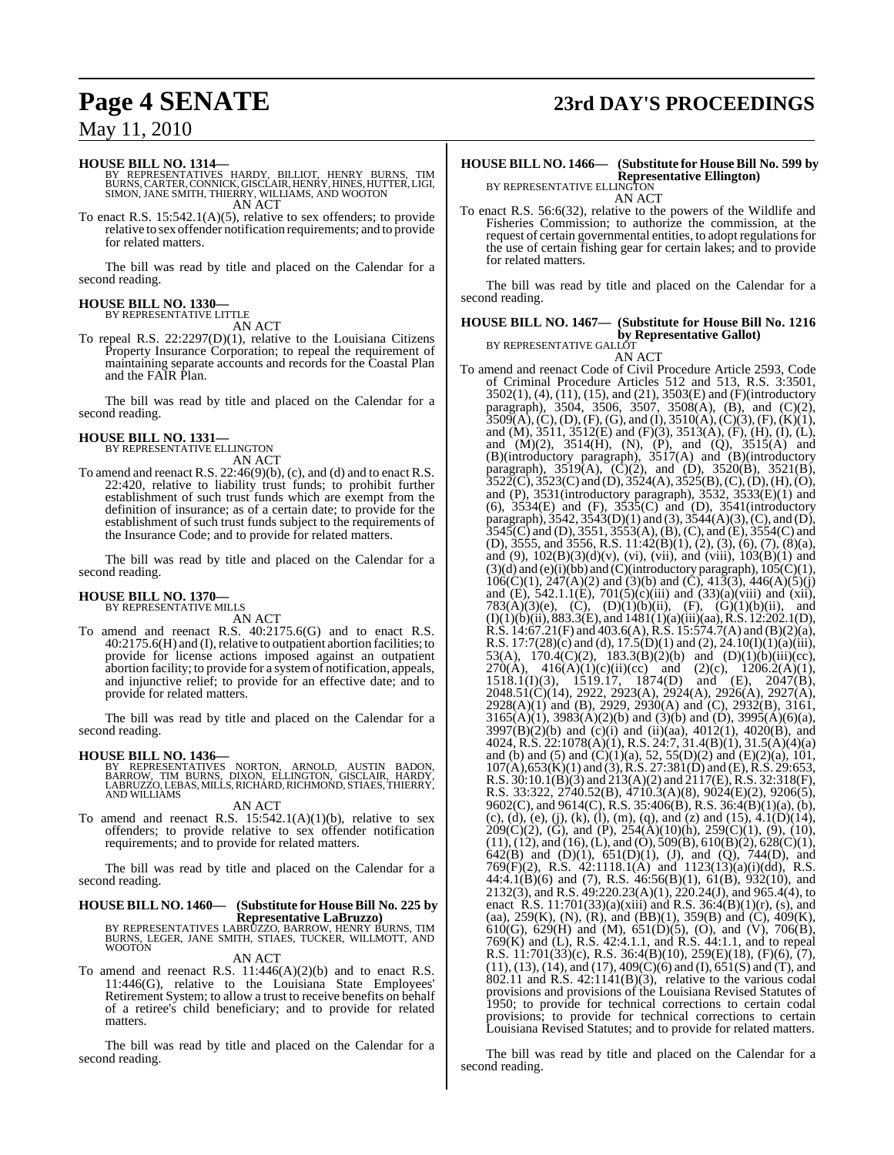#### **HOUSE BILL NO. 1314—**

BY REPRESENTATIVES HARDY, BILLIOT, HENRY BURNS, TIM<br>BURNS,CARTER,CONNICK,GISCLAIR,HENRY,HINES,HUTTER,LIGI,<br>SIMON,JANE SMITH,THIERRY,WILLIAMS,AND WOOTON<br>AN ACT

To enact R.S. 15:542.1(A)(5), relative to sex offenders; to provide relative to sex offender notification requirements; and to provide for related matters.

The bill was read by title and placed on the Calendar for a second reading.

#### **HOUSE BILL NO. 1330—**

BY REPRESENTATIVE LITTLE AN ACT

To repeal R.S. 22:2297(D)(1), relative to the Louisiana Citizens Property Insurance Corporation; to repeal the requirement of maintaining separate accounts and records for the Coastal Plan and the FAIR Plan.

The bill was read by title and placed on the Calendar for a second reading.

#### **HOUSE BILL NO. 1331—**

BY REPRESENTATIVE ELLINGTON AN ACT

To amend and reenact R.S. 22:46(9)(b), (c), and (d) and to enact R.S. 22:420, relative to liability trust funds; to prohibit further establishment of such trust funds which are exempt from the definition of insurance; as of a certain date; to provide for the establishment of such trust funds subject to the requirements of the Insurance Code; and to provide for related matters.

The bill was read by title and placed on the Calendar for a second reading.

#### **HOUSE BILL NO. 1370—** BY REPRESENTATIVE MILLS

AN ACT

To amend and reenact R.S. 40:2175.6(G) and to enact R.S. 40:2175.6(H) and (I),relative to outpatient abortion facilities; to provide for license actions imposed against an outpatient abortion facility; to provide for a systemof notification, appeals, and injunctive relief; to provide for an effective date; and to provide for related matters.

The bill was read by title and placed on the Calendar for a second reading.

**HOUSE BILL NO. 1436—**<br>BY REPRESENTATIVES NORTON, ARNOLD, AUSTIN BADON,<br>BARROW, TIM BURNS, DIXON, ELLINGTON, GISCLAIR, HARDY,<br>LABRUZZO, LEBAS, MILLS, RICHARD, RICHMOND, STIAES, THIERRY,<br>AND WILLIAMS

#### AN ACT

To amend and reenact R.S.  $15:542.1(A)(1)(b)$ , relative to sex offenders; to provide relative to sex offender notification requirements; and to provide for related matters.

The bill was read by title and placed on the Calendar for a second reading.

## **HOUSE BILL NO. 1460— (Substitute for HouseBill No. 225 by**

**Representative LaBruzzo)**<br>BY REPRESENTATIVES LABRUZZO, BARROW, HENRY BURNS, TIM<br>BURNS, LEGER, JANE SMITH, STIAES, TUCKER, WILLMOTT, AND<br>WOOTON

AN ACT To amend and reenact R.S. 11:446(A)(2)(b) and to enact R.S. 11:446(G), relative to the Louisiana State Employees' Retirement System; to allow a trust to receive benefits on behalf of a retiree's child beneficiary; and to provide for related matters.

The bill was read by title and placed on the Calendar for a second reading.

## **Page 4 SENATE 23rd DAY'S PROCEEDINGS**

#### **HOUSE BILL NO. 1466— (Substitute for HouseBill No. 599 by Representative Ellington)** BY REPRESENTATIVE ELLINGTON

AN ACT

To enact R.S. 56:6(32), relative to the powers of the Wildlife and Fisheries Commission; to authorize the commission, at the request of certain governmental entities, to adopt regulationsfor the use of certain fishing gear for certain lakes; and to provide for related matters.

The bill was read by title and placed on the Calendar for a second reading.

#### **HOUSE BILL NO. 1467— (Substitute for House Bill No. 1216 by Representative Gallot)** BY REPRESENTATIVE GALLOT

AN ACT

To amend and reenact Code of Civil Procedure Article 2593, Code of Criminal Procedure Articles 512 and 513, R.S. 3:3501, 3502(1), (4), (11), (15), and (21), 3503(E) and (F)(introductory paragraph), 3504, 3506, 3507, 3508(A), (B), and (C)(2),  $3509(A), (C), (D), (F), (G),$  and  $(I), 3510(A), (C)(3), (F), (K)(1),$ and (M), 3511, 3512(E) and (F)(3), 3513(A), (F), (H), (I), (L), and  $(M)(2)$ ,  $3514(H)$ ,  $(N)$ ,  $(P)$ , and  $(Q)$ ,  $3515(A)$  and (B)(introductory paragraph), 3517(A) and (B)(introductory paragraph),  $3519(A)$ ,  $(\hat{C})(2)$ , and  $(D)$ ,  $3520(B)$ ,  $3521(B)$ ,  $3522(\text{C})$ ,  $3523(\text{C})$  and (D),  $3524(\text{A})$ ,  $3525(\text{B})$ , (C), (D), (H), (O), and (P), 3531(introductory paragraph), 3532, 3533(E)(1) and (6), 3534(E) and (F), 3535(C) and (D), 3541(introductory paragraph),  $3542$ ,  $3543(D)(1)$  and  $(3)$ ,  $3544(A)(3)$ ,  $(C)$ , and  $(D)$ ,  $3545(C)$  and (D),  $3551, 3553(A)$ , (B), (C), and (E),  $3554(C)$  and (D), 3555, and 3556, R.S. 11:42(B)(1), (2), (3), (6), (7), (8)(a), and (9),  $102(B)(3)(d)(v)$ , (vi), (vii), and (viii),  $103(B)(1)$  and  $(3)(d)$  and  $(e)(i)(bb)$  and  $(C)(introductiony$  paragraph),  $105(C)(1)$ ,  $106(C)(1)$ ,  $247(A)(2)$  and  $(3)(b)$  and  $(\dot{C})$ ,  $413(3)$ ,  $446(A)(5)(j)$ and (E), 542.1.1(E), 701(5)(c)(iii) and (33)(a)(viii) and (xii), 783(A)(3)(e), (C),  $(D)(1)(b)(ii)$ , (F),  $(G)(1)(b)(ii)$ , and  $(I)(1)(b)(ii)$ , 883.3 $(E)$ , and  $1481(1)(a)(iii)(aa)$ , R.S. 12:202.1(D), R.S. 14:67.21(F) and 403.6(A), R.S. 15:574.7(A) and (B)(2)(a), R.S. 17:7(28)(c) and (d), 17.5(D)(1) and (2), 24.10(I)(1)(a)(iii), 53(A),  $170.4(C)(2)$ ,  $183.3(B)(2)(b)$  and  $(D)(1)(b)(iii)(cc)$ , 270(A),  $416(A)(1)(c)(ii)(cc)$  and  $(2)(c)$ ,  $1206.2(A)(1)$ , 1518.1(I)(3), 1519.17, 1874(D) and (E), 2047(B), 2048.51(C)(14), 2922, 2923(A), 2924(A), 2926(A), 2927(A), 2928(A)(1) and (B), 2929, 2930(A) and (C), 2932(B), 3161,  $3165(A)(1)$ ,  $3983(A)(2)(b)$  and  $(3)(b)$  and  $(D)$ ,  $3995(A)(6)(a)$ , 3997(B)(2)(b) and (c)(i) and (ii)(aa), 4012(1), 4020(B), and 4024, R.S. 22:1078(A)(1), R.S. 24:7, 31.4(B)(1), 31.5(A)(4)(a) and (b) and (5) and  $(C)(1)(a)$ , 52, 55(D)(2) and (E)(2)(a), 101,  $107(A)$ ,653(K)(1) and (3), R.S. 27:381(D) and (E), R.S. 29:653, R.S.  $30:10.1(B)(3)$  and  $213(A)(2)$  and  $2117(E)$ , R.S.  $32:318(F)$ , R.S. 33:322, 2740.52(B), 4710.3(A)(8), 9024(E)(2), 9206(5), 9602(C), and 9614(C), R.S. 35:406(B), R.S. 36:4(B)(1)(a), (b),  $(c)$ , (d), (e), (j), (k), (l), (m), (q), and (z) and (15), 4.1(D)(14),  $209(C)(2)$ , (G), and (P),  $254(\text{\AA})(10)(\text{h})$ ,  $259(C)(1)$ , (9), (10),  $(11)$ ,  $(12)$ , and  $(16)$ ,  $(L)$ , and  $(O)$ ,  $509(B)$ ,  $610(B)(2)$ ,  $628(C)(1)$ , 642(B) and (D)(1), 651(D)(1), (J), and (Q), 744(D), and 769(F)(2), R.S. 42:1118.1(A) and 1123(13)(a)(i)(dd), R.S. 44:4.1(B)(6) and (7), R.S. 46:56(B)(1), 61(B), 932(10), and 2132(3), and R.S. 49:220.23(A)(1), 220.24(J), and 965.4(4), to enact R.S. 11:701(33)(a)(xiii) and R.S. 36:4(B)(1)(r), (s), and (aa), 259(K), (N), (R), and (BB)(1), 359(B) and (C), 409(K), 610(G), 629(H) and (M), 651(D)(5), (O), and (V), 706(B), 769(K) and (L), R.S. 42:4.1.1, and R.S. 44:1.1, and to repeal R.S. 11:701(33)(c), R.S. 36:4(B)(10), 259(E)(18), (F)(6), (7),  $(11)$ ,  $(13)$ ,  $(14)$ , and  $(17)$ ,  $409(C)(6)$  and  $(I)$ ,  $651(S)$  and  $(T)$ , and  $802.11$  and R.S.  $42.1141(B)(3)$ , relative to the various codal provisions and provisions of the Louisiana Revised Statutes of 1950; to provide for technical corrections to certain codal provisions; to provide for technical corrections to certain Louisiana Revised Statutes; and to provide for related matters.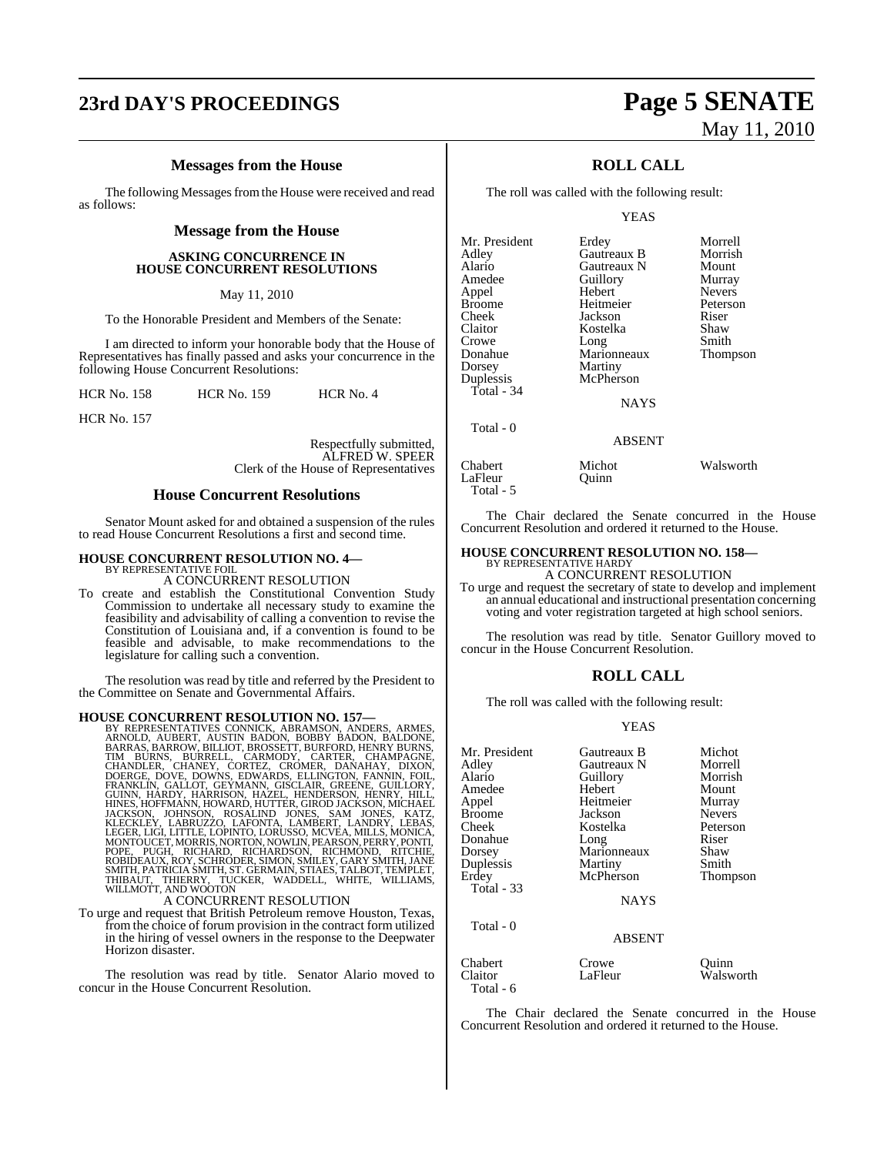# **23rd DAY'S PROCEEDINGS Page 5 SENATE**

### **Messages from the House**

The following Messages from the House were received and read as follows:

#### **Message from the House**

#### **ASKING CONCURRENCE IN HOUSE CONCURRENT RESOLUTIONS**

May 11, 2010

To the Honorable President and Members of the Senate:

I am directed to inform your honorable body that the House of Representatives has finally passed and asks your concurrence in the following House Concurrent Resolutions:

HCR No. 158 HCR No. 159 HCR No. 4

HCR No. 157

Respectfully submitted, ALFRED W. SPEER Clerk of the House of Representatives

#### **House Concurrent Resolutions**

Senator Mount asked for and obtained a suspension of the rules to read House Concurrent Resolutions a first and second time.

### **HOUSE CONCURRENT RESOLUTION NO. 4—** BY REPRESENTATIVE FOIL

A CONCURRENT RESOLUTION

To create and establish the Constitutional Convention Study Commission to undertake all necessary study to examine the feasibility and advisability of calling a convention to revise the Constitution of Louisiana and, if a convention is found to be feasible and advisable, to make recommendations to the legislature for calling such a convention.

The resolution was read by title and referred by the President to the Committee on Senate and Governmental Affairs.

#### **HOUSE CONCURRENT RESOLUTION NO. 157—**

BY REPRESENTATIVES CONNICK, ABRAMSON, ANDERS, ARMES,<br>ARNOLD, AUBERT, AUSTIN BADON, BOBBY BADON, BALDONE,<br>BARRAS, BARROW, BILLIOT, BROSSETT, BURFORD, HENRY BURNS, TIM BURNS, BURRELL, CARMODY, CARTER, CHAMPAGNE,<br>CHANDLER, CHANEY, CORTEZ, CROMER, DANAHAY, DIXON,<br>DOERGE, CHANEY, CORTEZ, CROMER, DANAHAY, DIXON,<br>FRANKLIN, GALLOT, GEYMANN, GISCLAIR, GREENE, GUILLORY,<br>GUINN, HARDY, HARRISO

A CONCURRENT RESOLUTION

To urge and request that British Petroleum remove Houston, Texas, from the choice of forum provision in the contract form utilized in the hiring of vessel owners in the response to the Deepwater Horizon disaster.

The resolution was read by title. Senator Alario moved to concur in the House Concurrent Resolution.

# May 11, 2010

### **ROLL CALL**

The roll was called with the following result:

YEAS

| Mr. President | Erdey       | Morrell       |
|---------------|-------------|---------------|
| Adley         | Gautreaux B | Morrish       |
| Alario        | Gautreaux N | Mount         |
| Amedee        | Guillory    | Murray        |
| Appel         | Hebert      | <b>Nevers</b> |
| <b>Broome</b> | Heitmeier   | Peterson      |
| Cheek         | Jackson     | Riser         |
| Claitor       | Kostelka    | Shaw          |
| Crowe         | Long        | Smith         |
| Donahue       | Marionneaux | Thompson      |
| Dorsey        | Martiny     |               |
| Duplessis     | McPherson   |               |
| Total - 34    |             |               |
|               | <b>NAYS</b> |               |
| Total - 0     |             |               |
|               | ABSENT      |               |

Chabert Michot Walsworth LaFleur Quinn Total - 5

The Chair declared the Senate concurred in the House Concurrent Resolution and ordered it returned to the House.

#### **HOUSE CONCURRENT RESOLUTION NO. 158—** BY REPRESENTATIVE HARDY

A CONCURRENT RESOLUTION

To urge and request the secretary of state to develop and implement an annual educational and instructional presentation concerning voting and voter registration targeted at high school seniors.

The resolution was read by title. Senator Guillory moved to concur in the House Concurrent Resolution.

#### **ROLL CALL**

The roll was called with the following result:

#### YEAS

| Mr. President                   | Gautreaux B      | Michot             |
|---------------------------------|------------------|--------------------|
| Adley                           | Gautreaux N      | Morrell            |
| Alario                          | Guillory         | Morrish            |
| Amedee                          | Hebert           | Mount              |
| Appel                           | Heitmeier        | Murray             |
| Broome                          | Jackson          | <b>Nevers</b>      |
| Cheek                           | Kostelka         | Peterson           |
| Donahue                         | Long             | Riser              |
| Dorsey                          | Marionneaux      | Shaw               |
| Duplessis                       | Martiny          | Smith              |
| Erdey                           | McPherson        | Thompson           |
| Total - 33                      |                  |                    |
|                                 | <b>NAYS</b>      |                    |
| Total - 0                       | <b>ABSENT</b>    |                    |
| Chabert<br>Claitor<br>Total - 6 | Crowe<br>LaFleur | Ouinn<br>Walsworth |

The Chair declared the Senate concurred in the House Concurrent Resolution and ordered it returned to the House.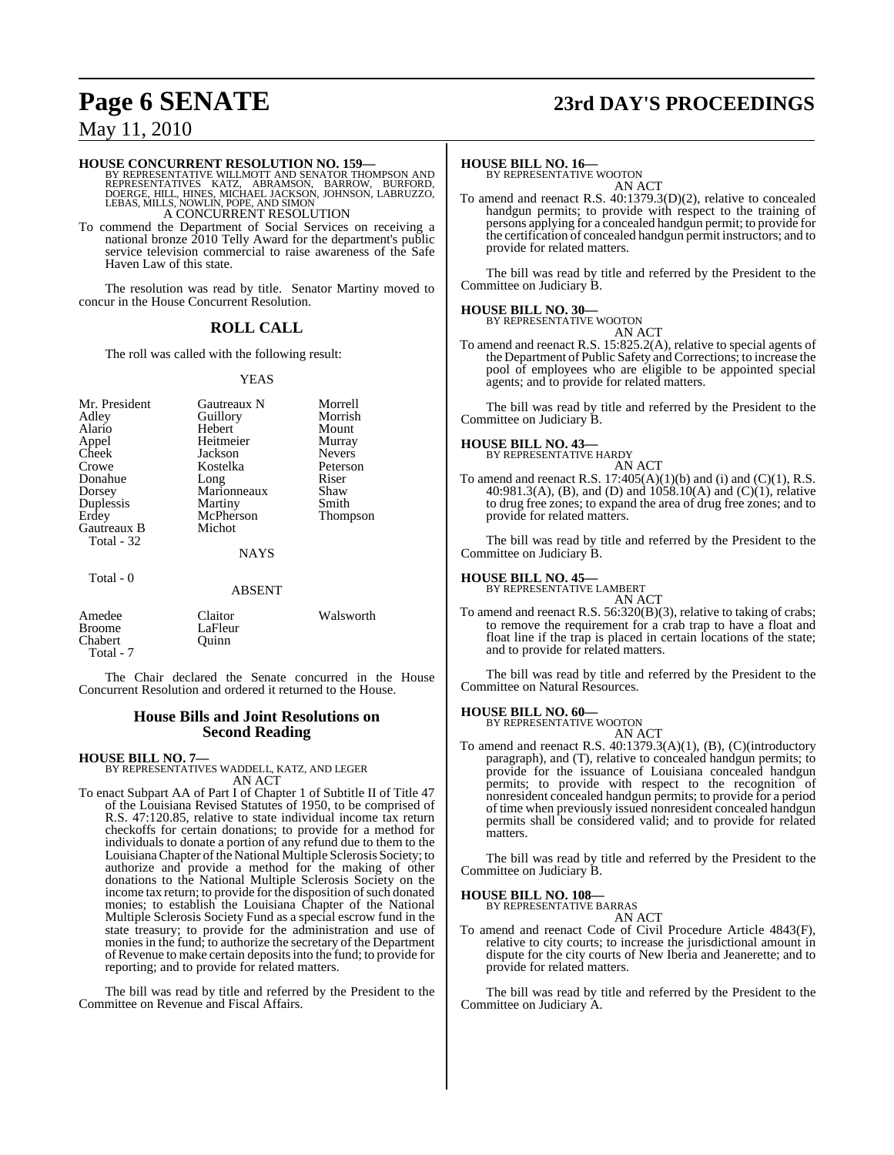# **Page 6 SENATE 23rd DAY'S PROCEEDINGS**

### May 11, 2010

**HOUSE CONCURRENT RESOLUTION NO. 159—**<br>BY REPRESENTATIVE WILLMOTT AND SENATOR THOMPSON AND<br>REPRESENTATIVES KATZ, ABRAMSON, BARROW, BURFORD,<br>DOERGE, HILL, HINES, MICHAEL JACKSON, JOHNSON, LABRUZZO,<br>LEBAS, MILLS, NOWLIN, POP A CONCURRENT RESOLUTION

To commend the Department of Social Services on receiving a national bronze 2010 Telly Award for the department's public service television commercial to raise awareness of the Safe Haven Law of this state.

The resolution was read by title. Senator Martiny moved to concur in the House Concurrent Resolution.

### **ROLL CALL**

The roll was called with the following result:

#### YEAS

| Mr. President<br>Adley<br>Alario<br>Appel       | Gautreaux N<br>Guillory<br>Hebert<br>Heitmeier | Morrell<br>Morrish<br>Mount<br>Murray |
|-------------------------------------------------|------------------------------------------------|---------------------------------------|
| Cheek                                           | Jackson                                        | <b>Nevers</b>                         |
| Crowe<br>Donahue                                | Kostelka<br>Long                               | Peterson<br>Riser                     |
| Dorsey                                          | Marionneaux                                    | Shaw                                  |
| Duplessis<br>Erdey                              | Martiny<br>McPherson                           | Smith<br>Thompson                     |
| Gautreaux B<br>Total - 32                       | Michot                                         |                                       |
|                                                 | <b>NAYS</b>                                    |                                       |
| Total - 0                                       | <b>ABSENT</b>                                  |                                       |
| Amedee<br><b>Broome</b><br>Chabert<br>Total - 7 | Claitor<br>LaFleur<br>Ouinn                    | Walsworth                             |

The Chair declared the Senate concurred in the House Concurrent Resolution and ordered it returned to the House.

#### **House Bills and Joint Resolutions on Second Reading**

**HOUSE BILL NO. 7—**

BY REPRESENTATIVES WADDELL, KATZ, AND LEGER AN ACT

To enact Subpart AA of Part I of Chapter 1 of Subtitle II of Title 47 of the Louisiana Revised Statutes of 1950, to be comprised of R.S. 47:120.85, relative to state individual income tax return checkoffs for certain donations; to provide for a method for individuals to donate a portion of any refund due to them to the Louisiana Chapter of the National Multiple Sclerosis Society; to authorize and provide a method for the making of other donations to the National Multiple Sclerosis Society on the income tax return; to provide for the disposition of such donated monies; to establish the Louisiana Chapter of the National Multiple Sclerosis Society Fund as a special escrow fund in the state treasury; to provide for the administration and use of monies in the fund; to authorize the secretary of the Department of Revenue to make certain deposits into the fund; to provide for reporting; and to provide for related matters.

The bill was read by title and referred by the President to the Committee on Revenue and Fiscal Affairs.

### **HOUSE BILL NO. 16—** BY REPRESENTATIVE WOOTON

AN ACT

To amend and reenact R.S. 40:1379.3(D)(2), relative to concealed handgun permits; to provide with respect to the training of persons applying for a concealed handgun permit; to provide for the certification of concealed handgun permit instructors; and to provide for related matters.

The bill was read by title and referred by the President to the Committee on Judiciary B.

#### **HOUSE BILL NO. 30—**

BY REPRESENTATIVE WOOTON AN ACT

To amend and reenact R.S. 15:825.2(A), relative to special agents of the Department of Public Safety and Corrections; to increase the pool of employees who are eligible to be appointed special agents; and to provide for related matters.

The bill was read by title and referred by the President to the Committee on Judiciary B.

### **HOUSE BILL NO. 43—** BY REPRESENTATIVE HARDY

AN ACT To amend and reenact R.S.  $17:405(A)(1)(b)$  and (i) and (C)(1), R.S. 40:981.3(A), (B), and (D) and  $1058.10(A)$  and  $(C)(1)$ , relative to drug free zones; to expand the area of drug free zones; and to provide for related matters.

The bill was read by title and referred by the President to the Committee on Judiciary B.

### **HOUSE BILL NO. 45—** BY REPRESENTATIVE LAMBERT

AN ACT

To amend and reenact R.S. 56:320(B)(3), relative to taking of crabs; to remove the requirement for a crab trap to have a float and float line if the trap is placed in certain locations of the state; and to provide for related matters.

The bill was read by title and referred by the President to the Committee on Natural Resources.

#### **HOUSE BILL NO. 60—**

BY REPRESENTATIVE WOOTON AN ACT

To amend and reenact R.S. 40:1379.3(A)(1), (B), (C)(introductory paragraph), and (T), relative to concealed handgun permits; to provide for the issuance of Louisiana concealed handgun permits; to provide with respect to the recognition of nonresident concealed handgun permits; to provide for a period of time when previously issued nonresident concealed handgun permits shall be considered valid; and to provide for related matters.

The bill was read by title and referred by the President to the Committee on Judiciary B.

### **HOUSE BILL NO. 108—**

BY REPRESENTATIVE BARRAS

AN ACT To amend and reenact Code of Civil Procedure Article 4843(F), relative to city courts; to increase the jurisdictional amount in dispute for the city courts of New Iberia and Jeanerette; and to provide for related matters.

The bill was read by title and referred by the President to the Committee on Judiciary A.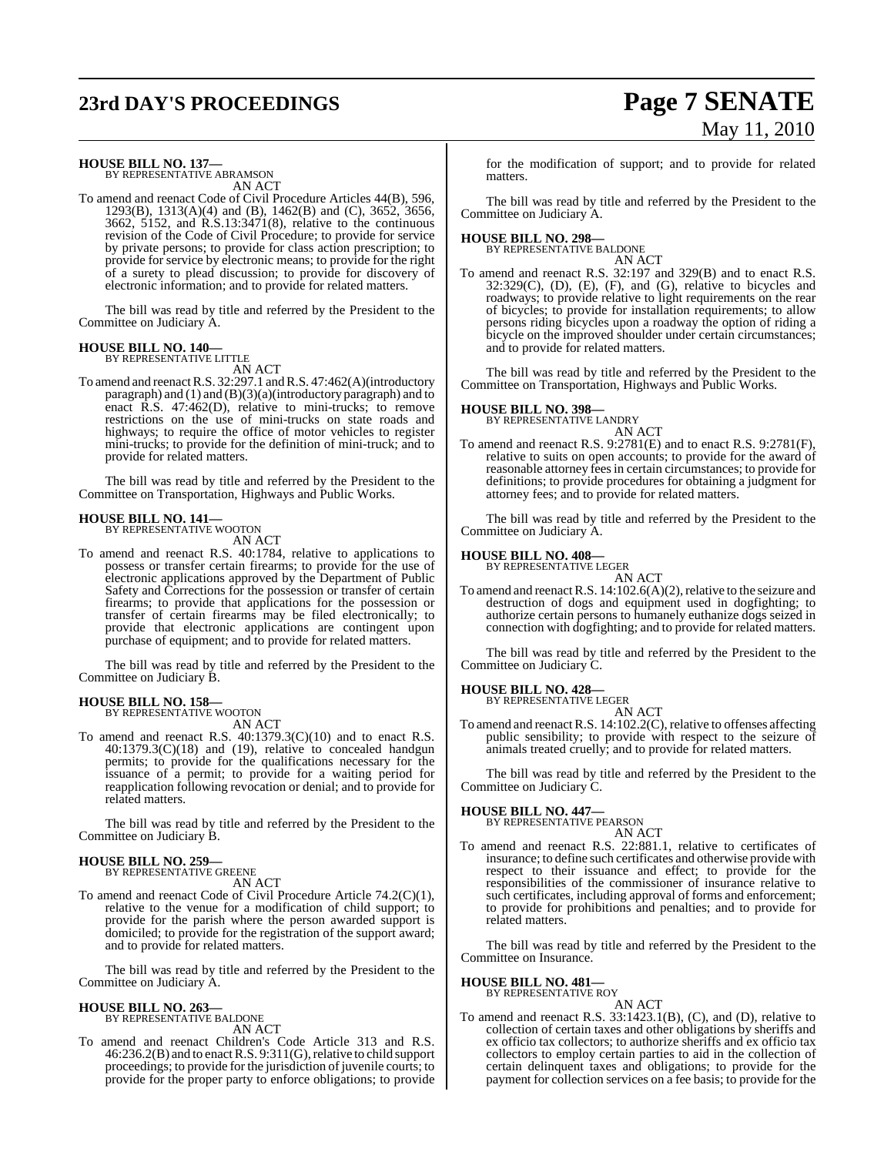# **23rd DAY'S PROCEEDINGS Page 7 SENATE**

# May 11, 2010

**HOUSE BILL NO. 137—** BY REPRESENTATIVE ABRAMSON

AN ACT

To amend and reenact Code of Civil Procedure Articles 44(B), 596, 1293(B), 1313(A)(4) and (B), 1462(B) and (C), 3652, 3656, 3662, 5152, and R.S.13:3471(8), relative to the continuous revision of the Code of Civil Procedure; to provide for service by private persons; to provide for class action prescription; to provide for service by electronic means; to provide for the right of a surety to plead discussion; to provide for discovery of electronic information; and to provide for related matters.

The bill was read by title and referred by the President to the Committee on Judiciary A.

#### **HOUSE BILL NO. 140—**

BY REPRESENTATIVE LITTLE AN ACT

To amend and reenact R.S. 32:297.1 and R.S. 47:462(A)(introductory paragraph) and  $(1)$  and  $(B)(3)(a)$ (introductory paragraph) and to enact R.S. 47:462(D), relative to mini-trucks; to remove restrictions on the use of mini-trucks on state roads and highways; to require the office of motor vehicles to register mini-trucks; to provide for the definition of mini-truck; and to provide for related matters.

The bill was read by title and referred by the President to the Committee on Transportation, Highways and Public Works.

#### **HOUSE BILL NO. 141—** BY REPRESENTATIVE WOOTON

AN ACT

To amend and reenact R.S. 40:1784, relative to applications to possess or transfer certain firearms; to provide for the use of electronic applications approved by the Department of Public Safety and Corrections for the possession or transfer of certain firearms; to provide that applications for the possession or transfer of certain firearms may be filed electronically; to provide that electronic applications are contingent upon purchase of equipment; and to provide for related matters.

The bill was read by title and referred by the President to the Committee on Judiciary B.

### **HOUSE BILL NO. 158—** BY REPRESENTATIVE WOOTON

AN ACT

To amend and reenact R.S. 40:1379.3(C)(10) and to enact R.S.  $40:1379.3(C)(18)$  and  $(19)$ , relative to concealed handgun permits; to provide for the qualifications necessary for the issuance of a permit; to provide for a waiting period for reapplication following revocation or denial; and to provide for related matters.

The bill was read by title and referred by the President to the Committee on Judiciary B.

#### **HOUSE BILL NO. 259—** BY REPRESENTATIVE GREENE

AN ACT

To amend and reenact Code of Civil Procedure Article 74.2(C)(1), relative to the venue for a modification of child support; to provide for the parish where the person awarded support is domiciled; to provide for the registration of the support award; and to provide for related matters.

The bill was read by title and referred by the President to the Committee on Judiciary A.

# **HOUSE BILL NO. 263—** BY REPRESENTATIVE BALDONE

AN ACT

To amend and reenact Children's Code Article 313 and R.S. 46:236.2(B) and to enactR.S. 9:311(G),relative to child support proceedings; to provide for the jurisdiction of juvenile courts; to provide for the proper party to enforce obligations; to provide for the modification of support; and to provide for related matters.

The bill was read by title and referred by the President to the Committee on Judiciary A.

## **HOUSE BILL NO. 298—** BY REPRESENTATIVE BALDONE

AN ACT

To amend and reenact R.S. 32:197 and 329(B) and to enact R.S.  $32:329(C)$ ,  $(D)$ ,  $(E)$ ,  $(F)$ , and  $(G)$ , relative to bicycles and roadways; to provide relative to light requirements on the rear of bicycles; to provide for installation requirements; to allow persons riding bicycles upon a roadway the option of riding a bicycle on the improved shoulder under certain circumstances; and to provide for related matters.

The bill was read by title and referred by the President to the Committee on Transportation, Highways and Public Works.

**HOUSE BILL NO. 398—** BY REPRESENTATIVE LANDRY

- AN ACT
- To amend and reenact R.S. 9:2781(E) and to enact R.S. 9:2781(F), relative to suits on open accounts; to provide for the award of reasonable attorney fees in certain circumstances; to provide for definitions; to provide procedures for obtaining a judgment for attorney fees; and to provide for related matters.

The bill was read by title and referred by the President to the Committee on Judiciary A.

### **HOUSE BILL NO. 408—** BY REPRESENTATIVE LEGER

AN ACT To amend and reenact R.S.  $14:102.6(A)(2)$ , relative to the seizure and destruction of dogs and equipment used in dogfighting; to authorize certain persons to humanely euthanize dogs seized in connection with dogfighting; and to provide for related matters.

The bill was read by title and referred by the President to the Committee on Judiciary C.

#### **HOUSE BILL NO. 428—**

BY REPRESENTATIVE LEGER AN ACT

To amend and reenact R.S. 14:102.2(C), relative to offenses affecting public sensibility; to provide with respect to the seizure of animals treated cruelly; and to provide for related matters.

The bill was read by title and referred by the President to the Committee on Judiciary C.

### **HOUSE BILL NO. 447—** BY REPRESENTATIVE PEARSON

AN ACT

To amend and reenact R.S. 22:881.1, relative to certificates of insurance; to define such certificates and otherwise provide with respect to their issuance and effect; to provide for the responsibilities of the commissioner of insurance relative to such certificates, including approval of forms and enforcement; to provide for prohibitions and penalties; and to provide for related matters.

The bill was read by title and referred by the President to the Committee on Insurance.

#### **HOUSE BILL NO. 481—**

BY REPRESENTATIVE ROY

AN ACT To amend and reenact R.S. 33:1423.1(B), (C), and (D), relative to collection of certain taxes and other obligations by sheriffs and ex officio tax collectors; to authorize sheriffs and ex officio tax collectors to employ certain parties to aid in the collection of certain delinquent taxes and obligations; to provide for the payment for collection services on a fee basis; to provide for the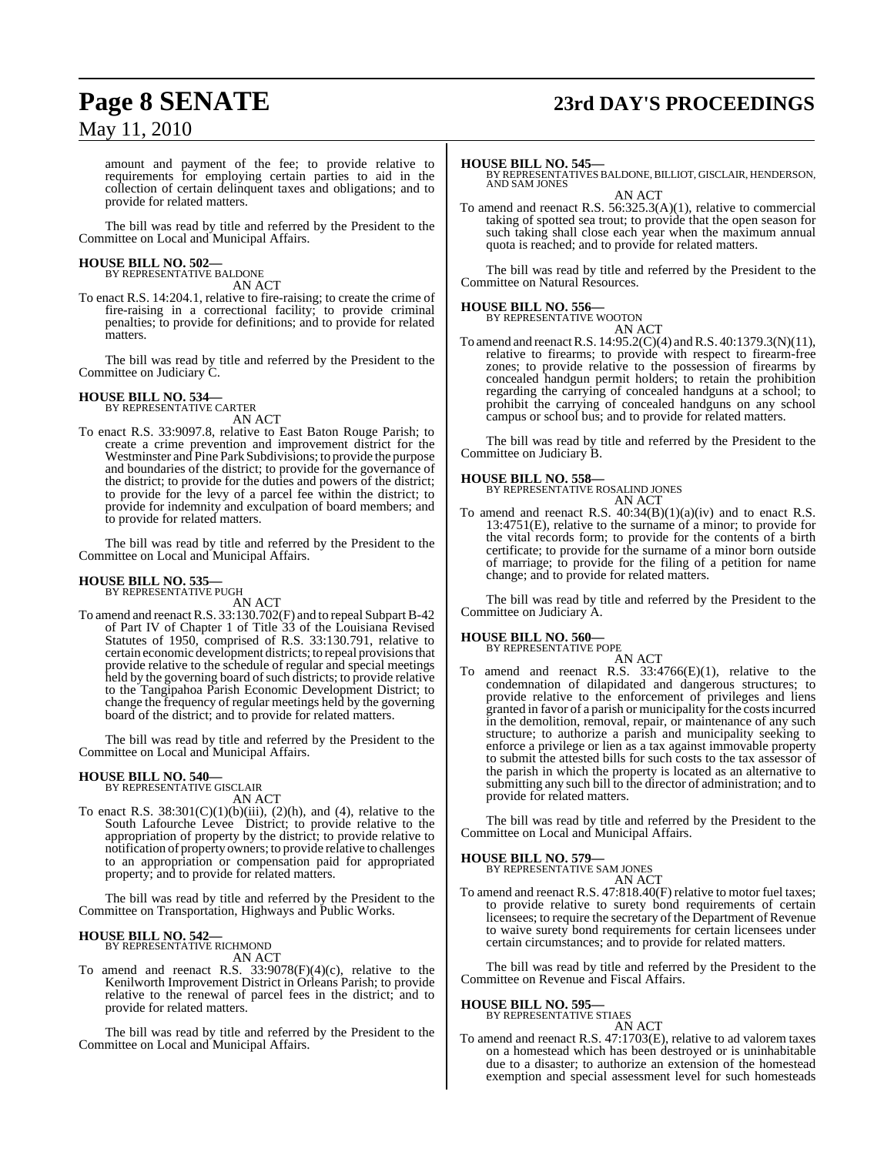# **Page 8 SENATE 23rd DAY'S PROCEEDINGS**

May 11, 2010

amount and payment of the fee; to provide relative to requirements for employing certain parties to aid in the collection of certain delinquent taxes and obligations; and to provide for related matters.

The bill was read by title and referred by the President to the Committee on Local and Municipal Affairs.

### **HOUSE BILL NO. 502—** BY REPRESENTATIVE BALDONE

AN ACT

To enact R.S. 14:204.1, relative to fire-raising; to create the crime of fire-raising in a correctional facility; to provide criminal penalties; to provide for definitions; and to provide for related matters.

The bill was read by title and referred by the President to the Committee on Judiciary C.

#### **HOUSE BILL NO. 534—** BY REPRESENTATIVE CARTER

AN ACT

To enact R.S. 33:9097.8, relative to East Baton Rouge Parish; to create a crime prevention and improvement district for the Westminster and Pine Park Subdivisions; to provide the purpose and boundaries of the district; to provide for the governance of the district; to provide for the duties and powers of the district; to provide for the levy of a parcel fee within the district; to provide for indemnity and exculpation of board members; and to provide for related matters.

The bill was read by title and referred by the President to the Committee on Local and Municipal Affairs.

#### **HOUSE BILL NO. 535—** BY REPRESENTATIVE PUGH

AN ACT

To amend and reenact R.S. 33:130.702(F) and to repeal Subpart B-42 of Part IV of Chapter 1 of Title 33 of the Louisiana Revised Statutes of 1950, comprised of R.S. 33:130.791, relative to certain economic development districts; to repeal provisions that provide relative to the schedule of regular and special meetings held by the governing board of such districts; to provide relative to the Tangipahoa Parish Economic Development District; to change the frequency of regular meetings held by the governing board of the district; and to provide for related matters.

The bill was read by title and referred by the President to the Committee on Local and Municipal Affairs.

# **HOUSE BILL NO. 540—** BY REPRESENTATIVE GISCLAIR

AN ACT

To enact R.S.  $38:301(C)(1)(b)(iii)$ ,  $(2)(h)$ , and  $(4)$ , relative to the South Lafourche Levee District; to provide relative to the appropriation of property by the district; to provide relative to notification of property owners; to provide relative to challenges to an appropriation or compensation paid for appropriated property; and to provide for related matters.

The bill was read by title and referred by the President to the Committee on Transportation, Highways and Public Works.

#### **HOUSE BILL NO. 542—** BY REPRESENTATIVE RICHMOND

AN ACT

To amend and reenact R.S.  $33:9078(F)(4)(c)$ , relative to the Kenilworth Improvement District in Orleans Parish; to provide relative to the renewal of parcel fees in the district; and to provide for related matters.

The bill was read by title and referred by the President to the Committee on Local and Municipal Affairs.

#### **HOUSE BILL NO. 545—**

BY REPRESENTATIVES BALDONE, BILLIOT, GISCLAIR, HENDERSON, AND SAM JONES AN ACT

To amend and reenact R.S. 56:325.3(A)(1), relative to commercial taking of spotted sea trout; to provide that the open season for such taking shall close each year when the maximum annual quota is reached; and to provide for related matters.

The bill was read by title and referred by the President to the Committee on Natural Resources.

#### **HOUSE BILL NO. 556—** BY REPRESENTATIVE WOOTON

AN ACT

To amend and reenactR.S. 14:95.2(C)(4) andR.S. 40:1379.3(N)(11), relative to firearms; to provide with respect to firearm-free zones; to provide relative to the possession of firearms by concealed handgun permit holders; to retain the prohibition regarding the carrying of concealed handguns at a school; to prohibit the carrying of concealed handguns on any school campus or school bus; and to provide for related matters.

The bill was read by title and referred by the President to the Committee on Judiciary B.

**HOUSE BILL NO. 558—** BY REPRESENTATIVE ROSALIND JONES AN ACT

To amend and reenact R.S.  $40:34(B)(1)(a)(iv)$  and to enact R.S. 13:4751(E), relative to the surname of a minor; to provide for the vital records form; to provide for the contents of a birth certificate; to provide for the surname of a minor born outside of marriage; to provide for the filing of a petition for name change; and to provide for related matters.

The bill was read by title and referred by the President to the Committee on Judiciary A.

### **HOUSE BILL NO. 560—** BY REPRESENTATIVE POPE

AN ACT To amend and reenact R.S.  $33:4766(E)(1)$ , relative to the condemnation of dilapidated and dangerous structures; to provide relative to the enforcement of privileges and liens granted in favor of a parish or municipality for the costs incurred in the demolition, removal, repair, or maintenance of any such structure; to authorize a parish and municipality seeking to enforce a privilege or lien as a tax against immovable property to submit the attested bills for such costs to the tax assessor of the parish in which the property is located as an alternative to submitting any such bill to the director of administration; and to provide for related matters.

The bill was read by title and referred by the President to the Committee on Local and Municipal Affairs.

### **HOUSE BILL NO. 579—**

BY REPRESENTATIVE SAM JONES AN ACT

To amend and reenact R.S. 47:818.40(F) relative to motor fuel taxes; to provide relative to surety bond requirements of certain licensees; to require the secretary of the Department of Revenue to waive surety bond requirements for certain licensees under certain circumstances; and to provide for related matters.

The bill was read by title and referred by the President to the Committee on Revenue and Fiscal Affairs.

#### **HOUSE BILL NO. 595—**

BY REPRESENTATIVE STIAES

AN ACT To amend and reenact R.S. 47:1703(E), relative to ad valorem taxes on a homestead which has been destroyed or is uninhabitable due to a disaster; to authorize an extension of the homestead exemption and special assessment level for such homesteads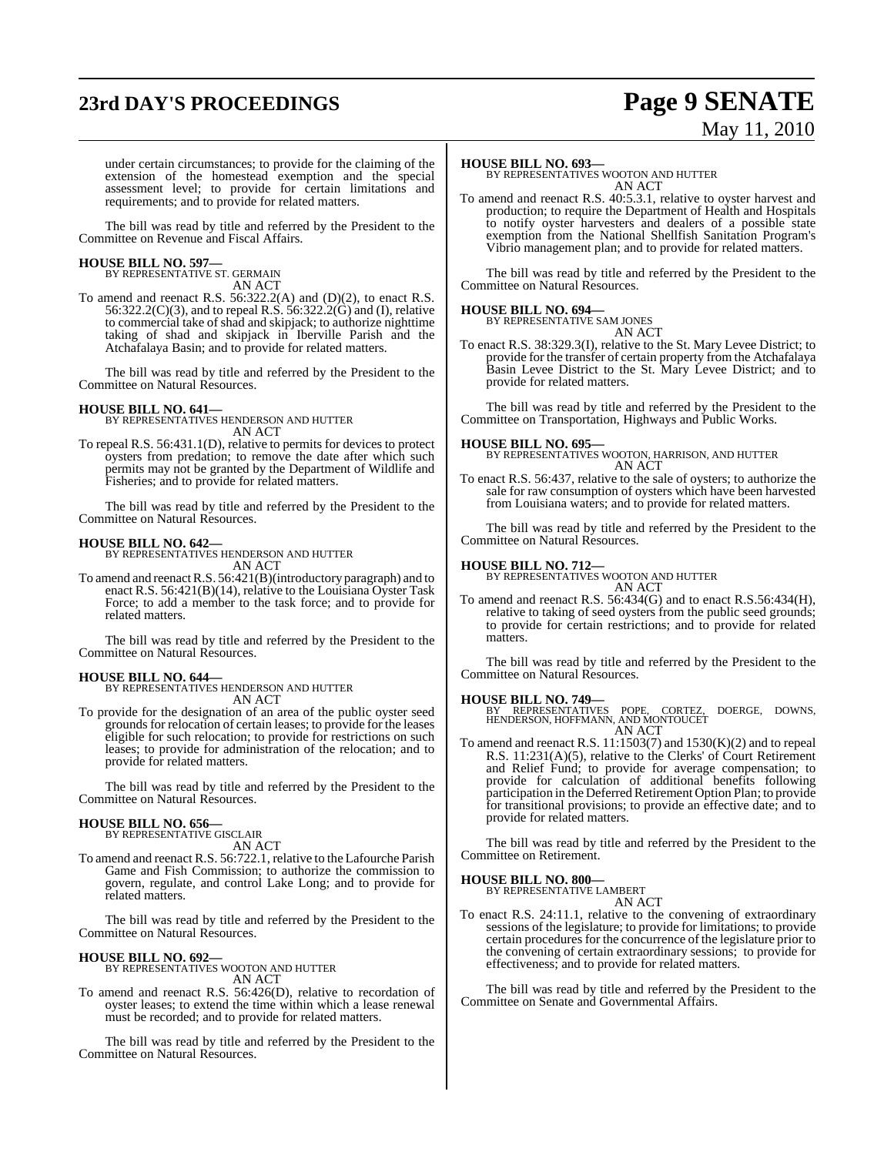# **23rd DAY'S PROCEEDINGS Page 9 SENATE**

# May 11, 2010

under certain circumstances; to provide for the claiming of the extension of the homestead exemption and the special assessment level; to provide for certain limitations and requirements; and to provide for related matters.

The bill was read by title and referred by the President to the Committee on Revenue and Fiscal Affairs.

### **HOUSE BILL NO. 597—** BY REPRESENTATIVE ST. GERMAIN

AN ACT

To amend and reenact R.S. 56:322.2(A) and (D)(2), to enact R.S. 56:322.2(C)(3), and to repeal R.S. 56:322.2(G) and (I), relative to commercial take of shad and skipjack; to authorize nighttime taking of shad and skipjack in Iberville Parish and the Atchafalaya Basin; and to provide for related matters.

The bill was read by title and referred by the President to the Committee on Natural Resources.

**HOUSE BILL NO. 641—** BY REPRESENTATIVES HENDERSON AND HUTTER AN ACT

To repeal R.S. 56:431.1(D), relative to permits for devices to protect oysters from predation; to remove the date after which such permits may not be granted by the Department of Wildlife and Fisheries; and to provide for related matters.

The bill was read by title and referred by the President to the Committee on Natural Resources.

**HOUSE BILL NO. 642—** BY REPRESENTATIVES HENDERSON AND HUTTER AN ACT

To amend and reenactR.S. 56:421(B)(introductory paragraph) and to enact R.S. 56:421(B)(14), relative to the Louisiana Oyster Task Force; to add a member to the task force; and to provide for related matters.

The bill was read by title and referred by the President to the Committee on Natural Resources.

#### **HOUSE BILL NO. 644—**

BY REPRESENTATIVES HENDERSON AND HUTTER AN ACT

To provide for the designation of an area of the public oyster seed grounds for relocation of certain leases; to provide for the leases eligible for such relocation; to provide for restrictions on such leases; to provide for administration of the relocation; and to provide for related matters.

The bill was read by title and referred by the President to the Committee on Natural Resources.

### **HOUSE BILL NO. 656—** BY REPRESENTATIVE GISCLAIR

AN ACT

To amend and reenact R.S. 56:722.1, relative to the Lafourche Parish Game and Fish Commission; to authorize the commission to govern, regulate, and control Lake Long; and to provide for related matters.

The bill was read by title and referred by the President to the Committee on Natural Resources.

#### **HOUSE BILL NO. 692—**

BY REPRESENTATIVES WOOTON AND HUTTER AN ACT

To amend and reenact R.S. 56:426(D), relative to recordation of oyster leases; to extend the time within which a lease renewal must be recorded; and to provide for related matters.

The bill was read by title and referred by the President to the Committee on Natural Resources.

#### **HOUSE BILL NO. 693—**

BY REPRESENTATIVES WOOTON AND HUTTER AN ACT

To amend and reenact R.S. 40:5.3.1, relative to oyster harvest and production; to require the Department of Health and Hospitals to notify oyster harvesters and dealers of a possible state exemption from the National Shellfish Sanitation Program's Vibrio management plan; and to provide for related matters.

The bill was read by title and referred by the President to the Committee on Natural Resources.

#### **HOUSE BILL NO. 694—**

BY REPRESENTATIVE SAM JONES AN ACT

To enact R.S. 38:329.3(I), relative to the St. Mary Levee District; to provide for the transfer of certain property from the Atchafalaya Basin Levee District to the St. Mary Levee District; and to provide for related matters.

The bill was read by title and referred by the President to the Committee on Transportation, Highways and Public Works.

**HOUSE BILL NO. 695—** BY REPRESENTATIVES WOOTON, HARRISON, AND HUTTER AN ACT

To enact R.S. 56:437, relative to the sale of oysters; to authorize the sale for raw consumption of oysters which have been harvested from Louisiana waters; and to provide for related matters.

The bill was read by title and referred by the President to the Committee on Natural Resources.

#### **HOUSE BILL NO. 712—**

BY REPRESENTATIVES WOOTON AND HUTTER AN ACT

To amend and reenact R.S. 56:434(G) and to enact R.S.56:434(H), relative to taking of seed oysters from the public seed grounds; to provide for certain restrictions; and to provide for related matters.

The bill was read by title and referred by the President to the Committee on Natural Resources.

**HOUSE BILL NO. 749—** BY REPRESENTATIVES POPE, CORTEZ, DOERGE, DOWNS, HENDERSON, HOFFMANN, AND MONTOUCET AN ACT

To amend and reenact R.S.  $11:1503(7)$  and  $1530(K)(2)$  and to repeal R.S. 11:231(A)(5), relative to the Clerks' of Court Retirement and Relief Fund; to provide for average compensation; to provide for calculation of additional benefits following participation in the Deferred Retirement Option Plan; to provide for transitional provisions; to provide an effective date; and to provide for related matters.

The bill was read by title and referred by the President to the Committee on Retirement.

#### **HOUSE BILL NO. 800—**

BY REPRESENTATIVE LAMBERT AN ACT

To enact R.S. 24:11.1, relative to the convening of extraordinary sessions of the legislature; to provide for limitations; to provide certain procedures for the concurrence of the legislature prior to the convening of certain extraordinary sessions; to provide for effectiveness; and to provide for related matters.

The bill was read by title and referred by the President to the Committee on Senate and Governmental Affairs.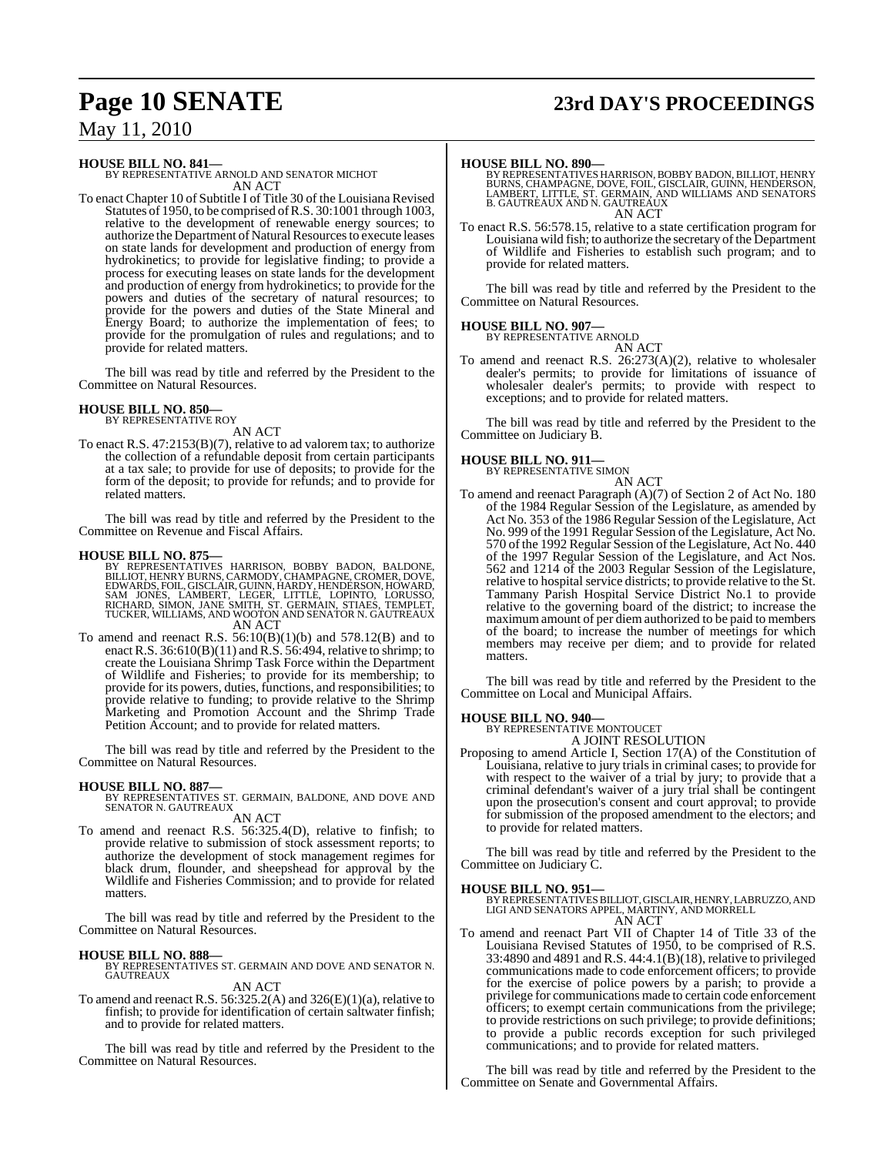## **Page 10 SENATE 23rd DAY'S PROCEEDINGS**

### May 11, 2010

**HOUSE BILL NO. 841—** BY REPRESENTATIVE ARNOLD AND SENATOR MICHOT

AN ACT To enact Chapter 10 of Subtitle I of Title 30 of the Louisiana Revised Statutes of 1950, to be comprised ofR.S. 30:1001 through 1003, relative to the development of renewable energy sources; to authorize the Department of Natural Resources to execute leases on state lands for development and production of energy from hydrokinetics; to provide for legislative finding; to provide a process for executing leases on state lands for the development and production of energy from hydrokinetics; to provide for the powers and duties of the secretary of natural resources; to provide for the powers and duties of the State Mineral and Energy Board; to authorize the implementation of fees; to provide for the promulgation of rules and regulations; and to provide for related matters.

The bill was read by title and referred by the President to the Committee on Natural Resources.

# **HOUSE BILL NO. 850—** BY REPRESENTATIVE ROY

AN ACT

To enact R.S. 47:2153(B)(7), relative to ad valorem tax; to authorize the collection of a refundable deposit from certain participants at a tax sale; to provide for use of deposits; to provide for the form of the deposit; to provide for refunds; and to provide for related matters.

The bill was read by title and referred by the President to the Committee on Revenue and Fiscal Affairs.

#### **HOUSE BILL NO. 875—**

BY REPRESENTATIVES HARRISON, BOBBY BADON, BALDONE,<br>BILLIOT,HENRYBURNS,CARMODY,CHAMPAGNE,CROMER,DOVE,<br>EDWARDS,FOIL,GISCLAIR,GUINN,HARDY,HENDERSON,HOWARD, SAM JONES, L'AMBERT, LEGER, LITTLE, LOPINTO, LORUSSO,<br>RICHARD, SIMON, JANE SMITH, ST. GERMAIN, STIAES, TEMPLET,<br>TUCKER, WILLIAMS, AND WOOTON AND SENATOR N. GAUTREAUX AN ACT

To amend and reenact R.S.  $56:10(B)(1)(b)$  and  $578.12(B)$  and to enact R.S. 36:610(B)(11) and R.S. 56:494, relative to shrimp; to create the Louisiana Shrimp Task Force within the Department of Wildlife and Fisheries; to provide for its membership; to provide for its powers, duties, functions, and responsibilities; to provide relative to funding; to provide relative to the Shrimp Marketing and Promotion Account and the Shrimp Trade Petition Account; and to provide for related matters.

The bill was read by title and referred by the President to the Committee on Natural Resources.

**HOUSE BILL NO. 887—** BY REPRESENTATIVES ST. GERMAIN, BALDONE, AND DOVE AND SENATOR N. GAUTREAUX

AN ACT To amend and reenact R.S. 56:325.4(D), relative to finfish; to provide relative to submission of stock assessment reports; to authorize the development of stock management regimes for black drum, flounder, and sheepshead for approval by the

Wildlife and Fisheries Commission; and to provide for related matters.

The bill was read by title and referred by the President to the Committee on Natural Resources.

#### **HOUSE BILL NO. 888—**

BY REPRESENTATIVES ST. GERMAIN AND DOVE AND SENATOR N. GAUTREAUX

### AN ACT

To amend and reenact R.S. 56:325.2(A) and 326(E)(1)(a), relative to finfish; to provide for identification of certain saltwater finfish; and to provide for related matters.

The bill was read by title and referred by the President to the Committee on Natural Resources.

**HOUSE BILL NO. 890—**<br>BY REPRESENTATIVES HARRISON, BOBBY BADON, BILLIOT, HENRY<br>BURNS, CHAMPAGNE, DOVE, FOIL, GISCLAIR, GUINN, HENDERSON,<br>LAMBERT, LITTLE, ST. GERMAIN, AND WILLIAMS AND SENATORS<br>B. GAUTREAUX AND N. GAUTREAUX AN ACT

To enact R.S. 56:578.15, relative to a state certification program for Louisiana wild fish; to authorize the secretary of the Department of Wildlife and Fisheries to establish such program; and to provide for related matters.

The bill was read by title and referred by the President to the Committee on Natural Resources.

#### **HOUSE BILL NO. 907—**

BY REPRESENTATIVE ARNOLD AN ACT

To amend and reenact R.S. 26:273(A)(2), relative to wholesaler dealer's permits; to provide for limitations of issuance of wholesaler dealer's permits; to provide with respect to exceptions; and to provide for related matters.

The bill was read by title and referred by the President to the Committee on Judiciary B.

### **HOUSE BILL NO. 911—** BY REPRESENTATIVE SIMON

#### AN ACT

To amend and reenact Paragraph (A)(7) of Section 2 of Act No. 180 of the 1984 Regular Session of the Legislature, as amended by Act No. 353 of the 1986 Regular Session of the Legislature, Act No. 999 of the 1991 Regular Session of the Legislature, Act No. 570 of the 1992 Regular Session of the Legislature, Act No. 440 of the 1997 Regular Session of the Legislature, and Act Nos. 562 and 1214 of the 2003 Regular Session of the Legislature, relative to hospital service districts; to provide relative to the St. Tammany Parish Hospital Service District No.1 to provide relative to the governing board of the district; to increase the maximum amount of per diem authorized to be paid to members of the board; to increase the number of meetings for which members may receive per diem; and to provide for related matters.

The bill was read by title and referred by the President to the Committee on Local and Municipal Affairs.

# **HOUSE BILL NO. 940—** BY REPRESENTATIVE MONTOUCET

A JOINT RESOLUTION

Proposing to amend Article I, Section 17(A) of the Constitution of Louisiana, relative to jury trials in criminal cases; to provide for with respect to the waiver of a trial by jury; to provide that a criminal defendant's waiver of a jury trial shall be contingent upon the prosecution's consent and court approval; to provide for submission of the proposed amendment to the electors; and to provide for related matters.

The bill was read by title and referred by the President to the Committee on Judiciary C.

#### **HOUSE BILL NO. 951—**

BY REPRESENTATIVES BILLIOT, GISCLAIR, HENRY, LABRUZZO, AND<br>LIGI AND SENATORS APPEL, MARTINY, AND MORRELL AN ACT

To amend and reenact Part VII of Chapter 14 of Title 33 of the Louisiana Revised Statutes of 1950, to be comprised of R.S. 33:4890 and 4891 and R.S. 44:4.1(B)(18), relative to privileged communications made to code enforcement officers; to provide for the exercise of police powers by a parish; to provide a privilege for communications made to certain code enforcement officers; to exempt certain communications from the privilege; to provide restrictions on such privilege; to provide definitions; to provide a public records exception for such privileged communications; and to provide for related matters.

The bill was read by title and referred by the President to the Committee on Senate and Governmental Affairs.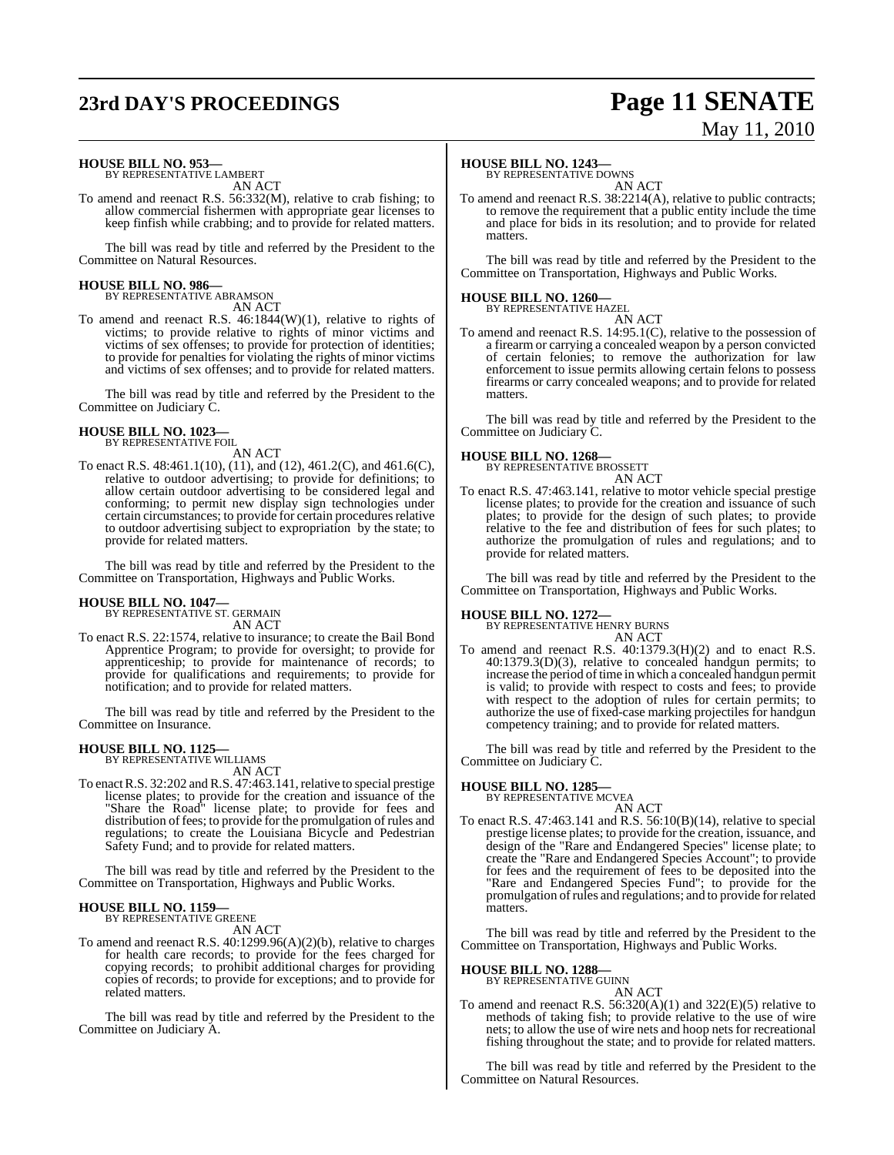# **23rd DAY'S PROCEEDINGS Page 11 SENATE**

# May 11, 2010

#### **HOUSE BILL NO. 953—**

BY REPRESENTATIVE LAMBERT AN ACT

To amend and reenact R.S. 56:332(M), relative to crab fishing; to allow commercial fishermen with appropriate gear licenses to keep finfish while crabbing; and to provide for related matters.

The bill was read by title and referred by the President to the Committee on Natural Resources.

### **HOUSE BILL NO. 986—** BY REPRESENTATIVE ABRAMSON

AN ACT

To amend and reenact R.S. 46:1844(W)(1), relative to rights of victims; to provide relative to rights of minor victims and victims of sex offenses; to provide for protection of identities; to provide for penalties for violating the rights of minor victims and victims of sex offenses; and to provide for related matters.

The bill was read by title and referred by the President to the Committee on Judiciary C.

#### **HOUSE BILL NO. 1023—** BY REPRESENTATIVE FOIL

AN ACT

To enact R.S. 48:461.1(10), (11), and (12), 461.2(C), and 461.6(C), relative to outdoor advertising; to provide for definitions; to allow certain outdoor advertising to be considered legal and conforming; to permit new display sign technologies under certain circumstances; to provide for certain procedures relative to outdoor advertising subject to expropriation by the state; to provide for related matters.

The bill was read by title and referred by the President to the Committee on Transportation, Highways and Public Works.

# **HOUSE BILL NO. 1047—** BY REPRESENTATIVE ST. GERMAIN

AN ACT

To enact R.S. 22:1574, relative to insurance; to create the Bail Bond Apprentice Program; to provide for oversight; to provide for apprenticeship; to provide for maintenance of records; to provide for qualifications and requirements; to provide for notification; and to provide for related matters.

The bill was read by title and referred by the President to the Committee on Insurance.

## **HOUSE BILL NO. 1125—** BY REPRESENTATIVE WILLIAMS

- AN ACT
- To enact R.S. 32:202 and R.S. 47:463.141, relative to special prestige license plates; to provide for the creation and issuance of the "Share the Road" license plate; to provide for fees and distribution of fees; to provide for the promulgation of rules and regulations; to create the Louisiana Bicycle and Pedestrian Safety Fund; and to provide for related matters.

The bill was read by title and referred by the President to the Committee on Transportation, Highways and Public Works.

#### **HOUSE BILL NO. 1159—** BY REPRESENTATIVE GREENE

AN ACT

To amend and reenact R.S. 40:1299.96(A)(2)(b), relative to charges for health care records; to provide for the fees charged for copying records; to prohibit additional charges for providing copies of records; to provide for exceptions; and to provide for related matters.

The bill was read by title and referred by the President to the Committee on Judiciary A.

### **HOUSE BILL NO. 1243—**

BY REPRESENTATIVE DOWNS AN ACT

To amend and reenact R.S. 38:2214(A), relative to public contracts; to remove the requirement that a public entity include the time and place for bids in its resolution; and to provide for related matters

The bill was read by title and referred by the President to the Committee on Transportation, Highways and Public Works.

### **HOUSE BILL NO. 1260—** BY REPRESENTATIVE HAZEL

AN ACT To amend and reenact R.S. 14:95.1(C), relative to the possession of a firearm or carrying a concealed weapon by a person convicted of certain felonies; to remove the authorization for law enforcement to issue permits allowing certain felons to possess firearms or carry concealed weapons; and to provide for related matters.

The bill was read by title and referred by the President to the Committee on Judiciary C.

#### **HOUSE BILL NO. 1268—**

BY REPRESENTATIVE BROSSETT

AN ACT To enact R.S. 47:463.141, relative to motor vehicle special prestige license plates; to provide for the creation and issuance of such plates; to provide for the design of such plates; to provide relative to the fee and distribution of fees for such plates; to authorize the promulgation of rules and regulations; and to provide for related matters.

The bill was read by title and referred by the President to the Committee on Transportation, Highways and Public Works.

#### **HOUSE BILL NO. 1272—**

BY REPRESENTATIVE HENRY BURNS AN ACT

To amend and reenact R.S. 40:1379.3(H)(2) and to enact R.S. 40:1379.3(D)(3), relative to concealed handgun permits; to increase the period of time in which a concealed handgun permit is valid; to provide with respect to costs and fees; to provide with respect to the adoption of rules for certain permits; to authorize the use of fixed-case marking projectiles for handgun competency training; and to provide for related matters.

The bill was read by title and referred by the President to the Committee on Judiciary C.

**HOUSE BILL NO. 1285—** BY REPRESENTATIVE MCVEA AN ACT

To enact R.S. 47:463.141 and R.S. 56:10(B)(14), relative to special prestige license plates; to provide for the creation, issuance, and design of the "Rare and Endangered Species" license plate; to create the "Rare and Endangered Species Account"; to provide for fees and the requirement of fees to be deposited into the "Rare and Endangered Species Fund"; to provide for the promulgation ofrules and regulations; and to provide for related matters.

The bill was read by title and referred by the President to the Committee on Transportation, Highways and Public Works.

#### **HOUSE BILL NO. 1288—**

BY REPRESENTATIVE GUINN AN ACT

To amend and reenact R.S. 56:320(A)(1) and 322(E)(5) relative to methods of taking fish; to provide relative to the use of wire nets; to allow the use of wire nets and hoop nets for recreational fishing throughout the state; and to provide for related matters.

The bill was read by title and referred by the President to the Committee on Natural Resources.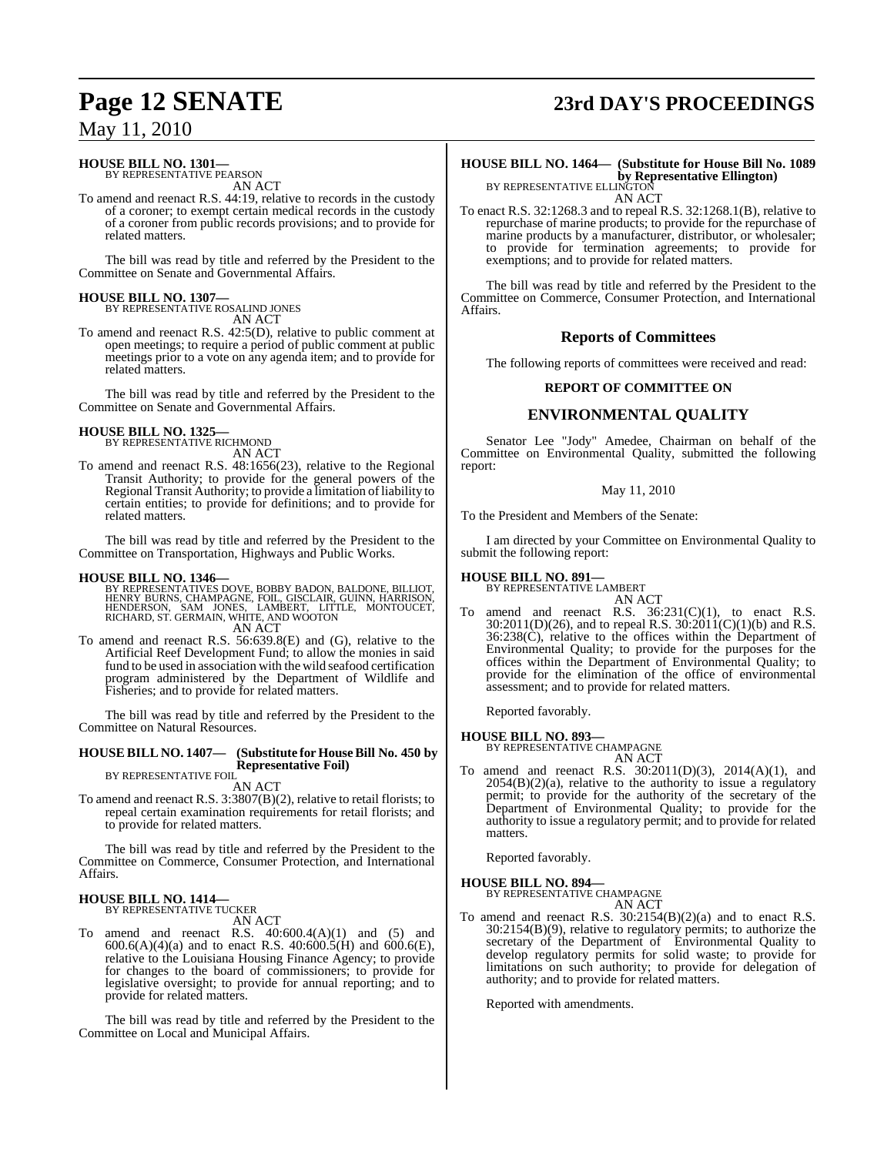### **HOUSE BILL NO. 1301—**

BY REPRESENTATIVE PEARSON AN ACT

To amend and reenact R.S. 44:19, relative to records in the custody of a coroner; to exempt certain medical records in the custody of a coroner from public records provisions; and to provide for related matters.

The bill was read by title and referred by the President to the Committee on Senate and Governmental Affairs.

#### **HOUSE BILL NO. 1307—**

BY REPRESENTATIVE ROSALIND JONES AN ACT

To amend and reenact R.S. 42:5(D), relative to public comment at open meetings; to require a period of public comment at public meetings prior to a vote on any agenda item; and to provide for related matters.

The bill was read by title and referred by the President to the Committee on Senate and Governmental Affairs.

#### **HOUSE BILL NO. 1325—** BY REPRESENTATIVE RICHMOND

AN ACT

To amend and reenact R.S. 48:1656(23), relative to the Regional Transit Authority; to provide for the general powers of the Regional Transit Authority; to provide a limitation of liability to certain entities; to provide for definitions; and to provide for related matters.

The bill was read by title and referred by the President to the Committee on Transportation, Highways and Public Works.

#### **HOUSE BILL NO. 1346—**

BY REPRESENTATIVES DOVE, BOBBY BADON, BALDONE, BILLIOT,<br>HENRY BURNS, CHAMPAGNE, FOIL, GISCLAIR, GUINN, HARRISON,<br>HENDERSON, SAM JONES, LAMBERT, LITTLE, MONTOUCET,<br>RICHARD, ST. GERMAIN, WHITE, AND WOOTON AN ACT

To amend and reenact R.S. 56:639.8(E) and (G), relative to the Artificial Reef Development Fund; to allow the monies in said fund to be used in association with the wild seafood certification program administered by the Department of Wildlife and Fisheries; and to provide for related matters.

The bill was read by title and referred by the President to the Committee on Natural Resources.

#### **HOUSE BILL NO. 1407— (Substitute for HouseBill No. 450 by Representative Foil)** BY REPRESENTATIVE FOIL

AN ACT

To amend and reenact R.S. 3:3807(B)(2), relative to retail florists; to repeal certain examination requirements for retail florists; and to provide for related matters.

The bill was read by title and referred by the President to the Committee on Commerce, Consumer Protection, and International Affairs.

### **HOUSE BILL NO. 1414—** BY REPRESENTATIVE TUCKER

AN ACT

To amend and reenact R.S. 40:600.4(A)(1) and (5) and  $600.6(A)(4)(a)$  and to enact R.S.  $40:600.5(H)$  and  $600.6(E)$ , relative to the Louisiana Housing Finance Agency; to provide for changes to the board of commissioners; to provide for legislative oversight; to provide for annual reporting; and to provide for related matters.

The bill was read by title and referred by the President to the Committee on Local and Municipal Affairs.

# **Page 12 SENATE 23rd DAY'S PROCEEDINGS**

**HOUSE BILL NO. 1464— (Substitute for House Bill No. 1089 by Representative Ellington)** BY REPRESENTATIVE ELLINGTON

AN ACT

To enact R.S. 32:1268.3 and to repeal R.S. 32:1268.1(B), relative to repurchase of marine products; to provide for the repurchase of marine products by a manufacturer, distributor, or wholesaler; to provide for termination agreements; to provide for exemptions; and to provide for related matters.

The bill was read by title and referred by the President to the Committee on Commerce, Consumer Protection, and International Affairs.

#### **Reports of Committees**

The following reports of committees were received and read:

#### **REPORT OF COMMITTEE ON**

### **ENVIRONMENTAL QUALITY**

Senator Lee "Jody" Amedee, Chairman on behalf of the Committee on Environmental Quality, submitted the following report:

#### May 11, 2010

To the President and Members of the Senate:

I am directed by your Committee on Environmental Quality to submit the following report:

#### **HOUSE BILL NO. 891—**

BY REPRESENTATIVE LAMBERT AN ACT

To amend and reenact R.S.  $36:231(C)(1)$ , to enact R.S.  $30:2011(D)(26)$ , and to repeal R.S.  $30:2011(C)(1)(b)$  and R.S. 36:238(C), relative to the offices within the Department of Environmental Quality; to provide for the purposes for the offices within the Department of Environmental Quality; to provide for the elimination of the office of environmental assessment; and to provide for related matters.

Reported favorably.

#### **HOUSE BILL NO. 893—**

BY REPRESENTATIVE CHAMPAGNE AN ACT

To amend and reenact R.S. 30:2011(D)(3), 2014(A)(1), and  $2054(B)(2)(a)$ , relative to the authority to issue a regulatory permit; to provide for the authority of the secretary of the Department of Environmental Quality; to provide for the authority to issue a regulatory permit; and to provide for related matters.

Reported favorably.

#### **HOUSE BILL NO. 894—**

BY REPRESENTATIVE CHAMPAGNE AN ACT

To amend and reenact R.S. 30:2154(B)(2)(a) and to enact R.S. 30:2154(B)(9), relative to regulatory permits; to authorize the secretary of the Department of Environmental Quality to develop regulatory permits for solid waste; to provide for limitations on such authority; to provide for delegation of authority; and to provide for related matters.

Reported with amendments.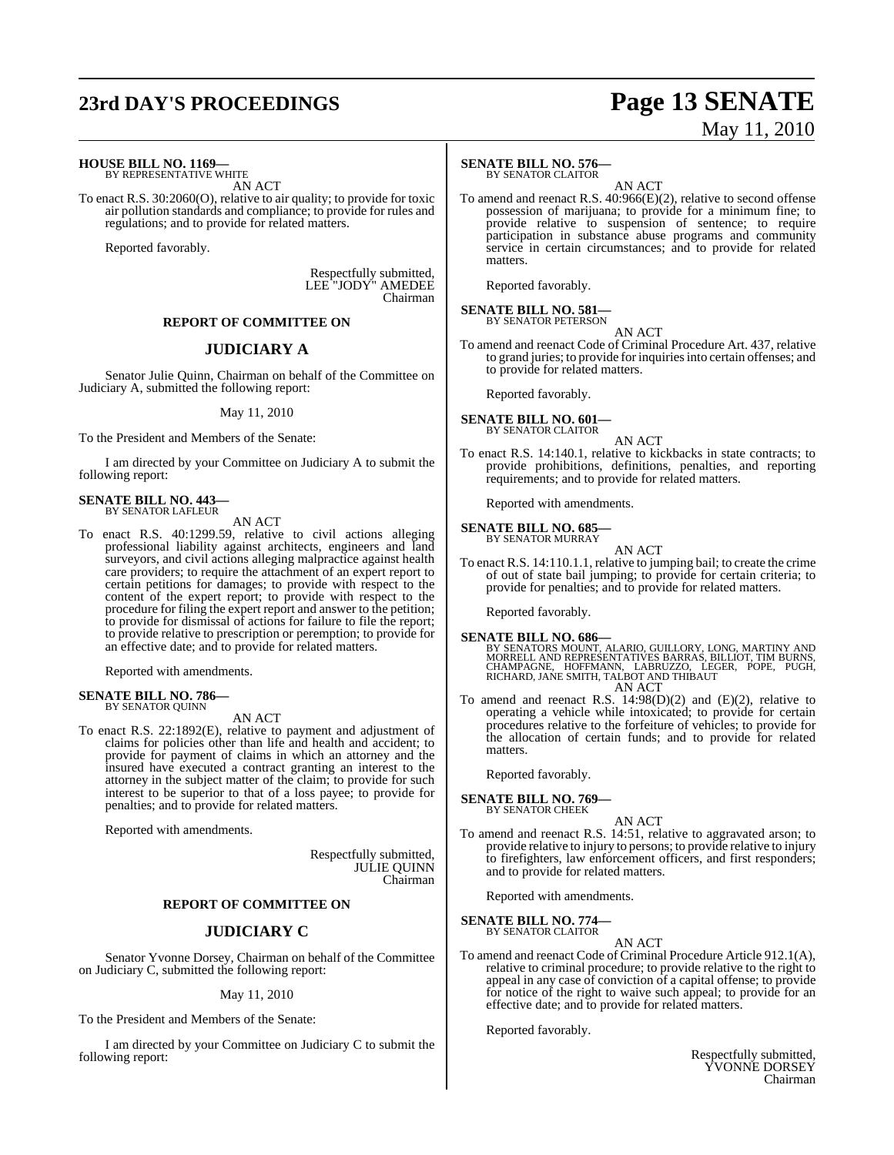## **23rd DAY'S PROCEEDINGS Page 13 SENATE**

# May 11, 2010

**HOUSE BILL NO. 1169—**

BY REPRESENTATIVE WHITE AN ACT

To enact R.S. 30:2060(O), relative to air quality; to provide for toxic air pollution standards and compliance; to provide for rules and regulations; and to provide for related matters.

Reported favorably.

Respectfully submitted, LEE "JODY" AMEDEE Chairman

#### **REPORT OF COMMITTEE ON**

### **JUDICIARY A**

Senator Julie Quinn, Chairman on behalf of the Committee on Judiciary A, submitted the following report:

#### May 11, 2010

To the President and Members of the Senate:

I am directed by your Committee on Judiciary A to submit the following report:

#### **SENATE BILL NO. 443—** BY SENATOR LAFLEUR

AN ACT

To enact R.S. 40:1299.59, relative to civil actions alleging professional liability against architects, engineers and land surveyors, and civil actions alleging malpractice against health care providers; to require the attachment of an expert report to certain petitions for damages; to provide with respect to the content of the expert report; to provide with respect to the procedure for filing the expert report and answer to the petition; to provide for dismissal of actions for failure to file the report; to provide relative to prescription or peremption; to provide for an effective date; and to provide for related matters.

Reported with amendments.

#### **SENATE BILL NO. 786—** BY SENATOR QUINN

AN ACT

To enact R.S. 22:1892(E), relative to payment and adjustment of claims for policies other than life and health and accident; to provide for payment of claims in which an attorney and the insured have executed a contract granting an interest to the attorney in the subject matter of the claim; to provide for such interest to be superior to that of a loss payee; to provide for penalties; and to provide for related matters.

Reported with amendments.

Respectfully submitted, JULIE QUINN Chairman

#### **REPORT OF COMMITTEE ON**

#### **JUDICIARY C**

Senator Yvonne Dorsey, Chairman on behalf of the Committee on Judiciary C, submitted the following report:

#### May 11, 2010

To the President and Members of the Senate:

I am directed by your Committee on Judiciary C to submit the following report:

#### **SENATE BILL NO. 576—** BY SENATOR CLAITOR

AN ACT

To amend and reenact R.S. 40:966(E)(2), relative to second offense possession of marijuana; to provide for a minimum fine; to provide relative to suspension of sentence; to require participation in substance abuse programs and community service in certain circumstances; and to provide for related matters.

Reported favorably.

#### **SENATE BILL NO. 581—** BY SENATOR PETERSON

AN ACT

To amend and reenact Code of Criminal Procedure Art. 437, relative to grand juries; to provide for inquiries into certain offenses; and to provide for related matters.

Reported favorably.

#### **SENATE BILL NO. 601—** BY SENATOR CLAITOR

AN ACT

To enact R.S. 14:140.1, relative to kickbacks in state contracts; to provide prohibitions, definitions, penalties, and reporting requirements; and to provide for related matters.

Reported with amendments.

### **SENATE BILL NO. 685—** BY SENATOR MURRAY

AN ACT

To enact R.S. 14:110.1.1, relative to jumping bail; to create the crime of out of state bail jumping; to provide for certain criteria; to provide for penalties; and to provide for related matters.

Reported favorably.

**SENATE BILL NO. 686—**<br>BY SENATORS MOUNT, ALARIO, GUILLORY, LONG, MARTINY AND<br>MORRELL AND REPRESENTATIVES BARRAS, BILLIOT, TIM BURNS,<br>CHAMPAGNE, HOFFMANN, LABRUZZO, LEGER, POPE, PUGH,<br>RICHARD, JANE SMITH, TALBOT AND THIBAU AN ACT

To amend and reenact R.S. 14:98(D)(2) and (E)(2), relative to operating a vehicle while intoxicated; to provide for certain procedures relative to the forfeiture of vehicles; to provide for the allocation of certain funds; and to provide for related matters.

Reported favorably.

#### **SENATE BILL NO. 769—** BY SENATOR CHEEK

#### AN ACT

To amend and reenact R.S. 14:51, relative to aggravated arson; to provide relative to injury to persons; to provide relative to injury to firefighters, law enforcement officers, and first responders; and to provide for related matters.

Reported with amendments.

**SENATE BILL NO. 774—** BY SENATOR CLAITOR

### AN ACT

To amend and reenact Code of Criminal Procedure Article 912.1(A), relative to criminal procedure; to provide relative to the right to appeal in any case of conviction of a capital offense; to provide for notice of the right to waive such appeal; to provide for an effective date; and to provide for related matters.

Reported favorably.

Respectfully submitted, YVONNE DORSEY Chairman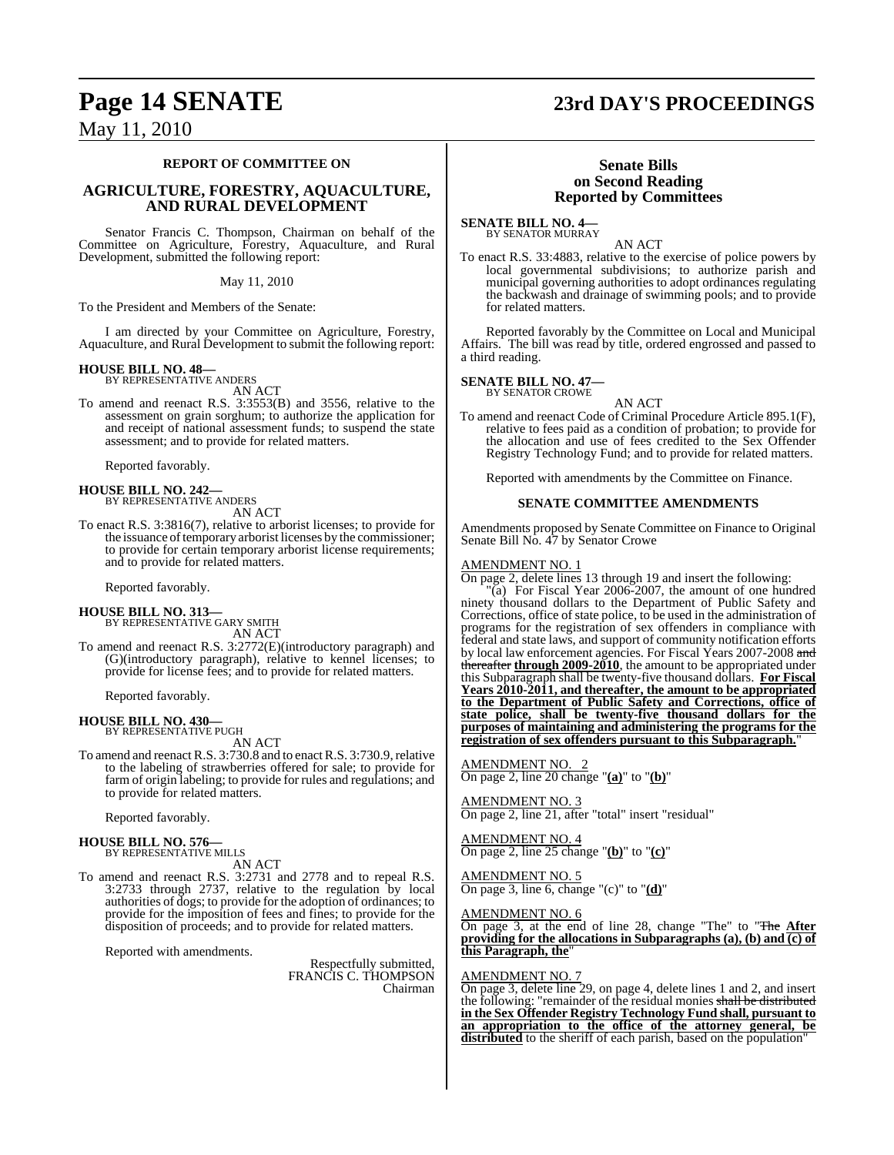## **Page 14 SENATE 23rd DAY'S PROCEEDINGS**

May 11, 2010

#### **REPORT OF COMMITTEE ON**

#### **AGRICULTURE, FORESTRY, AQUACULTURE, AND RURAL DEVELOPMENT**

Senator Francis C. Thompson, Chairman on behalf of the Committee on Agriculture, Forestry, Aquaculture, and Rural Development, submitted the following report:

#### May 11, 2010

To the President and Members of the Senate:

I am directed by your Committee on Agriculture, Forestry, Aquaculture, and Rural Development to submit the following report:

### **HOUSE BILL NO. 48—** BY REPRESENTATIVE ANDERS

AN ACT

To amend and reenact R.S. 3:3553(B) and 3556, relative to the assessment on grain sorghum; to authorize the application for and receipt of national assessment funds; to suspend the state assessment; and to provide for related matters.

Reported favorably.

## **HOUSE BILL NO. 242—** BY REPRESENTATIVE ANDERS

AN ACT

To enact R.S. 3:3816(7), relative to arborist licenses; to provide for the issuance of temporary arborist licenses by the commissioner; to provide for certain temporary arborist license requirements; and to provide for related matters.

Reported favorably.

#### **HOUSE BILL NO. 313—** BY REPRESENTATIVE GARY SMITH

AN ACT

To amend and reenact R.S. 3:2772(E)(introductory paragraph) and (G)(introductory paragraph), relative to kennel licenses; to provide for license fees; and to provide for related matters.

Reported favorably.

## **HOUSE BILL NO. 430—** BY REPRESENTATIVE PUGH

AN ACT

To amend and reenact R.S. 3:730.8 and to enact R.S. 3:730.9, relative to the labeling of strawberries offered for sale; to provide for farm of origin labeling; to provide for rules and regulations; and to provide for related matters.

Reported favorably.

### **HOUSE BILL NO. 576—**

BY REPRESENTATIVE MILLS AN ACT

To amend and reenact R.S. 3:2731 and 2778 and to repeal R.S. 3:2733 through 2737, relative to the regulation by local authorities of dogs; to provide for the adoption of ordinances; to provide for the imposition of fees and fines; to provide for the disposition of proceeds; and to provide for related matters.

Reported with amendments.

Respectfully submitted, FRANCIS C. THOMPSON Chairman

#### **Senate Bills on Second Reading Reported by Committees**

**SENATE BILL NO. 4—** BY SENATOR MURRAY

AN ACT

To enact R.S. 33:4883, relative to the exercise of police powers by local governmental subdivisions; to authorize parish and municipal governing authorities to adopt ordinances regulating the backwash and drainage of swimming pools; and to provide for related matters.

Reported favorably by the Committee on Local and Municipal Affairs. The bill was read by title, ordered engrossed and passed to a third reading.

### **SENATE BILL NO. 47—** BY SENATOR CROWE

AN ACT

To amend and reenact Code of Criminal Procedure Article 895.1(F), relative to fees paid as a condition of probation; to provide for the allocation and use of fees credited to the Sex Offender Registry Technology Fund; and to provide for related matters.

Reported with amendments by the Committee on Finance.

#### **SENATE COMMITTEE AMENDMENTS**

Amendments proposed by Senate Committee on Finance to Original Senate Bill No. 47 by Senator Crowe

#### AMENDMENT NO. 1

On page 2, delete lines 13 through 19 and insert the following:

"(a) For Fiscal Year 2006-2007, the amount of one hundred ninety thousand dollars to the Department of Public Safety and Corrections, office of state police, to be used in the administration of programs for the registration of sex offenders in compliance with federal and state laws, and support of community notification efforts by local law enforcement agencies. For Fiscal Years 2007-2008 and thereafter **through 2009-2010**, the amount to be appropriated under this Subparagraph shall be twenty-five thousand dollars. **For Fiscal Years 2010-2011, and thereafter, the amount to be appropriated to the Department of Public Safety and Corrections, office of state police, shall be twenty-five thousand dollars for the purposes of maintaining and administering the programs for the registration of sex offenders pursuant to this Subparagraph.**"

AMENDMENT NO. 2 On page 2, line 20 change "**(a)**" to "**(b)**"

AMENDMENT NO. 3 On page 2, line 21, after "total" insert "residual"

AMENDMENT NO. 4 On page 2, line 25 change "**(b)**" to "**(c)**"

AMENDMENT NO. 5 On page 3, line 6, change "(c)" to "**(d)**"

MENDMENT NO. 6

On page 3, at the end of line 28, change "The" to "The **After providing for the allocations in Subparagraphs (a), (b) and (c) of this Paragraph, the**"

#### AMENDMENT NO. 7

On page 3, delete line 29, on page 4, delete lines 1 and 2, and insert the following: "remainder of the residual monies <del>shall be distributed</del> **in the Sex Offender Registry Technology Fund shall, pursuant to an appropriation to the office of the attorney general, be distributed** to the sheriff of each parish, based on the population"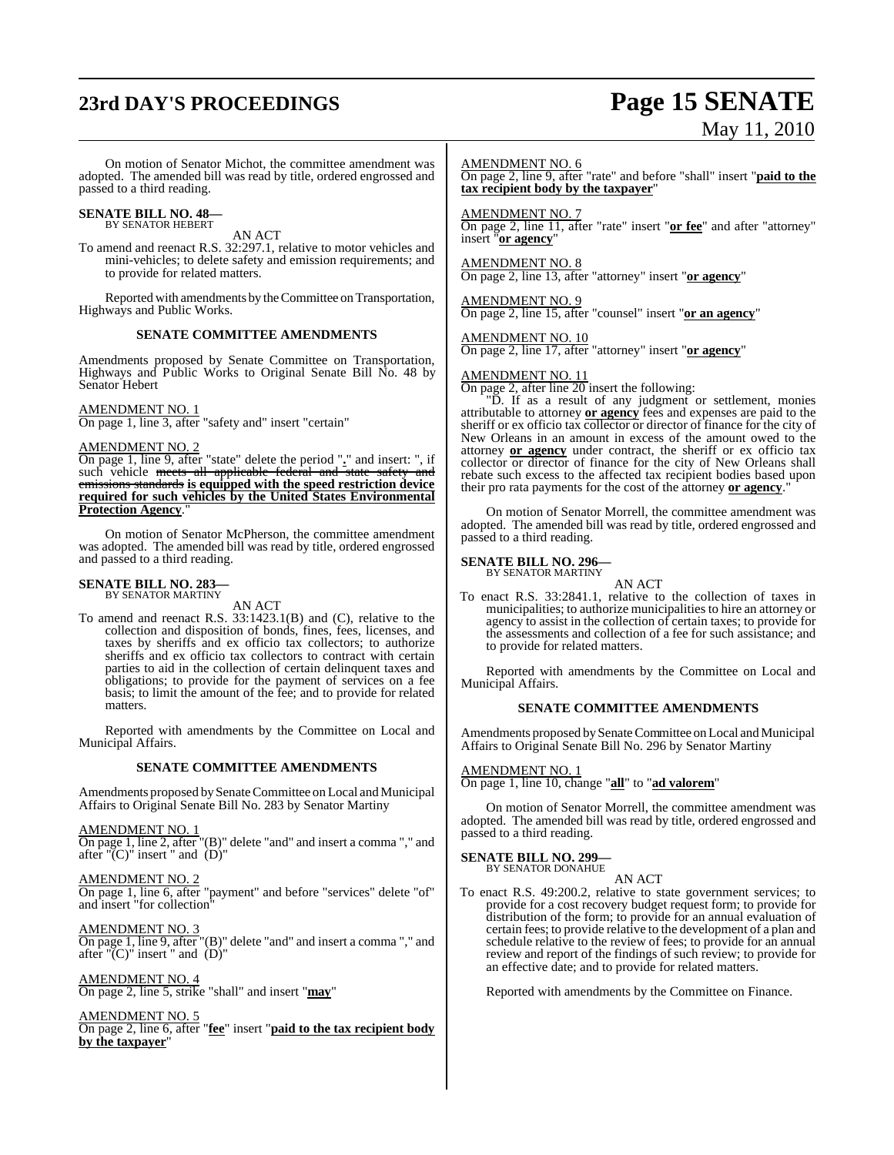# **23rd DAY'S PROCEEDINGS Page 15 SENATE**

# May 11, 2010

On motion of Senator Michot, the committee amendment was adopted. The amended bill was read by title, ordered engrossed and passed to a third reading.

### **SENATE BILL NO. 48—** BY SENATOR HEBERT

AN ACT

To amend and reenact R.S. 32:297.1, relative to motor vehicles and mini-vehicles; to delete safety and emission requirements; and to provide for related matters.

Reported with amendments by the Committee on Transportation, Highways and Public Works.

#### **SENATE COMMITTEE AMENDMENTS**

Amendments proposed by Senate Committee on Transportation, Highways and Public Works to Original Senate Bill No. 48 by Senator Hebert

#### AMENDMENT NO. 1

On page 1, line 3, after "safety and" insert "certain"

#### AMENDMENT NO. 2

On page 1, line 9, after "state" delete the period "**.**" and insert: ", if such vehicle <del>meets all applicable federal and state safety and</del> emissions standards **is equipped with the speed restriction device required for such vehicles by the United States Environmental Protection Agency**."

On motion of Senator McPherson, the committee amendment was adopted. The amended bill was read by title, ordered engrossed and passed to a third reading.

#### **SENATE BILL NO. 283—** BY SENATOR MARTINY

AN ACT

To amend and reenact R.S. 33:1423.1(B) and (C), relative to the collection and disposition of bonds, fines, fees, licenses, and taxes by sheriffs and ex officio tax collectors; to authorize sheriffs and ex officio tax collectors to contract with certain parties to aid in the collection of certain delinquent taxes and obligations; to provide for the payment of services on a fee basis; to limit the amount of the fee; and to provide for related matters.

Reported with amendments by the Committee on Local and Municipal Affairs.

#### **SENATE COMMITTEE AMENDMENTS**

Amendments proposed by Senate Committee on Local and Municipal Affairs to Original Senate Bill No. 283 by Senator Martiny

#### AMENDMENT NO. 1

On page 1, line 2, after "(B)" delete "and" and insert a comma "," and after " $(C)$ " insert " and  $(D)$ "

AMENDMENT NO. 2 On page 1, line 6, after "payment" and before "services" delete "of" and insert "for collection"

AMENDMENT NO. 3 On page 1, line 9, after "(B)" delete "and" and insert a comma "," and after " $(C)$ " insert " and  $(D)'$ 

#### AMENDMENT NO. 4

On page 2, line 5, strike "shall" and insert "**may**"

#### AMENDMENT NO. 5

On page 2, line 6, after "**fee**" insert "**paid to the tax recipient body by the taxpayer**"

#### AMENDMENT NO. 6

On page 2, line 9, after "rate" and before "shall" insert "**paid to the tax recipient body by the taxpayer**"

#### AMENDMENT NO. 7

On page 2, line 11, after "rate" insert "**or fee**" and after "attorney" insert "**or agency**"

AMENDMENT NO. 8 On page 2, line 13, after "attorney" insert "**or agency**"

AMENDMENT NO. 9 On page 2, line 15, after "counsel" insert "**or an agency**"

AMENDMENT NO. 10 On page 2, line 17, after "attorney" insert "**or agency**"

#### AMENDMENT NO. 11

On page 2, after line 20 insert the following:

"D. If as a result of any judgment or settlement, monies attributable to attorney **or agency** fees and expenses are paid to the sheriff or ex officio tax collector or director of finance for the city of New Orleans in an amount in excess of the amount owed to the attorney **or agency** under contract, the sheriff or ex officio tax collector or director of finance for the city of New Orleans shall rebate such excess to the affected tax recipient bodies based upon their pro rata payments for the cost of the attorney **or agency**."

On motion of Senator Morrell, the committee amendment was adopted. The amended bill was read by title, ordered engrossed and passed to a third reading.

#### **SENATE BILL NO. 296—**

BY SENATOR MARTINY

AN ACT

To enact R.S. 33:2841.1, relative to the collection of taxes in municipalities; to authorize municipalities to hire an attorney or agency to assist in the collection of certain taxes; to provide for the assessments and collection of a fee for such assistance; and to provide for related matters.

Reported with amendments by the Committee on Local and Municipal Affairs.

#### **SENATE COMMITTEE AMENDMENTS**

Amendments proposed bySenate Committee on Local and Municipal Affairs to Original Senate Bill No. 296 by Senator Martiny

#### AMENDMENT NO. 1

On page 1, line 10, change "**all**" to "**ad valorem**"

On motion of Senator Morrell, the committee amendment was adopted. The amended bill was read by title, ordered engrossed and passed to a third reading.

#### **SENATE BILL NO. 299—**

BY SENATOR DONAHUE AN ACT

To enact R.S. 49:200.2, relative to state government services; to provide for a cost recovery budget request form; to provide for distribution of the form; to provide for an annual evaluation of certain fees; to provide relative to the development of a plan and schedule relative to the review of fees; to provide for an annual review and report of the findings of such review; to provide for an effective date; and to provide for related matters.

Reported with amendments by the Committee on Finance.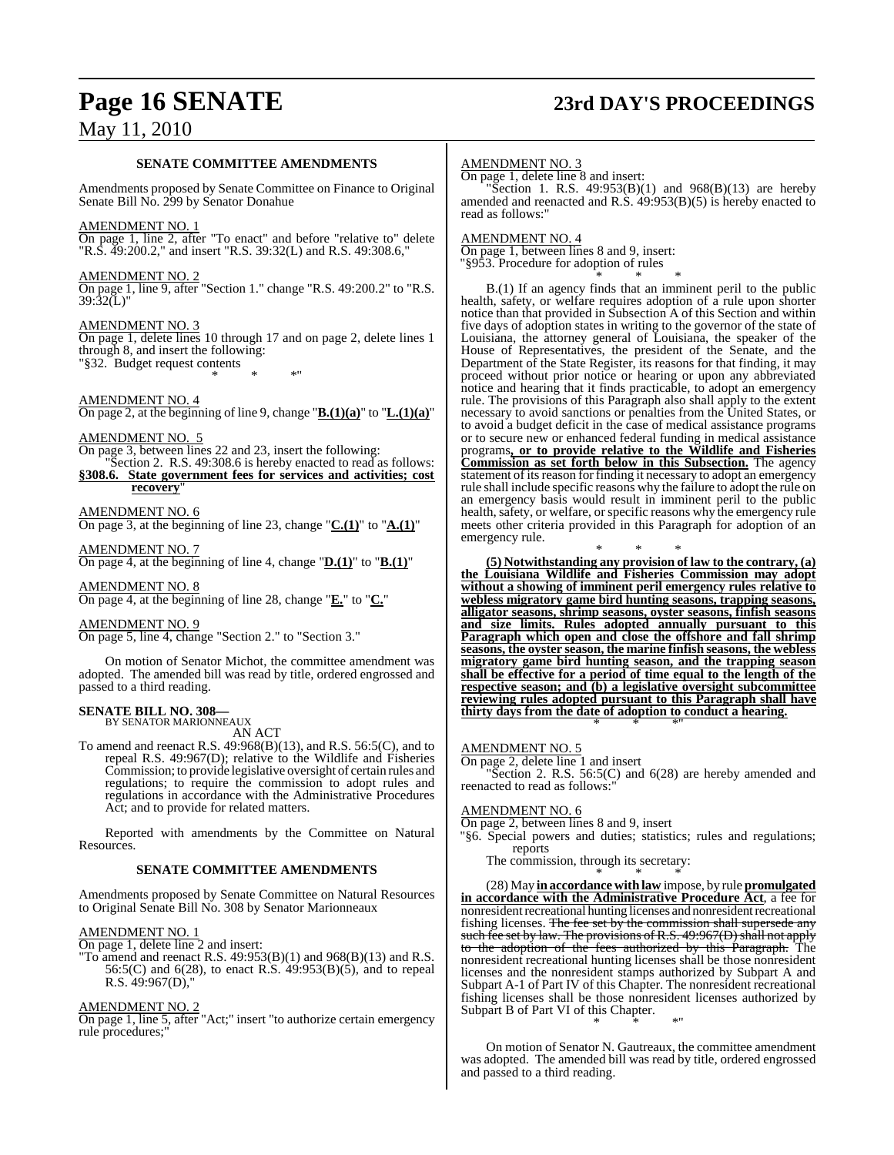## **Page 16 SENATE 23rd DAY'S PROCEEDINGS**

### May 11, 2010

#### **SENATE COMMITTEE AMENDMENTS**

Amendments proposed by Senate Committee on Finance to Original Senate Bill No. 299 by Senator Donahue

#### AMENDMENT NO. 1

On page 1, line 2, after "To enact" and before "relative to" delete "R.S. 49:200.2," and insert "R.S. 39:32(L) and R.S. 49:308.6,"

#### AMENDMENT NO. 2

On page 1, line 9, after "Section 1." change "R.S. 49:200.2" to "R.S.  $39:32(L)$ "

#### AMENDMENT NO. 3

On page 1, delete lines 10 through 17 and on page 2, delete lines 1 through 8, and insert the following: "§32. Budget request contents \* \* \*"

AMENDMENT NO. 4

On page 2, at the beginning of line 9, change "**B.(1)(a)**" to "**L.(1)(a)**"

AMENDMENT NO. 5

On page 3, between lines 22 and 23, insert the following:

Section 2. R.S. 49:308.6 is hereby enacted to read as follows: **§308.6. State government fees for services and activities; cost recovery**"

AMENDMENT NO. 6

On page 3, at the beginning of line 23, change "**C.(1)**" to "**A.(1)**"

AMENDMENT NO. 7 On page 4, at the beginning of line 4, change "**D.(1)**" to "**B.(1)**"

AMENDMENT NO. 8 On page 4, at the beginning of line 28, change "**E.**" to "**C.**"

AMENDMENT NO. 9

On page 5, line 4, change "Section 2." to "Section 3."

On motion of Senator Michot, the committee amendment was adopted. The amended bill was read by title, ordered engrossed and passed to a third reading.

#### **SENATE BILL NO. 308—** BY SENATOR MARIONNEAUX

AN ACT

To amend and reenact R.S. 49:968(B)(13), and R.S. 56:5(C), and to repeal R.S. 49:967(D); relative to the Wildlife and Fisheries Commission; to provide legislative oversight of certain rules and regulations; to require the commission to adopt rules and regulations in accordance with the Administrative Procedures Act; and to provide for related matters.

Reported with amendments by the Committee on Natural Resources.

#### **SENATE COMMITTEE AMENDMENTS**

Amendments proposed by Senate Committee on Natural Resources to Original Senate Bill No. 308 by Senator Marionneaux

#### AMENDMENT NO. 1

- On page 1, delete line 2 and insert:
- "To amend and reenact R.S.  $49:953(B)(1)$  and  $968(B)(13)$  and R.S. 56:5(C) and 6(28), to enact R.S. 49:953(B)(5), and to repeal R.S. 49:967(D),"

#### AMENDMENT NO. 2

On page 1, line 5, after "Act;" insert "to authorize certain emergency rule procedures;"

#### AMENDMENT NO. 3

On page 1, delete line 8 and insert:

"Section 1. R.S. 49:953(B)(1) and 968(B)(13) are hereby amended and reenacted and R.S.  $49:953(B)(5)$  is hereby enacted to read as follows:

#### AMENDMENT NO. 4

On page 1, between lines 8 and 9, insert: "§953. Procedure for adoption of rules \* \* \*

B.(1) If an agency finds that an imminent peril to the public health, safety, or welfare requires adoption of a rule upon shorter notice than that provided in Subsection A of this Section and within five days of adoption states in writing to the governor of the state of Louisiana, the attorney general of Louisiana, the speaker of the House of Representatives, the president of the Senate, and the Department of the State Register, its reasons for that finding, it may proceed without prior notice or hearing or upon any abbreviated notice and hearing that it finds practicable, to adopt an emergency rule. The provisions of this Paragraph also shall apply to the extent necessary to avoid sanctions or penalties from the United States, or to avoid a budget deficit in the case of medical assistance programs or to secure new or enhanced federal funding in medical assistance programs**, or to provide relative to the Wildlife and Fisheries Commission as set forth below in this Subsection.** The agency statement of its reason for finding it necessary to adopt an emergency rule shall include specific reasons why the failure to adopt the rule on an emergency basis would result in imminent peril to the public health, safety, or welfare, or specific reasons why the emergency rule meets other criteria provided in this Paragraph for adoption of an emergency rule.

\* \* \* **(5) Notwithstanding any provision of law to the contrary, (a) the Louisiana Wildlife and Fisheries Commission may adopt without a showing of imminent peril emergency rules relative to webless migratory game bird hunting seasons, trapping seasons, alligator seasons, shrimp seasons, oyster seasons, finfish seasons and size limits. Rules adopted annually pursuant to this Paragraph which open and close the offshore and fall shrimp seasons, the oyster season, the marine finfish seasons, the webless migratory game bird hunting season, and the trapping season shall be effective for a period of time equal to the length of the respective season; and (b) a legislative oversight subcommittee reviewing rules adopted pursuant to this Paragraph shall have thirty days from the date of adoption to conduct a hearing.** \* \* \*"

#### AMENDMENT NO. 5

On page 2, delete line 1 and insert

"Section 2. R.S. 56:5(C) and 6(28) are hereby amended and reenacted to read as follows:"

#### AMENDMENT NO. 6

On page 2, between lines 8 and 9, insert

- "§6. Special powers and duties; statistics; rules and regulations; reports
	- The commission, through its secretary: \* \* \*

(28) May **in accordance with law** impose, by rule **promulgated in accordance with the Administrative Procedure Act**, a fee for nonresident recreational hunting licenses and nonresident recreational fishing licenses. The fee set by the commission shall supersede any such fee set by law. The provisions of R.S. 49:967(D) shall not apply to the adoption of the fees authorized by this Paragraph. The nonresident recreational hunting licenses shall be those nonresident licenses and the nonresident stamps authorized by Subpart A and Subpart A-1 of Part IV of this Chapter. The nonresident recreational fishing licenses shall be those nonresident licenses authorized by Subpart B of Part VI of this Chapter.

\* \* \*"

On motion of Senator N. Gautreaux, the committee amendment was adopted. The amended bill was read by title, ordered engrossed and passed to a third reading.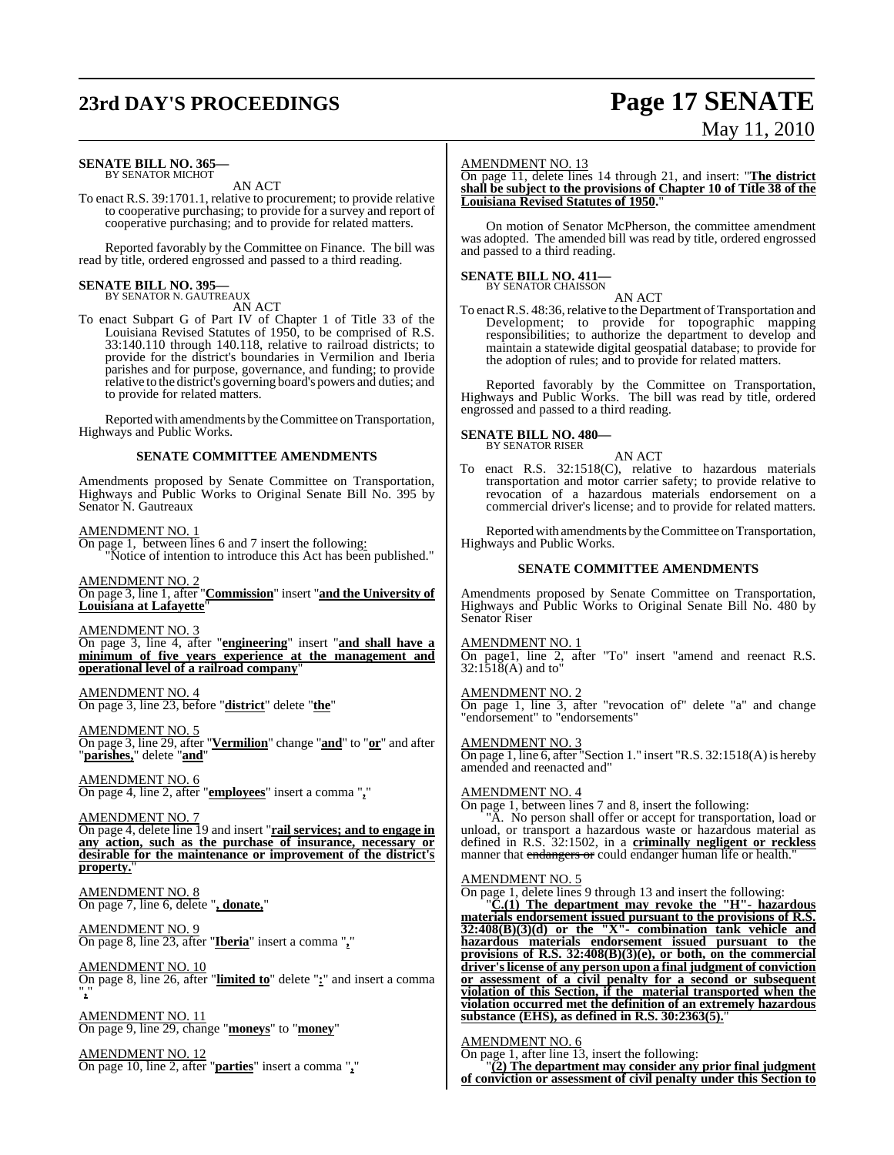## **23rd DAY'S PROCEEDINGS Page 17 SENATE**

#### **SENATE BILL NO. 365—** BY SENATOR MICHOT

AN ACT

To enact R.S. 39:1701.1, relative to procurement; to provide relative to cooperative purchasing; to provide for a survey and report of cooperative purchasing; and to provide for related matters.

Reported favorably by the Committee on Finance. The bill was read by title, ordered engrossed and passed to a third reading.

### **SENATE BILL NO. 395—** BY SENATOR N. GAUTREAUX

AN ACT

To enact Subpart G of Part IV of Chapter 1 of Title 33 of the Louisiana Revised Statutes of 1950, to be comprised of R.S. 33:140.110 through 140.118, relative to railroad districts; to provide for the district's boundaries in Vermilion and Iberia parishes and for purpose, governance, and funding; to provide relative to the district's governing board's powers and duties; and to provide for related matters.

Reported with amendments by the Committee on Transportation, Highways and Public Works.

#### **SENATE COMMITTEE AMENDMENTS**

Amendments proposed by Senate Committee on Transportation, Highways and Public Works to Original Senate Bill No. 395 by Senator N. Gautreaux

AMENDMENT NO. 1 On page 1, between lines 6 and 7 insert the following: "Notice of intention to introduce this Act has been published."

AMENDMENT NO. 2 On page 3, line 1, after "**Commission**" insert "**and the University of Louisiana at Lafayette**"

AMENDMENT NO. 3

On page 3, line 4, after "**engineering**" insert "**and shall have a minimum of five years experience at the management and operational level of a railroad company**"

AMENDMENT NO. 4 On page 3, line 23, before "**district**" delete "**the**"

AMENDMENT NO. 5 On page 3, line 29, after "**Vermilion**" change "**and**" to "**or**" and after "**parishes,**" delete "**and**"

AMENDMENT NO. 6 On page 4, line 2, after "**employees**" insert a comma "**,**"

AMENDMENT NO. 7 On page 4, delete line 19 and insert "**rail services; and to engage in any action, such as the purchase of insurance, necessary or desirable for the maintenance or improvement of the district's property.**"

AMENDMENT NO. 8 On page 7, line 6, delete "**, donate,**"

AMENDMENT NO. 9 On page 8, line 23, after "**Iberia**" insert a comma "**,**"

AMENDMENT NO. 10 On page 8, line 26, after "**limited to**" delete "**:**" and insert a comma "**,**"

AMENDMENT NO. 11 On page 9, line 29, change "**moneys**" to "**money**"

AMENDMENT NO. 12 On page 10, line 2, after "**parties**" insert a comma "**,**"

#### AMENDMENT NO. 13

On page 11, delete lines 14 through 21, and insert: "**The district shall be subject to the provisions of Chapter 10 of Title 38 of the Louisiana Revised Statutes of 1950.**"

On motion of Senator McPherson, the committee amendment was adopted. The amended bill was read by title, ordered engrossed and passed to a third reading.

#### **SENATE BILL NO. 411** BY SENATOR CHAISSON

AN ACT

To enact R.S. 48:36, relative to the Department of Transportation and Development; to provide for topographic mapping responsibilities; to authorize the department to develop and maintain a statewide digital geospatial database; to provide for the adoption of rules; and to provide for related matters.

Reported favorably by the Committee on Transportation, Highways and Public Works. The bill was read by title, ordered engrossed and passed to a third reading.

**SENATE BILL NO. 480—**

BY SENATOR RISER AN ACT

To enact R.S. 32:1518(C), relative to hazardous materials transportation and motor carrier safety; to provide relative to revocation of a hazardous materials endorsement on a commercial driver's license; and to provide for related matters.

Reported with amendments by the Committee on Transportation, Highways and Public Works.

#### **SENATE COMMITTEE AMENDMENTS**

Amendments proposed by Senate Committee on Transportation, Highways and Public Works to Original Senate Bill No. 480 by Senator Riser

AMENDMENT NO. 1

On page1, line 2, after "To" insert "amend and reenact R.S. 32:1518(A) and to"

AMENDMENT NO. 2 On page 1, line 3, after "revocation of" delete "a" and change "endorsement" to "endorsements"

AMENDMENT NO. 3

On page 1, line 6, after "Section 1." insert "R.S. 32:1518(A) is hereby amended and reenacted and"

AMENDMENT NO. 4

On page 1, between lines 7 and 8, insert the following:

"A. No person shall offer or accept for transportation, load or unload, or transport a hazardous waste or hazardous material as defined in R.S. 32:1502, in a **criminally negligent or reckless** manner that endangers or could endanger human life or health."

#### AM<u>ENDMENT NO. 5</u>

On page 1, delete lines 9 through 13 and insert the following:

"**C.(1) The department may revoke the "H"- hazardous materials endorsement issued pursuant to the provisions of R.S. 32:408(B)(3)(d) or the "X"- combination tank vehicle and hazardous materials endorsement issued pursuant to the provisions of R.S. 32:408(B)(3)(e), or both, on the commercial driver'slicense of any person upon a final judgment of conviction or assessment of a civil penalty for a second or subsequent violation of this Section, if the material transported when the violation occurred met the definition of an extremely hazardous substance (EHS), as defined in R.S. 30:2363(5).**"

#### AMENDMENT NO. 6

On page 1, after line 13, insert the following:

"**(2) The department may consider any prior final judgment of conviction or assessment of civil penalty under this Section to**

# May 11, 2010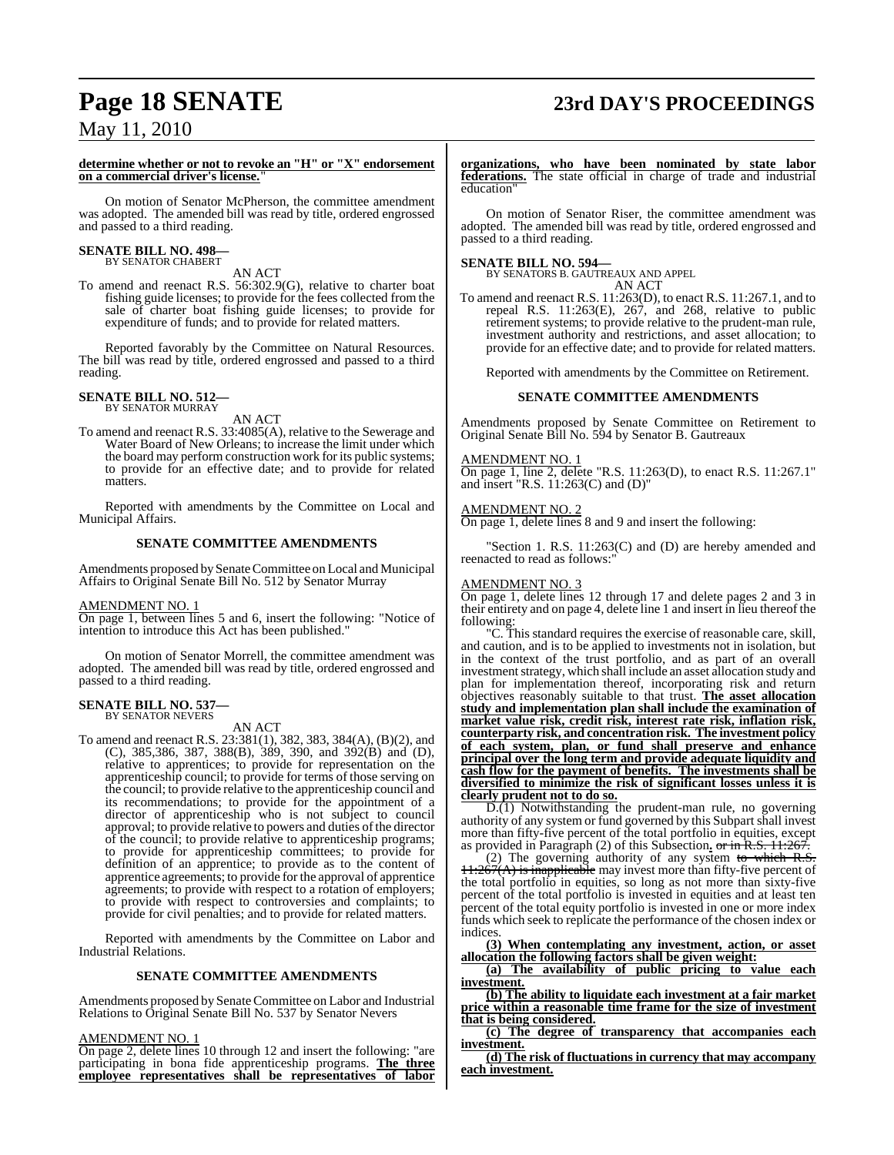# **Page 18 SENATE 23rd DAY'S PROCEEDINGS**

May 11, 2010

#### **determine whether or not to revoke an "H" or "X" endorsement on a commercial driver's license.**"

On motion of Senator McPherson, the committee amendment was adopted. The amended bill was read by title, ordered engrossed and passed to a third reading.

#### **SENATE BILL NO. 498—** BY SENATOR CHABERT

AN ACT

To amend and reenact R.S. 56:302.9(G), relative to charter boat fishing guide licenses; to provide for the fees collected from the sale of charter boat fishing guide licenses; to provide for expenditure of funds; and to provide for related matters.

Reported favorably by the Committee on Natural Resources. The bill was read by title, ordered engrossed and passed to a third reading.

#### **SENATE BILL NO. 512—** BY SENATOR MURRAY

AN ACT

To amend and reenact R.S. 33:4085(A), relative to the Sewerage and Water Board of New Orleans; to increase the limit under which the board may perform construction work for its public systems; to provide for an effective date; and to provide for related matters.

Reported with amendments by the Committee on Local and Municipal Affairs.

#### **SENATE COMMITTEE AMENDMENTS**

Amendments proposed by Senate Committee on Local and Municipal Affairs to Original Senate Bill No. 512 by Senator Murray

#### AMENDMENT NO. 1

On page 1, between lines 5 and 6, insert the following: "Notice of intention to introduce this Act has been published."

On motion of Senator Morrell, the committee amendment was adopted. The amended bill was read by title, ordered engrossed and passed to a third reading.

#### **SENATE BILL NO. 537—** BY SENATOR NEVERS

AN ACT

To amend and reenact R.S. 23:381(1), 382, 383, 384(A), (B)(2), and (C), 385,386, 387, 388(B), 389, 390, and 392(B) and (D), relative to apprentices; to provide for representation on the apprenticeship council; to provide for terms of those serving on the council; to provide relative to the apprenticeship council and its recommendations; to provide for the appointment of a director of apprenticeship who is not subject to council approval; to provide relative to powers and duties of the director of the council; to provide relative to apprenticeship programs; to provide for apprenticeship committees; to provide for definition of an apprentice; to provide as to the content of apprentice agreements; to provide for the approval of apprentice agreements; to provide with respect to a rotation of employers; to provide with respect to controversies and complaints; to provide for civil penalties; and to provide for related matters.

Reported with amendments by the Committee on Labor and Industrial Relations.

#### **SENATE COMMITTEE AMENDMENTS**

Amendments proposed by Senate Committee on Labor and Industrial Relations to Original Senate Bill No. 537 by Senator Nevers

#### AMENDMENT NO. 1

On page 2, delete lines 10 through 12 and insert the following: "are participating in bona fide apprenticeship programs. **The three employee representatives shall be representatives of labor**

**organizations, who have been nominated by state labor federations.** The state official in charge of trade and industrial education"

On motion of Senator Riser, the committee amendment was adopted. The amended bill was read by title, ordered engrossed and passed to a third reading.

**SENATE BILL NO. 594—** BY SENATORS B. GAUTREAUX AND APPEL AN ACT

To amend and reenact R.S. 11:263(D), to enact R.S. 11:267.1, and to repeal R.S.  $11:263(E)$ ,  $267$ , and  $268$ , relative to public retirement systems; to provide relative to the prudent-man rule, investment authority and restrictions, and asset allocation; to provide for an effective date; and to provide for related matters.

Reported with amendments by the Committee on Retirement.

#### **SENATE COMMITTEE AMENDMENTS**

Amendments proposed by Senate Committee on Retirement to Original Senate Bill No. 594 by Senator B. Gautreaux

#### AMENDMENT NO. 1

On page 1, line 2, delete "R.S. 11:263(D), to enact R.S. 11:267.1" and insert "R.S. 11:263(C) and (D)"

#### AMENDMENT NO. 2

On page 1, delete lines 8 and 9 and insert the following:

Section 1. R.S. 11:263(C) and (D) are hereby amended and reenacted to read as follows:"

#### AMENDMENT NO. 3

On page 1, delete lines 12 through 17 and delete pages 2 and 3 in their entirety and on page 4, delete line 1 and insert in lieu thereof the following:

"C. This standard requires the exercise of reasonable care, skill, and caution, and is to be applied to investments not in isolation, but in the context of the trust portfolio, and as part of an overall investment strategy, which shall include an asset allocation study and plan for implementation thereof, incorporating risk and return objectives reasonably suitable to that trust. **The asset allocation study and implementation plan shall include the examination of market value risk, credit risk, interest rate risk, inflation risk, counterparty risk, and concentration risk. The investment policy of each system, plan, or fund shall preserve and enhance principal over the long term and provide adequate liquidity and cash flow for the payment of benefits. The investments shall be diversified to minimize the risk of significant losses unless it is clearly prudent not to do so.**

D.(1) Notwithstanding the prudent-man rule, no governing authority of any system or fund governed by this Subpart shall invest more than fifty-five percent of the total portfolio in equities, except as provided in Paragraph (2) of this Subsection**.** or in R.S. 11:267.

(2) The governing authority of any system to which R.S.  $11:267(A)$  is inapplicable may invest more than fifty-five percent of the total portfolio in equities, so long as not more than sixty-five percent of the total portfolio is invested in equities and at least ten percent of the total equity portfolio is invested in one or more index funds which seek to replicate the performance of the chosen index or indices.

**(3) When contemplating any investment, action, or asset allocation the following factors shall be given weight:**

**(a) The availability of public pricing to value each investment.**

**(b) The ability to liquidate each investment at a fair market price within a reasonable time frame for the size of investment that is being considered.**

**(c) The degree of transparency that accompanies each investment.**

**(d) The risk of fluctuations in currency that may accompany each investment.**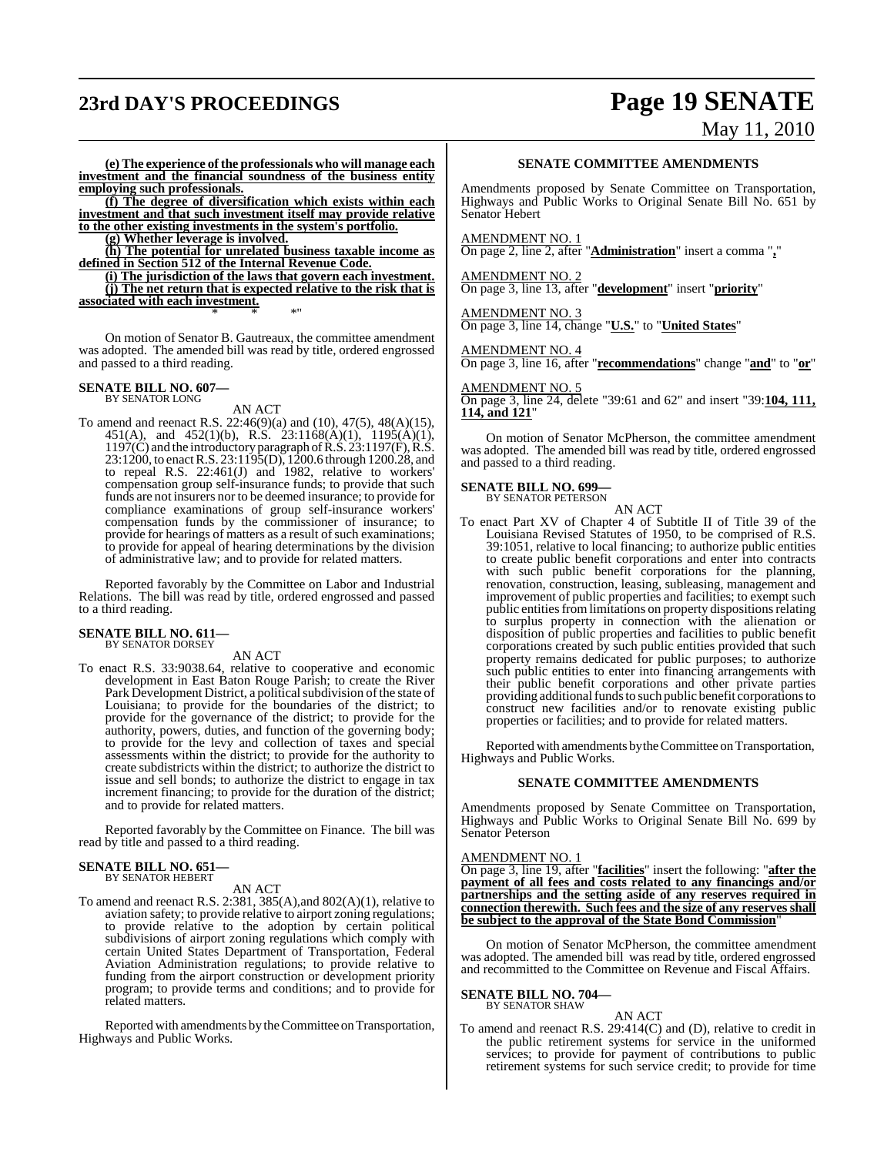# **23rd DAY'S PROCEEDINGS Page 19 SENATE**

# May 11, 2010

**(e) The experience of the professionals who will manage each investment and the financial soundness of the business entity employing such professionals.**

**(f) The degree of diversification which exists within each investment and that such investment itself may provide relative to the other existing investments in the system's portfolio.**

**(g) Whether leverage is involved.**

**(h) The potential for unrelated business taxable income as defined in Section 512 of the Internal Revenue Code.**

**(i) The jurisdiction of the laws that govern each investment. (j) The net return that is expected relative to the risk that is associated with each investment.** \* \* \*"

On motion of Senator B. Gautreaux, the committee amendment was adopted. The amended bill was read by title, ordered engrossed and passed to a third reading.

### **SENATE BILL NO. 607—** BY SENATOR LONG

#### AN ACT

To amend and reenact R.S. 22:46(9)(a) and (10), 47(5), 48(A)(15), 451(A), and 452(1)(b), R.S. 23:1168(A)(1), 1195(A)(1), 1197(C) and the introductory paragraph of R.S. 23:1197(F), R.S. 23:1200, to enact R.S. 23:1195(D), 1200.6 through 1200.28, and to repeal R.S.  $22:461(J)$  and 1982, relative to workers' compensation group self-insurance funds; to provide that such funds are not insurers nor to be deemed insurance; to provide for compliance examinations of group self-insurance workers' compensation funds by the commissioner of insurance; to provide for hearings of matters as a result of such examinations; to provide for appeal of hearing determinations by the division of administrative law; and to provide for related matters.

Reported favorably by the Committee on Labor and Industrial Relations. The bill was read by title, ordered engrossed and passed to a third reading.

#### **SENATE BILL NO. 611—** BY SENATOR DORSEY

AN ACT

To enact R.S. 33:9038.64, relative to cooperative and economic development in East Baton Rouge Parish; to create the River Park Development District, a political subdivision of the state of Louisiana; to provide for the boundaries of the district; to provide for the governance of the district; to provide for the authority, powers, duties, and function of the governing body; to provide for the levy and collection of taxes and special assessments within the district; to provide for the authority to create subdistricts within the district; to authorize the district to issue and sell bonds; to authorize the district to engage in tax increment financing; to provide for the duration of the district; and to provide for related matters.

Reported favorably by the Committee on Finance. The bill was read by title and passed to a third reading.

# **SENATE BILL NO. 651—** BY SENATOR HEBERT

AN ACT

To amend and reenact R.S. 2:381, 385(A),and 802(A)(1), relative to aviation safety; to provide relative to airport zoning regulations; to provide relative to the adoption by certain political subdivisions of airport zoning regulations which comply with certain United States Department of Transportation, Federal Aviation Administration regulations; to provide relative to funding from the airport construction or development priority program; to provide terms and conditions; and to provide for related matters.

Reported with amendments by theCommittee on Transportation, Highways and Public Works.

#### **SENATE COMMITTEE AMENDMENTS**

Amendments proposed by Senate Committee on Transportation, Highways and Public Works to Original Senate Bill No. 651 by Senator Hebert

#### AMENDMENT NO. 1

On page 2, line 2, after "**Administration**" insert a comma "**,**"

#### AMENDMENT NO. 2

On page 3, line 13, after "**development**" insert "**priority**"

#### AMENDMENT NO. 3

On page 3, line 14, change "**U.S.**" to "**United States**"

#### AMENDMENT NO. 4

On page 3, line 16, after "**recommendations**" change "**and**" to "**or**"

#### AMENDMENT NO. 5

On page 3, line 24, delete "39:61 and 62" and insert "39:**104, 111, 114, and 121**"

On motion of Senator McPherson, the committee amendment was adopted. The amended bill was read by title, ordered engrossed and passed to a third reading.

### **SENATE BILL NO. 699—** BY SENATOR PETERSON

AN ACT

To enact Part XV of Chapter 4 of Subtitle II of Title 39 of the Louisiana Revised Statutes of 1950, to be comprised of R.S. 39:1051, relative to local financing; to authorize public entities to create public benefit corporations and enter into contracts with such public benefit corporations for the planning, renovation, construction, leasing, subleasing, management and improvement of public properties and facilities; to exempt such public entities from limitations on property dispositions relating to surplus property in connection with the alienation or disposition of public properties and facilities to public benefit corporations created by such public entities provided that such property remains dedicated for public purposes; to authorize such public entities to enter into financing arrangements with their public benefit corporations and other private parties providing additional funds to such public benefit corporations to construct new facilities and/or to renovate existing public properties or facilities; and to provide for related matters.

Reported with amendments by the Committee on Transportation, Highways and Public Works.

#### **SENATE COMMITTEE AMENDMENTS**

Amendments proposed by Senate Committee on Transportation, Highways and Public Works to Original Senate Bill No. 699 by Senator Peterson

#### AMENDMENT NO. 1

On page 3, line 19, after "**facilities**" insert the following: "**after the payment of all fees and costs related to any financings and/or partnerships and the setting aside of any reserves required in connection therewith. Such fees and the size of any reserves shall be subject to the approval of the State Bond Commission**"

On motion of Senator McPherson, the committee amendment was adopted. The amended bill was read by title, ordered engrossed and recommitted to the Committee on Revenue and Fiscal Affairs.

**SENATE BILL NO. 704—** BY SENATOR SHAW

### AN ACT

To amend and reenact R.S. 29:414(C) and (D), relative to credit in the public retirement systems for service in the uniformed services; to provide for payment of contributions to public retirement systems for such service credit; to provide for time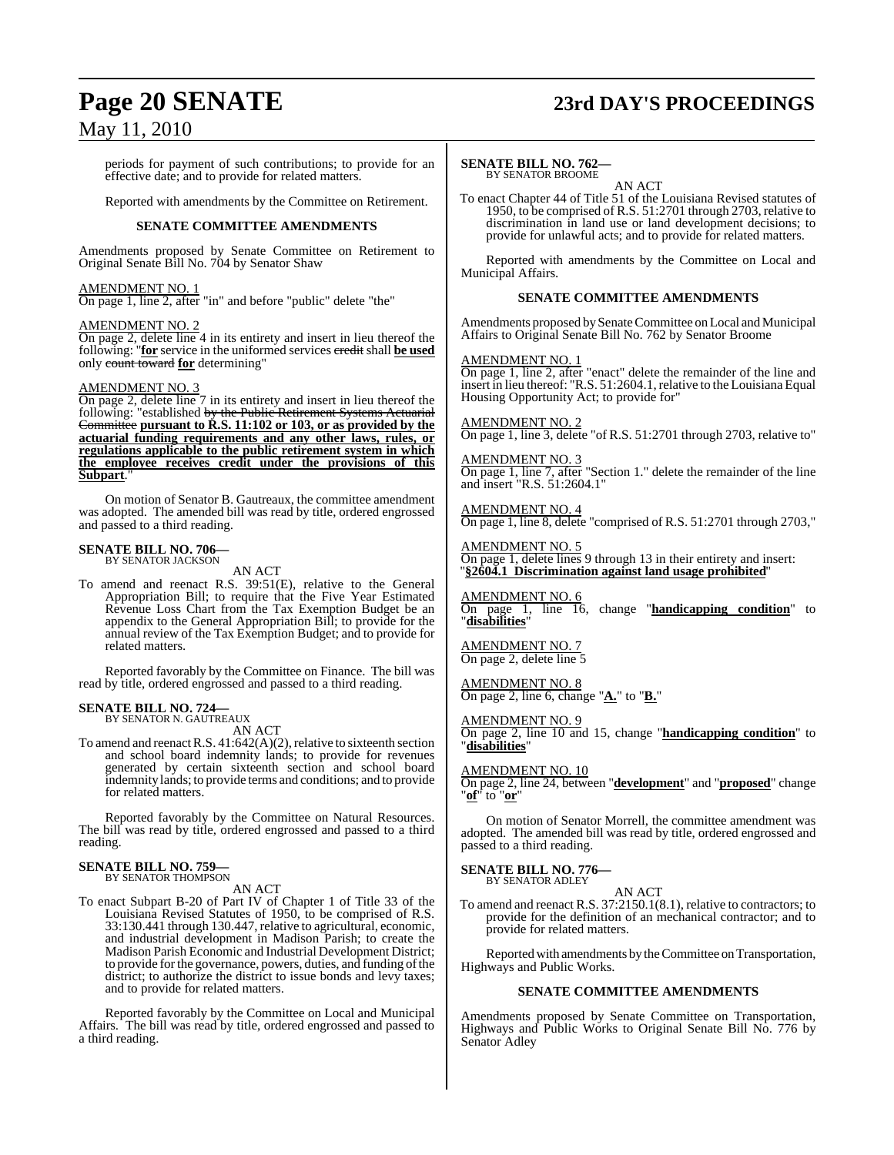#### periods for payment of such contributions; to provide for an effective date; and to provide for related matters.

Reported with amendments by the Committee on Retirement.

#### **SENATE COMMITTEE AMENDMENTS**

Amendments proposed by Senate Committee on Retirement to Original Senate Bill No. 704 by Senator Shaw

#### AMENDMENT NO. 1

On page 1, line 2, after "in" and before "public" delete "the"

#### AMENDMENT NO. 2

On page 2, delete line 4 in its entirety and insert in lieu thereof the following: "**for** service in the uniformed services credit shall **be used** only count toward **for** determining"

#### AMENDMENT NO. 3

On page 2, delete line 7 in its entirety and insert in lieu thereof the following: "established <del>by the Public Retirement Systems Actuarial</del> Committee **pursuant to R.S. 11:102 or 103, or as provided by the actuarial funding requirements and any other laws, rules, or regulations applicable to the public retirement system in which the employee receives credit under the provisions of this** Subpart.

On motion of Senator B. Gautreaux, the committee amendment was adopted. The amended bill was read by title, ordered engrossed and passed to a third reading.

#### **SENATE BILL NO. 706—** BY SENATOR JACKSON

AN ACT

To amend and reenact R.S. 39:51(E), relative to the General Appropriation Bill; to require that the Five Year Estimated Revenue Loss Chart from the Tax Exemption Budget be an appendix to the General Appropriation Bill; to provide for the annual review of the Tax Exemption Budget; and to provide for related matters.

Reported favorably by the Committee on Finance. The bill was read by title, ordered engrossed and passed to a third reading.

#### **SENATE BILL NO. 724—** BY SENATOR N. GAUTREAUX

AN ACT

To amend and reenact R.S.  $41:642(A)(2)$ , relative to sixteenth section and school board indemnity lands; to provide for revenues generated by certain sixteenth section and school board indemnity lands; to provide terms and conditions; and to provide for related matters.

Reported favorably by the Committee on Natural Resources. The bill was read by title, ordered engrossed and passed to a third reading.

#### **SENATE BILL NO. 759—** BY SENATOR THOMPSON

AN ACT

To enact Subpart B-20 of Part IV of Chapter 1 of Title 33 of the Louisiana Revised Statutes of 1950, to be comprised of R.S. 33:130.441 through 130.447, relative to agricultural, economic, and industrial development in Madison Parish; to create the Madison Parish Economic and Industrial Development District; to provide for the governance, powers, duties, and funding of the district; to authorize the district to issue bonds and levy taxes; and to provide for related matters.

Reported favorably by the Committee on Local and Municipal Affairs. The bill was read by title, ordered engrossed and passed to a third reading.

## **Page 20 SENATE 23rd DAY'S PROCEEDINGS**

#### **SENATE BILL NO. 762—** BY SENATOR BROOME

AN ACT

To enact Chapter 44 of Title 51 of the Louisiana Revised statutes of 1950, to be comprised of R.S. 51:2701 through 2703, relative to discrimination in land use or land development decisions; to provide for unlawful acts; and to provide for related matters.

Reported with amendments by the Committee on Local and Municipal Affairs.

#### **SENATE COMMITTEE AMENDMENTS**

Amendments proposed by Senate Committee on Local and Municipal Affairs to Original Senate Bill No. 762 by Senator Broome

#### AMENDMENT NO. 1

On page 1, line 2, after "enact" delete the remainder of the line and insert in lieu thereof: "R.S. 51:2604.1, relative to the Louisiana Equal Housing Opportunity Act; to provide for"

#### AMENDMENT NO. 2

On page 1, line 3, delete "of R.S. 51:2701 through 2703, relative to" **MENDMENT NO. 3** 

#### On page 1, line 7, after "Section 1." delete the remainder of the line and insert "R.S. 51:2604.1"

AMENDMENT NO. 4

On page 1, line 8, delete "comprised of R.S. 51:2701 through 2703,"

#### AMENDMENT NO. 5 On page 1, delete lines 9 through 13 in their entirety and insert: "**§2604.1 Discrimination against land usage prohibited**"

AMENDMENT NO. 6 On page 1, line 16, change "**handicapping condition**" to "**disabilities**"

AMENDMENT NO. 7 On page 2, delete line 5

AMENDMENT NO. 8 On page 2, line 6, change "**A.**" to "**B.**"

#### AMENDMENT NO. 9

On page 2, line 10 and 15, change "**handicapping condition**" to "**disabilities**"

AMENDMENT NO. 10

On page 2, line 24, between "**development**" and "**proposed**" change "**of**" to "**or**"

On motion of Senator Morrell, the committee amendment was adopted. The amended bill was read by title, ordered engrossed and passed to a third reading.

#### **SENATE BILL NO. 776—**

BY SENATOR ADLEY

AN ACT To amend and reenact R.S. 37:2150.1(8.1), relative to contractors; to provide for the definition of an mechanical contractor; and to provide for related matters.

Reported with amendments by the Committee on Transportation, Highways and Public Works.

#### **SENATE COMMITTEE AMENDMENTS**

Amendments proposed by Senate Committee on Transportation, Highways and Public Works to Original Senate Bill No. 776 by Senator Adley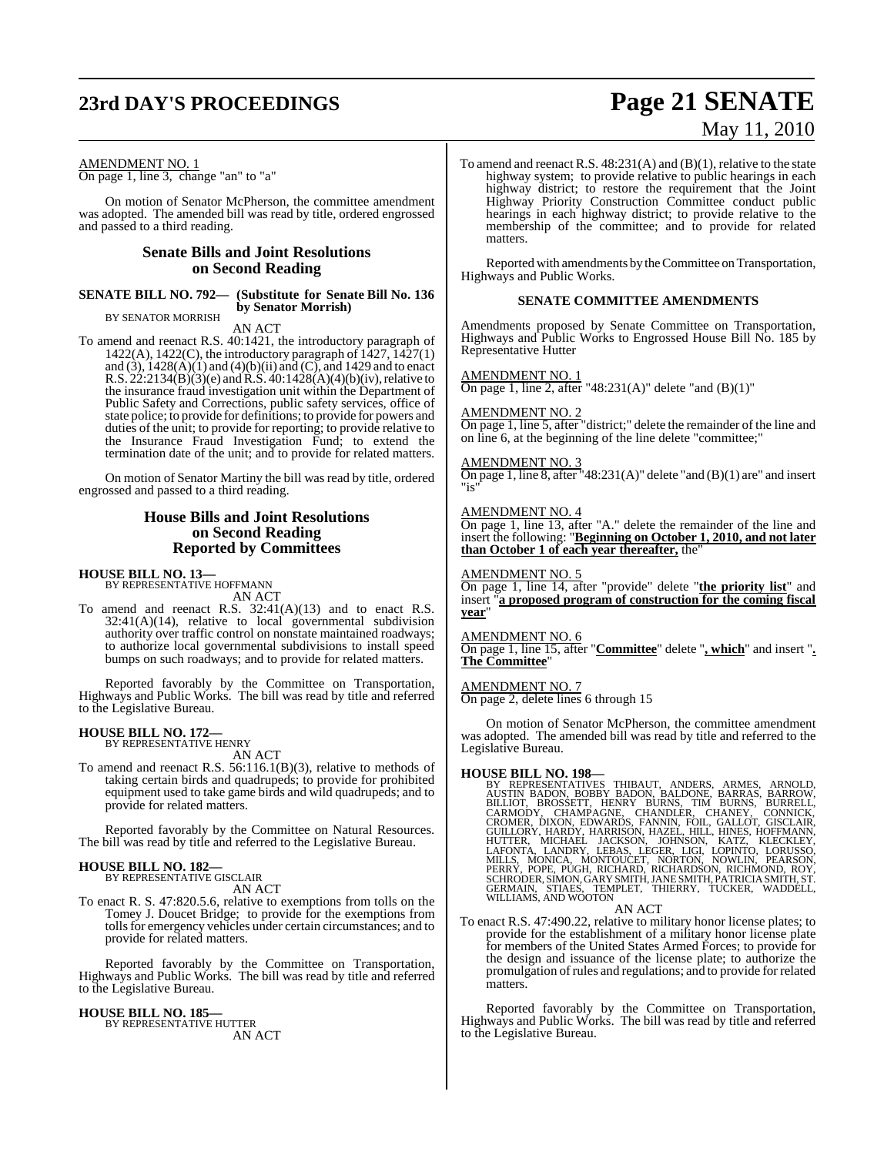### **23rd DAY'S PROCEEDINGS Page 21 SENATE**

# May 11, 2010

#### AMENDMENT NO. 1

On page 1, line 3, change "an" to "a"

On motion of Senator McPherson, the committee amendment was adopted. The amended bill was read by title, ordered engrossed and passed to a third reading.

### **Senate Bills and Joint Resolutions on Second Reading**

#### **SENATE BILL NO. 792— (Substitute for Senate Bill No. 136 by Senator Morrish)** BY SENATOR MORRISH

AN ACT

To amend and reenact R.S. 40:1421, the introductory paragraph of 1422(A), 1422(C), the introductory paragraph of 1427, 1427(1) and (3),  $1428(A)(1)$  and (4)(b)(ii) and (C), and 1429 and to enact R.S.  $22:2134(B)(3)(e)$  and R.S.  $40:1428(A)(4)(b)(iv)$ , relative to the insurance fraud investigation unit within the Department of Public Safety and Corrections, public safety services, office of state police; to provide for definitions; to provide for powers and duties of the unit; to provide for reporting; to provide relative to the Insurance Fraud Investigation Fund; to extend the termination date of the unit; and to provide for related matters.

On motion of Senator Martiny the bill was read by title, ordered engrossed and passed to a third reading.

#### **House Bills and Joint Resolutions on Second Reading Reported by Committees**

#### **HOUSE BILL NO. 13—**

BY REPRESENTATIVE HOFFMANN AN ACT

To amend and reenact R.S. 32:41(A)(13) and to enact R.S. 32:41(A)(14), relative to local governmental subdivision authority over traffic control on nonstate maintained roadways; to authorize local governmental subdivisions to install speed bumps on such roadways; and to provide for related matters.

Reported favorably by the Committee on Transportation, Highways and Public Works. The bill was read by title and referred to the Legislative Bureau.

### **HOUSE BILL NO. 172—** BY REPRESENTATIVE HENRY

AN ACT

To amend and reenact R.S. 56:116.1(B)(3), relative to methods of taking certain birds and quadrupeds; to provide for prohibited equipment used to take game birds and wild quadrupeds; and to provide for related matters.

Reported favorably by the Committee on Natural Resources. The bill was read by title and referred to the Legislative Bureau.

#### **HOUSE BILL NO. 182—** BY REPRESENTATIVE GISCLAIR

AN ACT

To enact R. S. 47:820.5.6, relative to exemptions from tolls on the Tomey J. Doucet Bridge; to provide for the exemptions from tollsfor emergency vehicles under certain circumstances; and to provide for related matters.

Reported favorably by the Committee on Transportation, Highways and Public Works. The bill was read by title and referred to the Legislative Bureau.

#### **HOUSE BILL NO. 185—**

BY REPRESENTATIVE HUTTER AN ACT To amend and reenact R.S. 48:231(A) and (B)(1), relative to the state highway system; to provide relative to public hearings in each highway district; to restore the requirement that the Joint Highway Priority Construction Committee conduct public hearings in each highway district; to provide relative to the membership of the committee; and to provide for related matters.

Reported with amendments by the Committee on Transportation, Highways and Public Works.

#### **SENATE COMMITTEE AMENDMENTS**

Amendments proposed by Senate Committee on Transportation, Highways and Public Works to Engrossed House Bill No. 185 by Representative Hutter

#### AMENDMENT NO. 1

On page 1, line 2, after "48:231(A)" delete "and  $(B)(1)$ "

#### AMENDMENT NO. 2

On page 1, line 5, after "district;" delete the remainder of the line and on line 6, at the beginning of the line delete "committee;"

#### AMENDMENT NO. 3

On page 1, line 8, after "48:231(A)" delete "and  $(B)(1)$  are" and insert "is"

#### AMENDMENT NO. 4

On page 1, line 13, after "A." delete the remainder of the line and insert the following: "**Beginning on October 1, 2010, and not later than October 1 of each year thereafter,** the"

#### AMENDMENT NO. 5

On page 1, line 14, after "provide" delete "**the priority list**" and insert "**a proposed program of construction for the coming fiscal year**"

#### AMENDMENT NO. 6

On page 1, line 15, after "**Committee**" delete "**, which**" and insert "**. The Committee**"

#### AMENDMENT NO. 7

On page 2, delete lines 6 through 15

On motion of Senator McPherson, the committee amendment was adopted. The amended bill was read by title and referred to the Legislative Bureau.

HOUSE BILL NO. 198—<br>
BY REPRESENTATIVES THIBAUT, ANDERS, ARMES, ARNOLD,<br>
BY REPRESENTATIVES THIBAUT, ANDERS, ARNES, ARROW,<br>
BILLIOT, BROSSETT, HENRY BURNS, TIM BURNS, BURRELL,<br>
CRAMODY, CHAMPAGNE, CHANDLER, CHANEY, CONNICK

#### AN ACT

To enact R.S. 47:490.22, relative to military honor license plates; to provide for the establishment of a military honor license plate for members of the United States Armed Forces; to provide for the design and issuance of the license plate; to authorize the promulgation ofrules and regulations; and to provide for related matters.

Reported favorably by the Committee on Transportation, Highways and Public Works. The bill was read by title and referred to the Legislative Bureau.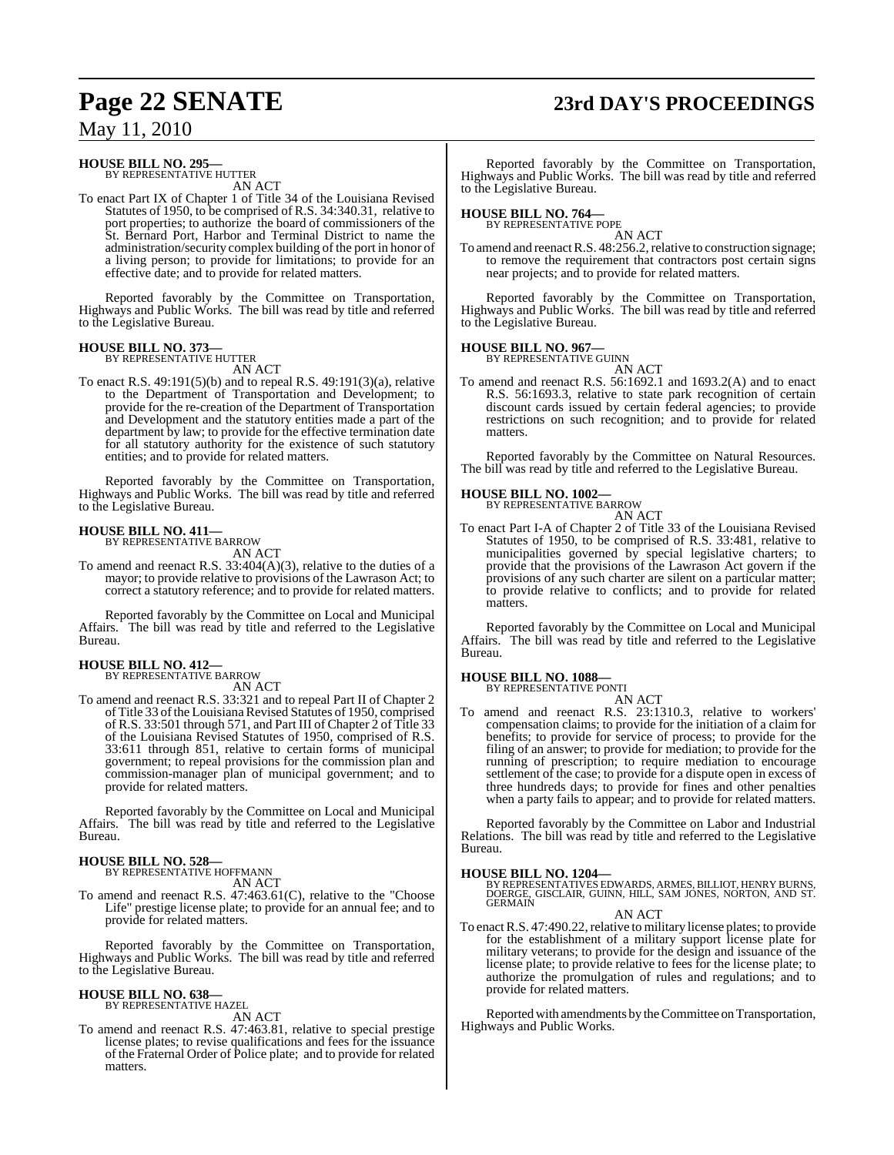### **HOUSE BILL NO. 295—** BY REPRESENTATIVE HUTTER

AN ACT

To enact Part IX of Chapter 1 of Title 34 of the Louisiana Revised Statutes of 1950, to be comprised of R.S. 34:340.31, relative to port properties; to authorize the board of commissioners of the St. Bernard Port, Harbor and Terminal District to name the administration/security complex building of the port in honor of a living person; to provide for limitations; to provide for an effective date; and to provide for related matters.

Reported favorably by the Committee on Transportation, Highways and Public Works. The bill was read by title and referred to the Legislative Bureau.

#### **HOUSE BILL NO. 373—**

BY REPRESENTATIVE HUTTER AN ACT

To enact R.S. 49:191(5)(b) and to repeal R.S. 49:191(3)(a), relative to the Department of Transportation and Development; to provide for the re-creation of the Department of Transportation and Development and the statutory entities made a part of the department by law; to provide for the effective termination date for all statutory authority for the existence of such statutory entities; and to provide for related matters.

Reported favorably by the Committee on Transportation, Highways and Public Works. The bill was read by title and referred to the Legislative Bureau.

#### **HOUSE BILL NO. 411—**

BY REPRESENTATIVE BARROW

AN ACT To amend and reenact R.S. 33:404(A)(3), relative to the duties of a mayor; to provide relative to provisions of the Lawrason Act; to correct a statutory reference; and to provide for related matters.

Reported favorably by the Committee on Local and Municipal Affairs. The bill was read by title and referred to the Legislative Bureau.

#### **HOUSE BILL NO. 412—**

BY REPRESENTATIVE BARROW

AN ACT To amend and reenact R.S. 33:321 and to repeal Part II of Chapter 2 of Title 33 of the Louisiana Revised Statutes of 1950, comprised of R.S. 33:501 through 571, and Part III of Chapter 2 of Title 33 of the Louisiana Revised Statutes of 1950, comprised of R.S. 33:611 through 851, relative to certain forms of municipal government; to repeal provisions for the commission plan and commission-manager plan of municipal government; and to provide for related matters.

Reported favorably by the Committee on Local and Municipal Affairs. The bill was read by title and referred to the Legislative Bureau.

#### **HOUSE BILL NO. 528—** BY REPRESENTATIVE HOFFMANN

AN ACT

To amend and reenact R.S. 47:463.61(C), relative to the "Choose Life" prestige license plate; to provide for an annual fee; and to provide for related matters.

Reported favorably by the Committee on Transportation, Highways and Public Works. The bill was read by title and referred to the Legislative Bureau.

### **HOUSE BILL NO. 638—** BY REPRESENTATIVE HAZEL

AN ACT

To amend and reenact R.S. 47:463.81, relative to special prestige license plates; to revise qualifications and fees for the issuance of the Fraternal Order of Police plate; and to provide for related matters.

### **Page 22 SENATE 23rd DAY'S PROCEEDINGS**

Reported favorably by the Committee on Transportation, Highways and Public Works. The bill was read by title and referred to the Legislative Bureau.

# **HOUSE BILL NO. 764—** BY REPRESENTATIVE POPE

AN ACT To amend and reenact R.S. 48:256.2, relative to construction signage; to remove the requirement that contractors post certain signs near projects; and to provide for related matters.

Reported favorably by the Committee on Transportation, Highways and Public Works. The bill was read by title and referred to the Legislative Bureau.

#### **HOUSE BILL NO. 967—**

BY REPRESENTATIVE GUINN AN ACT

To amend and reenact R.S. 56:1692.1 and 1693.2(A) and to enact R.S. 56:1693.3, relative to state park recognition of certain discount cards issued by certain federal agencies; to provide restrictions on such recognition; and to provide for related matters.

Reported favorably by the Committee on Natural Resources. The bill was read by title and referred to the Legislative Bureau.

### **HOUSE BILL NO. 1002—** BY REPRESENTATIVE BARROW

AN ACT To enact Part I-A of Chapter 2 of Title 33 of the Louisiana Revised Statutes of 1950, to be comprised of R.S. 33:481, relative to municipalities governed by special legislative charters; to provide that the provisions of the Lawrason Act govern if the provisions of any such charter are silent on a particular matter; to provide relative to conflicts; and to provide for related matters.

Reported favorably by the Committee on Local and Municipal Affairs. The bill was read by title and referred to the Legislative Bureau.

#### **HOUSE BILL NO. 1088—**

BY REPRESENTATIVE PONTI

AN ACT To amend and reenact R.S. 23:1310.3, relative to workers' compensation claims; to provide for the initiation of a claim for benefits; to provide for service of process; to provide for the filing of an answer; to provide for mediation; to provide for the running of prescription; to require mediation to encourage settlement of the case; to provide for a dispute open in excess of three hundreds days; to provide for fines and other penalties when a party fails to appear; and to provide for related matters.

Reported favorably by the Committee on Labor and Industrial Relations. The bill was read by title and referred to the Legislative Bureau.

**HOUSE BILL NO. 1204—** BY REPRESENTATIVES EDWARDS, ARMES, BILLIOT, HENRY BURNS, DOERGE, GISCLAIR, GUINN, HILL, SAM JONES, NORTON, AND ST. GERMAIN

AN ACT

To enact R.S. 47:490.22, relative to military license plates; to provide for the establishment of a military support license plate for military veterans; to provide for the design and issuance of the license plate; to provide relative to fees for the license plate; to authorize the promulgation of rules and regulations; and to provide for related matters.

Reported with amendments by the Committee on Transportation, Highways and Public Works.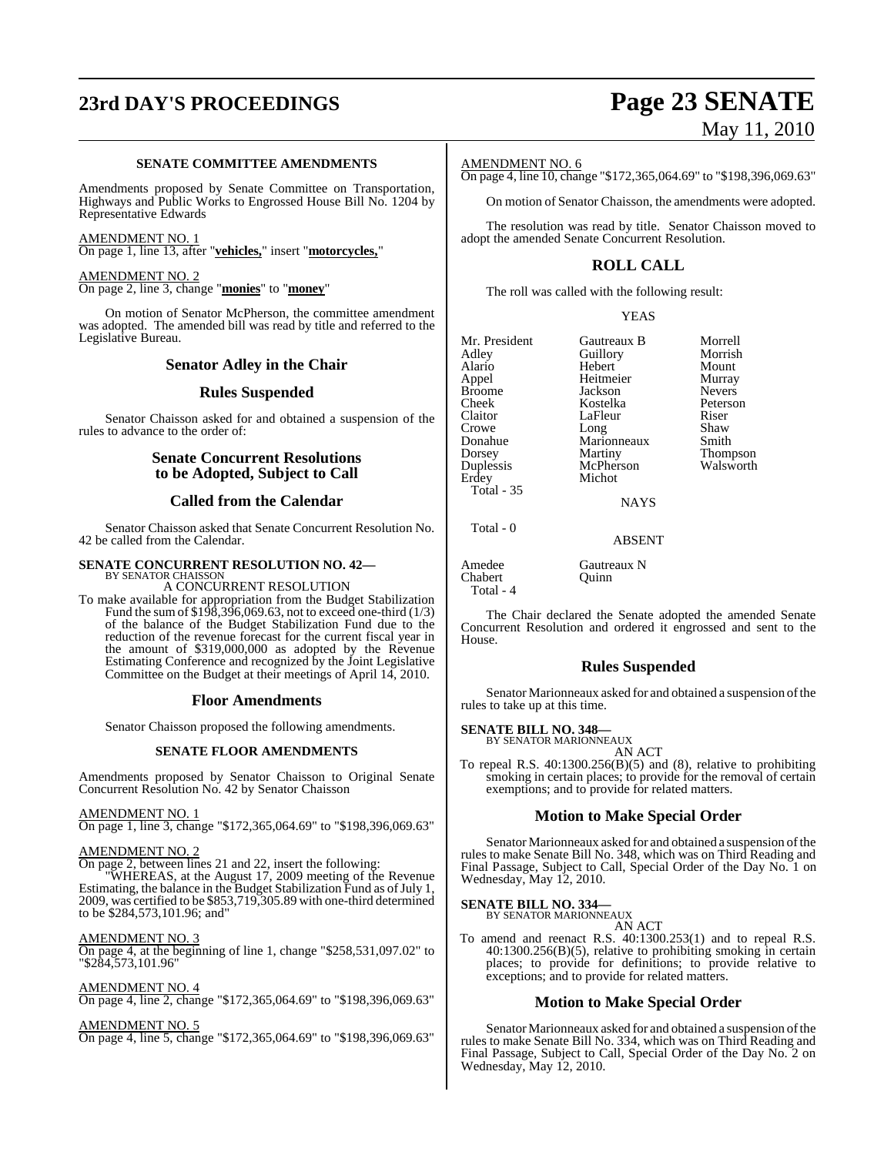# **23rd DAY'S PROCEEDINGS Page 23 SENATE**

#### **SENATE COMMITTEE AMENDMENTS**

Amendments proposed by Senate Committee on Transportation, Highways and Public Works to Engrossed House Bill No. 1204 by Representative Edwards

AMENDMENT NO. 1 On page 1, line 13, after "**vehicles,**" insert "**motorcycles,**"

AMENDMENT NO. 2 On page 2, line 3, change "**monies**" to "**money**"

On motion of Senator McPherson, the committee amendment was adopted. The amended bill was read by title and referred to the Legislative Bureau.

#### **Senator Adley in the Chair**

#### **Rules Suspended**

Senator Chaisson asked for and obtained a suspension of the rules to advance to the order of:

### **Senate Concurrent Resolutions to be Adopted, Subject to Call**

### **Called from the Calendar**

Senator Chaisson asked that Senate Concurrent Resolution No. 42 be called from the Calendar.

#### **SENATE CONCURRENT RESOLUTION NO. 42—**

BY SENATOR CHAISSON A CONCURRENT RESOLUTION

To make available for appropriation from the Budget Stabilization Fund the sum of  $$198,396,069.63$ , not to exceed one-third (1/3) of the balance of the Budget Stabilization Fund due to the reduction of the revenue forecast for the current fiscal year in the amount of \$319,000,000 as adopted by the Revenue Estimating Conference and recognized by the Joint Legislative Committee on the Budget at their meetings of April 14, 2010.

#### **Floor Amendments**

Senator Chaisson proposed the following amendments.

#### **SENATE FLOOR AMENDMENTS**

Amendments proposed by Senator Chaisson to Original Senate Concurrent Resolution No. 42 by Senator Chaisson

#### AMENDMENT NO. 1

On page 1, line 3, change "\$172,365,064.69" to "\$198,396,069.63"

#### AMENDMENT NO. 2

On page 2, between lines 21 and 22, insert the following:

"WHEREAS, at the August 17, 2009 meeting of the Revenue Estimating, the balance in the Budget Stabilization Fund as of July 1, 2009, was certified to be \$853,719,305.89 with one-third determined to be \$284,573,101.96; and"

#### AMENDMENT NO. 3

On page 4, at the beginning of line 1, change "\$258,531,097.02" to "\$284,573,101.96"

#### AMENDMENT NO. 4

On page 4, line 2, change "\$172,365,064.69" to "\$198,396,069.63"

#### AMENDMENT NO. 5

On page 4, line 5, change "\$172,365,064.69" to "\$198,396,069.63"

# May 11, 2010

### AMENDMENT NO. 6

On page 4, line 10, change "\$172,365,064.69" to "\$198,396,069.63"

On motion of Senator Chaisson, the amendments were adopted.

The resolution was read by title. Senator Chaisson moved to adopt the amended Senate Concurrent Resolution.

### **ROLL CALL**

The roll was called with the following result:

YEAS

Mr. President Gautreaux B Morrell<br>Adley Guillory Morrish example and Adley Adley Cuillory Morrish<br>Alario Hebert Mount Alario Hebert Mount Broome Jackson Nevers<br>Cheek Kostelka Peterson Cheek Kostelka Peterson Claitor LaFleur Riser<br>Crowe Long Shaw **Crowe** Long<br> **Conactive** Long<br> **Conactive** Maric Donahue Marionneaux Smith<br>Dorsey Martiny Thom Dorsey Martiny Thompson Duplessis McPherson<br>Erdey Michot Total - 35

Total - 0

Heitmeier Murray<br>Jackson Nevers Michot

### **NAYS**

#### ABSENT

Amedee Gautreaux N<br>Chabert Ouinn Chabert Total - 4

The Chair declared the Senate adopted the amended Senate Concurrent Resolution and ordered it engrossed and sent to the House.

#### **Rules Suspended**

Senator Marionneaux asked for and obtained a suspension of the rules to take up at this time.

**SENATE BILL NO. 348—** BY SENATOR MARIONNEAUX

AN ACT

To repeal R.S. 40:1300.256(B)(5) and (8), relative to prohibiting smoking in certain places; to provide for the removal of certain exemptions; and to provide for related matters.

#### **Motion to Make Special Order**

Senator Marionneaux asked for and obtained a suspension of the rules to make Senate Bill No. 348, which was on Third Reading and Final Passage, Subject to Call, Special Order of the Day No. 1 on Wednesday, May 12, 2010.

#### **SENATE BILL NO. 334—** BY SENATOR MARIONNEAUX

AN ACT

To amend and reenact R.S. 40:1300.253(1) and to repeal R.S. 40:1300.256(B)(5), relative to prohibiting smoking in certain places; to provide for definitions; to provide relative to exceptions; and to provide for related matters.

### **Motion to Make Special Order**

Senator Marionneaux asked for and obtained a suspension of the rules to make Senate Bill No. 334, which was on Third Reading and Final Passage, Subject to Call, Special Order of the Day No. 2 on Wednesday, May 12, 2010.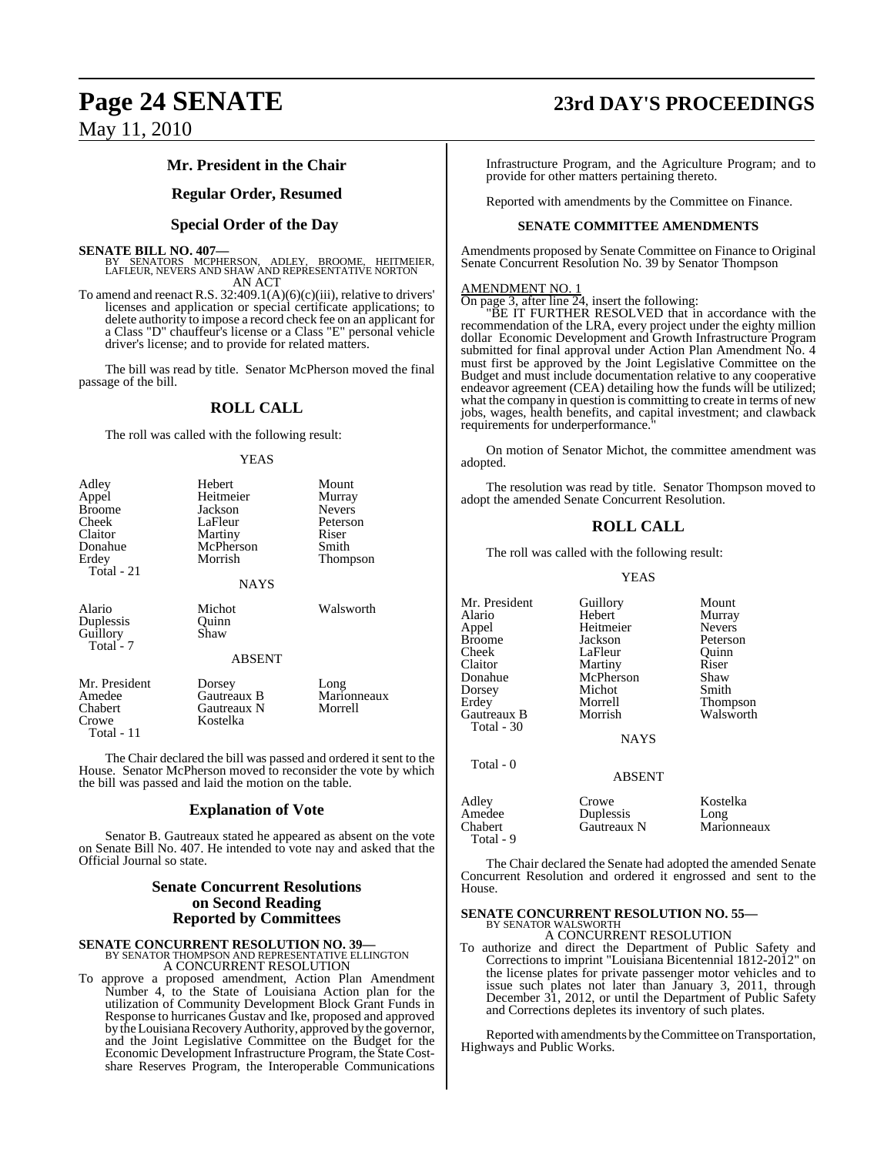### **Mr. President in the Chair**

#### **Regular Order, Resumed**

### **Special Order of the Day**

#### **SENATE BILL NO. 407—**

BY SENATORS MCPHERSON, ADLEY, BROOME, HEITMEIER, LAFLEUR, NEVERS AND SHAW AND REPRESENTATIVE NORTON AN ACT

To amend and reenact R.S. 32:409.1(A)(6)(c)(iii), relative to drivers' licenses and application or special certificate applications; to delete authority to impose a record check fee on an applicant for a Class "D" chauffeur's license or a Class "E" personal vehicle driver's license; and to provide for related matters.

The bill was read by title. Senator McPherson moved the final passage of the bill.

#### **ROLL CALL**

The roll was called with the following result:

#### YEAS

| Adley<br>Appel<br><b>Broome</b><br>Cheek<br>Claitor<br>Donahue<br>Erdey<br>Total - 21 | Hebert<br>Heitmeier<br>Jackson<br>LaFleur<br>Martiny<br>McPherson<br>Morrish<br><b>NAYS</b> | Mount<br>Murray<br><b>Nevers</b><br>Peterson<br>Riser<br>Smith<br>Thompson |
|---------------------------------------------------------------------------------------|---------------------------------------------------------------------------------------------|----------------------------------------------------------------------------|
| Alario<br>Duplessis<br>Guillory<br>Total - 7                                          | Michot<br>Ouinn<br>Shaw<br><b>ABSENT</b>                                                    | Walsworth                                                                  |
| Mr. President<br>Amedee<br>Chabert<br>Crowe<br>Total - 11                             | Dorsey<br>Gautreaux B<br>Gautreaux N<br>Kostelka                                            | Long<br>Marionneaux<br>Morrell                                             |

The Chair declared the bill was passed and ordered it sent to the House. Senator McPherson moved to reconsider the vote by which the bill was passed and laid the motion on the table.

#### **Explanation of Vote**

Senator B. Gautreaux stated he appeared as absent on the vote on Senate Bill No. 407. He intended to vote nay and asked that the Official Journal so state.

#### **Senate Concurrent Resolutions on Second Reading Reported by Committees**

### **SENATE CONCURRENT RESOLUTION NO. 39—**<br>BY SENATOR THOMPSON AND REPRESENTATIVE ELLINGTON

A CONCURRENT RESOLUTION

To approve a proposed amendment, Action Plan Amendment Number 4, to the State of Louisiana Action plan for the utilization of Community Development Block Grant Funds in Response to hurricanes Gustav and Ike, proposed and approved by the Louisiana Recovery Authority, approved by the governor, and the Joint Legislative Committee on the Budget for the Economic Development Infrastructure Program, the State Costshare Reserves Program, the Interoperable Communications

### **Page 24 SENATE 23rd DAY'S PROCEEDINGS**

Infrastructure Program, and the Agriculture Program; and to provide for other matters pertaining thereto.

Reported with amendments by the Committee on Finance.

#### **SENATE COMMITTEE AMENDMENTS**

Amendments proposed by Senate Committee on Finance to Original Senate Concurrent Resolution No. 39 by Senator Thompson

#### AMENDMENT NO. 1

On page 3, after line 24, insert the following:

"BE IT FURTHER RESOLVED that in accordance with the recommendation of the LRA, every project under the eighty million dollar Economic Development and Growth Infrastructure Program submitted for final approval under Action Plan Amendment No. 4 must first be approved by the Joint Legislative Committee on the Budget and must include documentation relative to any cooperative endeavor agreement (CEA) detailing how the funds will be utilized; what the company in question is committing to create in terms of new jobs, wages, health benefits, and capital investment; and clawback requirements for underperformance."

On motion of Senator Michot, the committee amendment was adopted.

The resolution was read by title. Senator Thompson moved to adopt the amended Senate Concurrent Resolution.

#### **ROLL CALL**

The roll was called with the following result:

YEAS

Mr. President Guillory Mount<br>Alario Hebert Murray Alario Hebert Murray Appel Heitmeier<br>Broome Jackson Broome Jackson Peterson<br>Cheek LaFleur Ouinn Cheek LaFleur Quinn<br>Claitor Martiny Riser Claitor Martiny Riser<br>
Donahue McPherson Shaw Dorsey Michot<br>Erdev Morrell Gautreaux B Total - 30

Total - 9

McPherson Shaw<br>Michot Smith Morrell Thompson<br>Morrish Walsworth

**NAYS** 

#### Total - 0 ABSENT Adley Crowe Kostelka Amedee Duplessis Long<br>Chabert Gautreaux N Maric Marionneaux

The Chair declared the Senate had adopted the amended Senate Concurrent Resolution and ordered it engrossed and sent to the House.

### **SENATE CONCURRENT RESOLUTION NO. 55—** BY SENATOR WALSWORTH

A CONCURRENT RESOLUTION

To authorize and direct the Department of Public Safety and Corrections to imprint "Louisiana Bicentennial 1812-2012" on the license plates for private passenger motor vehicles and to issue such plates not later than January 3, 2011, through December 31, 2012, or until the Department of Public Safety and Corrections depletes its inventory of such plates.

Reported with amendments by the Committee on Transportation, Highways and Public Works.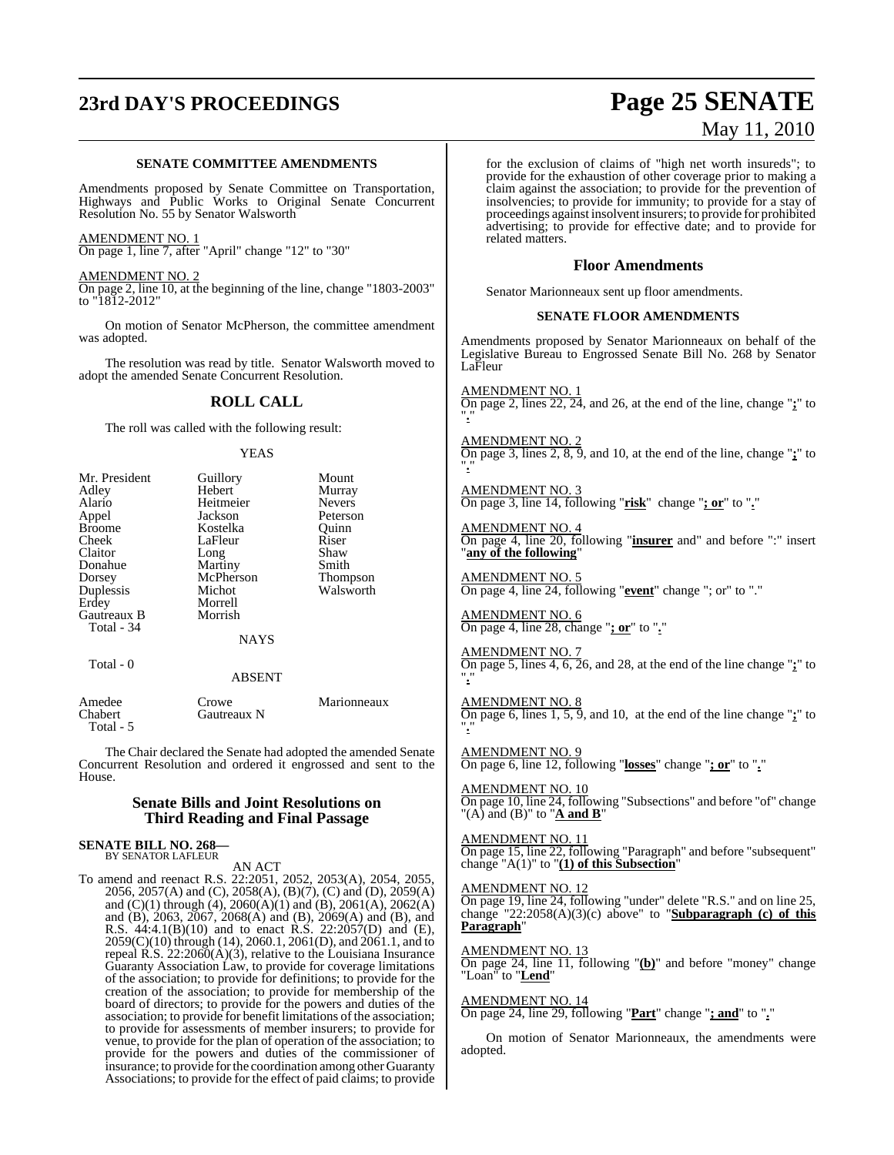# **23rd DAY'S PROCEEDINGS Page 25 SENATE**

# May 11, 2010

#### **SENATE COMMITTEE AMENDMENTS**

Amendments proposed by Senate Committee on Transportation, Highways and Public Works to Original Senate Concurrent Resolution No. 55 by Senator Walsworth

AMENDMENT NO. 1 On page 1, line 7, after "April" change "12" to "30"

AMENDMENT NO. 2

On page 2, line 10, at the beginning of the line, change "1803-2003" to "1812-2012"

On motion of Senator McPherson, the committee amendment was adopted.

The resolution was read by title. Senator Walsworth moved to adopt the amended Senate Concurrent Resolution.

#### **ROLL CALL**

The roll was called with the following result:

#### YEAS

| Mr. President | Guillory      | Mount         |
|---------------|---------------|---------------|
| Adley         | Hebert        | Murray        |
| Alario        | Heitmeier     | <b>Nevers</b> |
| Appel         | Jackson       | Peterson      |
| <b>Broome</b> | Kostelka      | Ouinn         |
| Cheek         | LaFleur       | Riser         |
| Claitor       | Long          | Shaw          |
| Donahue       | Martiny       | Smith         |
| Dorsey        | McPherson     | Thompson      |
| Duplessis     | Michot        | Walsworth     |
| Erdey         | Morrell       |               |
| Gautreaux B   | Morrish       |               |
| Total - 34    |               |               |
|               | <b>NAYS</b>   |               |
| Total - 0     |               |               |
|               | <b>ABSENT</b> |               |
| Amedee        | Crowe         | Marionneaux   |

The Chair declared the Senate had adopted the amended Senate Concurrent Resolution and ordered it engrossed and sent to the House.

#### **Senate Bills and Joint Resolutions on Third Reading and Final Passage**

### **SENATE BILL NO. 268—** BY SENATOR LAFLEUR

Chabert Gautreaux N

Total - 5

AN ACT To amend and reenact R.S. 22:2051, 2052, 2053(A), 2054, 2055, 2056, 2057(A) and (C), 2058(A), (B)(7), (C) and (D), 2059(A) and (C)(1) through (4), 2060(A)(1) and (B), 2061(A), 2062(A) and (B), 2063, 2067, 2068(A) and (B), 2069(A) and (B), and R.S. 44:4.1(B)(10) and to enact R.S. 22:2057(D) and (E), 2059(C)(10) through (14), 2060.1, 2061(D), and 2061.1, and to repeal  $\hat{R}$ .S. 22:2060( $\hat{A}$ )(3), relative to the Louisiana Insurance Guaranty Association Law, to provide for coverage limitations of the association; to provide for definitions; to provide for the creation of the association; to provide for membership of the board of directors; to provide for the powers and duties of the association; to provide for benefit limitations of the association; to provide for assessments of member insurers; to provide for venue, to provide for the plan of operation of the association; to provide for the powers and duties of the commissioner of insurance; to provide forthe coordination among other Guaranty Associations; to provide for the effect of paid claims; to provide for the exclusion of claims of "high net worth insureds"; to provide for the exhaustion of other coverage prior to making a claim against the association; to provide for the prevention of insolvencies; to provide for immunity; to provide for a stay of proceedings against insolvent insurers; to provide for prohibited advertising; to provide for effective date; and to provide for related matters.

#### **Floor Amendments**

Senator Marionneaux sent up floor amendments.

#### **SENATE FLOOR AMENDMENTS**

Amendments proposed by Senator Marionneaux on behalf of the Legislative Bureau to Engrossed Senate Bill No. 268 by Senator LaFleur

AMENDMENT NO. 1 On page 2, lines 22, 24, and 26, at the end of the line, change "**;**" to "**.**"

AMENDMENT NO. 2 On page 3, lines 2, 8, 9, and 10, at the end of the line, change "**;**" to "**.**"

AMENDMENT NO. 3 On page 3, line 14, following "**risk**" change "**; or**" to "**.**"

AMENDMENT NO. 4 On page 4, line 20, following "**insurer** and" and before ":" insert "**any of the following**"

AMENDMENT NO. 5 On page 4, line 24, following "**event**" change "; or" to "."

AMENDMENT NO. 6 On page 4, line 28, change "**; or**" to "**.**"

AMENDMENT NO. 7 On page 5, lines 4, 6, 26, and 28, at the end of the line change "**;**" to "**.**"

AMENDMENT NO. 8 On page 6, lines 1, 5, 9, and 10, at the end of the line change "**;**" to "**.**"

AMENDMENT NO. 9 On page 6, line 12, following "**losses**" change "**; or**" to "**.**"

AMENDMENT NO. 10 On page 10, line 24, following "Subsections" and before "of" change "(A) and (B)" to " $\underline{A}$  and  $\underline{B}$ "

AMENDMENT NO. 11 On page 15, line 22, following "Paragraph" and before "subsequent" change "A(1)" to "**(1) of this Subsection**"

AMENDMENT NO. 12

On page 19, line 24, following "under" delete "R.S." and on line 25, change "22:2058(A)(3)(c) above" to "**Subparagraph (c) of this Paragraph**"

#### AMENDMENT NO. 13

On page 24, line 11, following "**(b)**" and before "money" change "Loan" to "**Lend**"

AMENDMENT NO. 14

On page 24, line 29, following "**Part**" change "**; and**" to "**.**"

On motion of Senator Marionneaux, the amendments were adopted.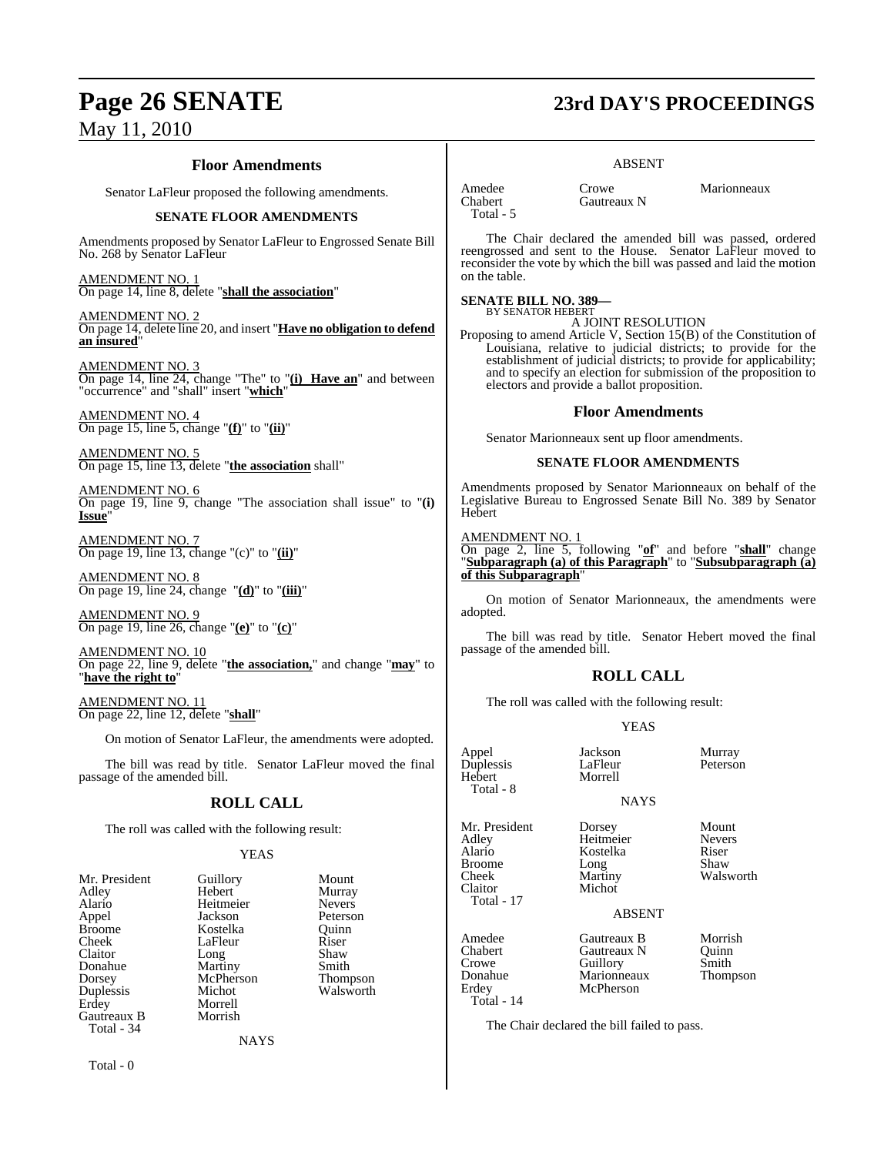### **Floor Amendments**

Senator LaFleur proposed the following amendments.

#### **SENATE FLOOR AMENDMENTS**

Amendments proposed by Senator LaFleur to Engrossed Senate Bill No. 268 by Senator LaFleur

AMENDMENT NO. 1 On page 14, line 8, delete "**shall the association**"

AMENDMENT NO. 2 On page 14, delete line 20, and insert "**Have no obligation to defend an insured**"

AMENDMENT NO. 3 On page 14, line 24, change "The" to "**(i) Have an**" and between "occurrence" and "shall" insert "**which**"

AMENDMENT NO. 4 On page 15, line 5, change "**(f)**" to "**(ii)**"

AMENDMENT NO. 5 On page 15, line 13, delete "**the association** shall"

AMENDMENT NO. 6 On page 19, line 9, change "The association shall issue" to "**(i) Issue**"

AMENDMENT NO. 7 On page 19, line 13, change "(c)" to "**(ii)**"

AMENDMENT NO. 8 On page 19, line 24, change "**(d)**" to "**(iii)**"

AMENDMENT NO. 9 On page 19, line 26, change "**(e)**" to "**(c)**"

AMENDMENT NO. 10 On page 22, line 9, delete "**the association,**" and change "**may**" to "**have the right to**"

AMENDMENT NO. 11 On page 22, line 12, delete "**shall**"

On motion of Senator LaFleur, the amendments were adopted.

The bill was read by title. Senator LaFleur moved the final passage of the amended bill.

### **ROLL CALL**

The roll was called with the following result:

#### YEAS

| Mr. President | Guillory  | Mount           |
|---------------|-----------|-----------------|
| Adley         | Hebert    | Murray          |
| Alario        | Heitmeier | <b>Nevers</b>   |
| Appel         | Jackson   | Peterson        |
| <b>Broome</b> | Kostelka  | Ouinn           |
| Cheek         | LaFleur   | Riser           |
| Claitor       | Long      | Shaw            |
| Donahue       | Martiny   | Smith           |
| Dorsey        | McPherson | <b>Thompson</b> |
| Duplessis     | Michot    | Walsworth       |
| Erdey         | Morrell   |                 |
| Gautreaux B   | Morrish   |                 |
| Total - 34    |           |                 |
|               | NAVC      |                 |

NAYS

## **Page 26 SENATE 23rd DAY'S PROCEEDINGS**

#### ABSENT

Gautreaux N

Amedee Crowe Marionneaux<br>Chabert Gautreaux N Total - 5

The Chair declared the amended bill was passed, ordered reengrossed and sent to the House. Senator LaFleur moved to reconsider the vote by which the bill was passed and laid the motion on the table.

### **SENATE BILL NO. 389—** BY SENATOR HEBERT

A JOINT RESOLUTION

Proposing to amend Article V, Section 15(B) of the Constitution of Louisiana, relative to judicial districts; to provide for the establishment of judicial districts; to provide for applicability; and to specify an election for submission of the proposition to electors and provide a ballot proposition.

#### **Floor Amendments**

Senator Marionneaux sent up floor amendments.

#### **SENATE FLOOR AMENDMENTS**

Amendments proposed by Senator Marionneaux on behalf of the Legislative Bureau to Engrossed Senate Bill No. 389 by Senator **Hebert** 

#### AMENDMENT NO. 1

On page 2, line 5, following "**of**" and before "**shall**" change "**Subparagraph (a) of this Paragraph**" to "**Subsubparagraph (a) of this Subparagraph**"

On motion of Senator Marionneaux, the amendments were adopted.

The bill was read by title. Senator Hebert moved the final passage of the amended bill.

### **ROLL CALL**

The roll was called with the following result:

#### YEAS

Appel Jackson Murray Duplessis LaFleur<br>Hebert Morrell

NAYS

Mr. President Dorsey Mount<br>Adley Heitmeier Nevers Adley Heitmeier Nevers Broome Long<br>
Cheek Martiny Cheek Martiny Walsworth

Total - 17

Hebert Total - 8

Chabert Gautreaux N Quinn<br>Crowe Guillory Smith Donahue Marionneaux<br>Erdey McPherson Total - 14

ABSENT

Crowe Guillory Smith<br>Donahue Marionneaux Thompson

The Chair declared the bill failed to pass.

**McPherson** 

Michot

Kostelka Riser<br>Long Shaw

Amedee Gautreaux B Morrish<br>Chabert Gautreaux N Ouinn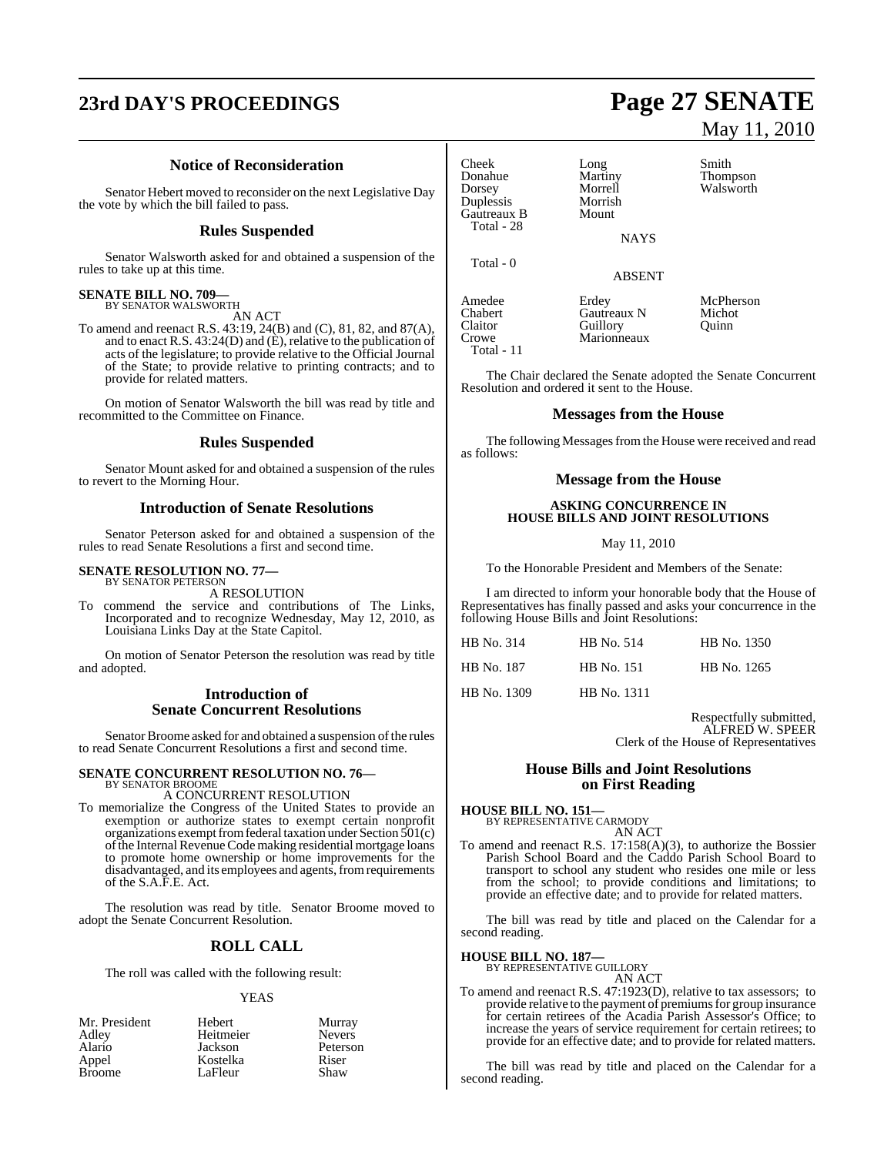## **23rd DAY'S PROCEEDINGS Page 27 SENATE**

### **Notice of Reconsideration**

Senator Hebert moved to reconsider on the next Legislative Day the vote by which the bill failed to pass.

#### **Rules Suspended**

Senator Walsworth asked for and obtained a suspension of the rules to take up at this time.

### **SENATE BILL NO. 709—** BY SENATOR WALSWORTH

AN ACT

To amend and reenact R.S. 43:19, 24(B) and (C), 81, 82, and 87(A), and to enact R.S.  $43:24(D)$  and  $(\dot{E})$ , relative to the publication of acts of the legislature; to provide relative to the Official Journal of the State; to provide relative to printing contracts; and to provide for related matters.

On motion of Senator Walsworth the bill was read by title and recommitted to the Committee on Finance.

#### **Rules Suspended**

Senator Mount asked for and obtained a suspension of the rules to revert to the Morning Hour.

#### **Introduction of Senate Resolutions**

Senator Peterson asked for and obtained a suspension of the rules to read Senate Resolutions a first and second time.

### **SENATE RESOLUTION NO. 77—** BY SENATOR PETERSON

A RESOLUTION

To commend the service and contributions of The Links, Incorporated and to recognize Wednesday, May 12, 2010, as Louisiana Links Day at the State Capitol.

On motion of Senator Peterson the resolution was read by title and adopted.

#### **Introduction of Senate Concurrent Resolutions**

Senator Broome asked for and obtained a suspension of the rules to read Senate Concurrent Resolutions a first and second time.

#### **SENATE CONCURRENT RESOLUTION NO. 76—** BY SENATOR BROOME

A CONCURRENT RESOLUTION

To memorialize the Congress of the United States to provide an exemption or authorize states to exempt certain nonprofit organizations exempt from federal taxation under Section  $501(c)$ of the Internal Revenue Code making residential mortgage loans to promote home ownership or home improvements for the disadvantaged, and its employees and agents, from requirements of the S.A.F.E. Act.

The resolution was read by title. Senator Broome moved to adopt the Senate Concurrent Resolution.

#### **ROLL CALL**

The roll was called with the following result:

#### YEAS

| Mr. President | Hebert    | Murray        |
|---------------|-----------|---------------|
| Adley         | Heitmeier | <b>Nevers</b> |
| Alario        | Jackson   | Peterson      |
| Appel         | Kostelka  | Riser         |
| <b>Broome</b> | LaFleur   | Shaw          |

# May 11, 2010

Cheek Long Smith<br>Donahue Martiny Thom Donahue Martiny Thompson **Duplessis** Morrish<br> **Gautreaux B** Mount Gautreaux B Total - 28 Total - 0 Amedee Erdey McPherson<br>Chabert Gautreaux N Michot

Total - 11

Morrell Walsworth<br>Morrish **NAYS** 

ABSENT

Chabert Gautreaux N Micho<br>Claitor Guillory Ouinn Claitor Guillory<br>Crowe Marionn Marionneaux

The Chair declared the Senate adopted the Senate Concurrent Resolution and ordered it sent to the House.

#### **Messages from the House**

The following Messages from the House were received and read as follows:

#### **Message from the House**

#### **ASKING CONCURRENCE IN HOUSE BILLS AND JOINT RESOLUTIONS**

May 11, 2010

To the Honorable President and Members of the Senate:

I am directed to inform your honorable body that the House of Representatives has finally passed and asks your concurrence in the following House Bills and Joint Resolutions:

| HB No. 314  | HB No. 514         | HB No. 1350 |
|-------------|--------------------|-------------|
| HB No. 187  | <b>HB</b> No. 151  | HB No. 1265 |
| HB No. 1309 | <b>HB</b> No. 1311 |             |

Respectfully submitted, ALFRED W. SPEER Clerk of the House of Representatives

#### **House Bills and Joint Resolutions on First Reading**

**HOUSE BILL NO. 151—** BY REPRESENTATIVE CARMODY AN ACT

To amend and reenact R.S. 17:158(A)(3), to authorize the Bossier Parish School Board and the Caddo Parish School Board to transport to school any student who resides one mile or less from the school; to provide conditions and limitations; to provide an effective date; and to provide for related matters.

The bill was read by title and placed on the Calendar for a second reading.

### **HOUSE BILL NO. 187—** BY REPRESENTATIVE GUILLORY

AN ACT

To amend and reenact R.S. 47:1923(D), relative to tax assessors; to provide relative to the payment of premiums for group insurance for certain retirees of the Acadia Parish Assessor's Office; to increase the years of service requirement for certain retirees; to provide for an effective date; and to provide for related matters.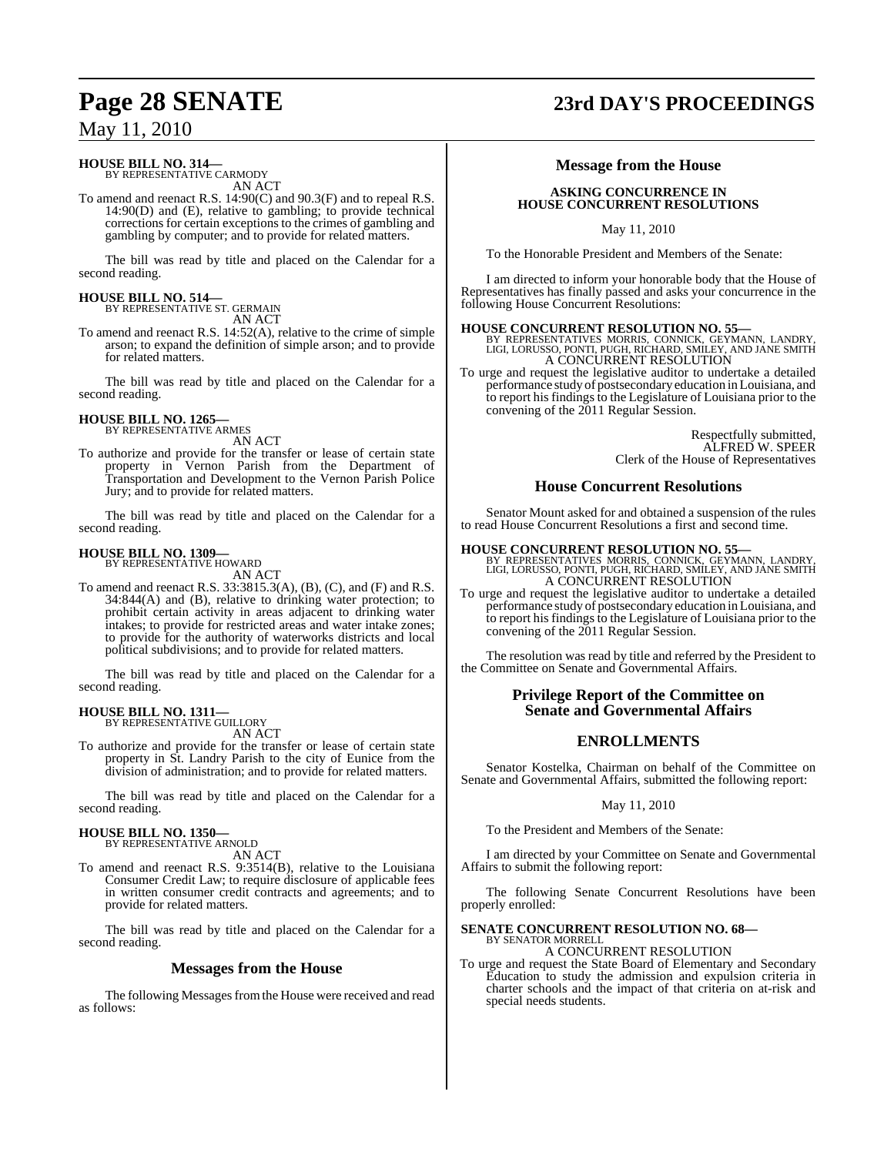### **HOUSE BILL NO. 314—**

BY REPRESENTATIVE CARMODY AN ACT

To amend and reenact R.S. 14:90(C) and 90.3(F) and to repeal R.S. 14:90(D) and (E), relative to gambling; to provide technical corrections for certain exceptions to the crimes of gambling and gambling by computer; and to provide for related matters.

The bill was read by title and placed on the Calendar for a second reading.

### **HOUSE BILL NO. 514—** BY REPRESENTATIVE ST. GERMAIN

AN ACT

To amend and reenact R.S. 14:52(A), relative to the crime of simple arson; to expand the definition of simple arson; and to provide for related matters.

The bill was read by title and placed on the Calendar for a second reading.

#### **HOUSE BILL NO. 1265—** BY REPRESENTATIVE ARMES

AN ACT

To authorize and provide for the transfer or lease of certain state property in Vernon Parish from the Department of Transportation and Development to the Vernon Parish Police Jury; and to provide for related matters.

The bill was read by title and placed on the Calendar for a second reading.

#### **HOUSE BILL NO. 1309—**

BY REPRESENTATIVE HOWARD AN ACT

To amend and reenact R.S. 33:3815.3(A), (B), (C), and (F) and R.S. 34:844(A) and (B), relative to drinking water protection; to prohibit certain activity in areas adjacent to drinking water intakes; to provide for restricted areas and water intake zones; to provide for the authority of waterworks districts and local political subdivisions; and to provide for related matters.

The bill was read by title and placed on the Calendar for a second reading.

#### **HOUSE BILL NO. 1311—** BY REPRESENTATIVE GUILLORY

AN ACT

To authorize and provide for the transfer or lease of certain state property in St. Landry Parish to the city of Eunice from the division of administration; and to provide for related matters.

The bill was read by title and placed on the Calendar for a second reading.

### **HOUSE BILL NO. 1350—** BY REPRESENTATIVE ARNOLD

AN ACT

To amend and reenact R.S. 9:3514(B), relative to the Louisiana Consumer Credit Law; to require disclosure of applicable fees in written consumer credit contracts and agreements; and to provide for related matters.

The bill was read by title and placed on the Calendar for a second reading.

#### **Messages from the House**

The following Messages from the House were received and read as follows:

## **Page 28 SENATE 23rd DAY'S PROCEEDINGS**

### **Message from the House**

#### **ASKING CONCURRENCE IN HOUSE CONCURRENT RESOLUTIONS**

May 11, 2010

To the Honorable President and Members of the Senate:

I am directed to inform your honorable body that the House of Representatives has finally passed and asks your concurrence in the following House Concurrent Resolutions:

**HOUSE CONCURRENT RESOLUTION NO. 55—** BY REPRESENTATIVES MORRIS, CONNICK, GEYMANN, LANDRY, LIGI, LORUSSO, PONTI, PUGH, RICHARD, SMILEY, AND JANE SMITH A CONCURRENT RESOLUTION

To urge and request the legislative auditor to undertake a detailed performance study of postsecondary education in Louisiana, and to report his findings to the Legislature of Louisiana prior to the convening of the 2011 Regular Session.

> Respectfully submitted, ALFRED W. SPEER Clerk of the House of Representatives

#### **House Concurrent Resolutions**

Senator Mount asked for and obtained a suspension of the rules to read House Concurrent Resolutions a first and second time.

#### **HOUSE CONCURRENT RESOLUTION NO. 55**

BY REPRESENTATIVES MORRIS, CONNICK, GEYMANN, LANDRY, LIGI, LORUSSO, PONTI, PUGH, RICHARD, SMILEY, AND JANE SMITH A CONCURRENT RESOLUTION

To urge and request the legislative auditor to undertake a detailed performance study of postsecondary education in Louisiana, and to report his findings to the Legislature of Louisiana prior to the convening of the 2011 Regular Session.

The resolution was read by title and referred by the President to the Committee on Senate and Governmental Affairs.

#### **Privilege Report of the Committee on Senate and Governmental Affairs**

### **ENROLLMENTS**

Senator Kostelka, Chairman on behalf of the Committee on Senate and Governmental Affairs, submitted the following report:

#### May 11, 2010

To the President and Members of the Senate:

I am directed by your Committee on Senate and Governmental Affairs to submit the following report:

The following Senate Concurrent Resolutions have been properly enrolled:

### **SENATE CONCURRENT RESOLUTION NO. 68—** BY SENATOR MORRELL

A CONCURRENT RESOLUTION

To urge and request the State Board of Elementary and Secondary Education to study the admission and expulsion criteria in charter schools and the impact of that criteria on at-risk and special needs students.